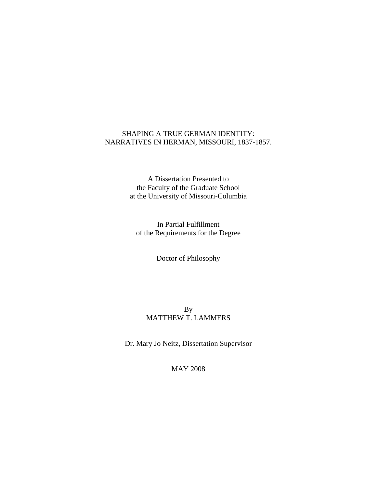## SHAPING A TRUE GERMAN IDENTITY: NARRATIVES IN HERMAN, MISSOURI, 1837-1857.

A Dissertation Presented to the Faculty of the Graduate School at the University of Missouri-Columbia

In Partial Fulfillment of the Requirements for the Degree

Doctor of Philosophy

# By MATTHEW T. LAMMERS

Dr. Mary Jo Neitz, Dissertation Supervisor

MAY 2008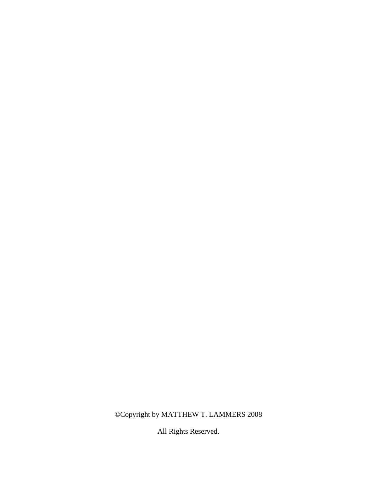# ©Copyright by MATTHEW T. LAMMERS 2008

All Rights Reserved.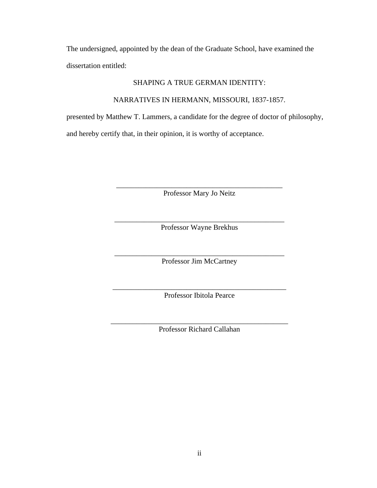The undersigned, appointed by the dean of the Graduate School, have examined the dissertation entitled:

## SHAPING A TRUE GERMAN IDENTITY:

NARRATIVES IN HERMANN, MISSOURI, 1837-1857.

presented by Matthew T. Lammers, a candidate for the degree of doctor of philosophy, and hereby certify that, in their opinion, it is worthy of acceptance.

> \_\_\_\_\_\_\_\_\_\_\_\_\_\_\_\_\_\_\_\_\_\_\_\_\_\_\_\_\_\_\_\_\_\_\_\_\_\_\_\_\_\_\_\_\_ Professor Mary Jo Neitz

\_\_\_\_\_\_\_\_\_\_\_\_\_\_\_\_\_\_\_\_\_\_\_\_\_\_\_\_\_\_\_\_\_\_\_\_\_\_\_\_\_\_\_\_\_\_ Professor Wayne Brekhus

\_\_\_\_\_\_\_\_\_\_\_\_\_\_\_\_\_\_\_\_\_\_\_\_\_\_\_\_\_\_\_\_\_\_\_\_\_\_\_\_\_\_\_\_\_\_ Professor Jim McCartney

\_\_\_\_\_\_\_\_\_\_\_\_\_\_\_\_\_\_\_\_\_\_\_\_\_\_\_\_\_\_\_\_\_\_\_\_\_\_\_\_\_\_\_\_\_\_\_ Professor Ibitola Pearce

\_\_\_\_\_\_\_\_\_\_\_\_\_\_\_\_\_\_\_\_\_\_\_\_\_\_\_\_\_\_\_\_\_\_\_\_\_\_\_\_\_\_\_\_\_\_\_\_ Professor Richard Callahan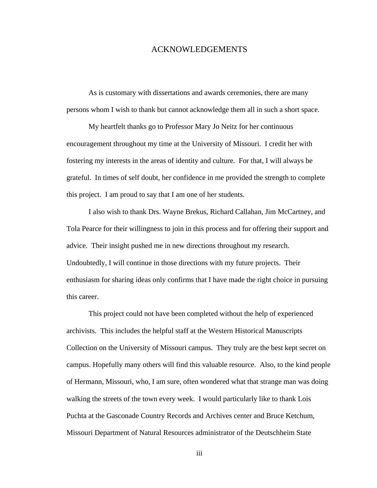## ACKNOWLEDGEMENTS

 As is customary with dissertations and awards ceremonies, there are many persons whom I wish to thank but cannot acknowledge them all in such a short space.

My heartfelt thanks go to Professor Mary Jo Neitz for her continuous encouragement throughout my time at the University of Missouri. I credit her with fostering my interests in the areas of identity and culture. For that, I will always be grateful. In times of self doubt, her confidence in me provided the strength to complete this project. I am proud to say that I am one of her students.

I also wish to thank Drs. Wayne Brekus, Richard Callahan, Jim McCartney, and Tola Pearce for their willingness to join in this process and for offering their support and advice. Their insight pushed me in new directions throughout my research. Undoubtedly, I will continue in those directions with my future projects. Their enthusiasm for sharing ideas only confirms that I have made the right choice in pursuing this career.

This project could not have been completed without the help of experienced archivists. This includes the helpful staff at the Western Historical Manuscripts Collection on the University of Missouri campus. They truly are the best kept secret on campus. Hopefully many others will find this valuable resource. Also, to the kind people of Hermann, Missouri, who, I am sure, often wondered what that strange man was doing walking the streets of the town every week. I would particularly like to thank Lois Puchta at the Gasconade Country Records and Archives center and Bruce Ketchum, Missouri Department of Natural Resources administrator of the Deutschheim State

iii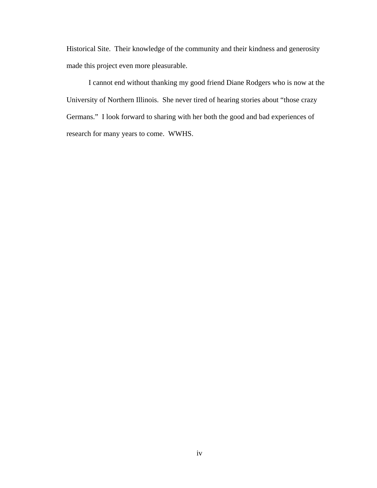Historical Site. Their knowledge of the community and their kindness and generosity made this project even more pleasurable.

I cannot end without thanking my good friend Diane Rodgers who is now at the University of Northern Illinois. She never tired of hearing stories about "those crazy Germans." I look forward to sharing with her both the good and bad experiences of research for many years to come. WWHS.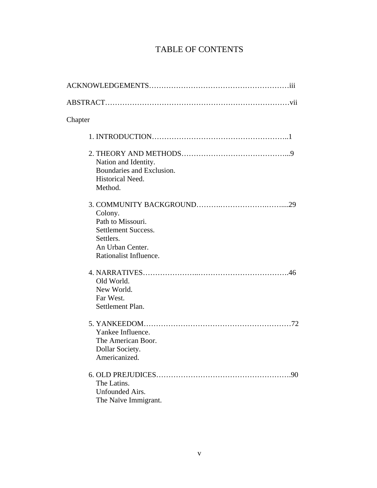# TABLE OF CONTENTS

| Chapter                                                                                                               |
|-----------------------------------------------------------------------------------------------------------------------|
|                                                                                                                       |
| Nation and Identity.<br>Boundaries and Exclusion.<br>Historical Need.<br>Method.                                      |
| Colony.<br>Path to Missouri.<br><b>Settlement Success.</b><br>Settlers.<br>An Urban Center.<br>Rationalist Influence. |
| Old World.<br>New World.<br>Far West.<br>Settlement Plan.                                                             |
| Yankee Influence.<br>The American Boor.<br>Dollar Society.<br>Americanized.                                           |
| .90<br>The Latins.<br>Unfounded Airs.<br>The Naïve Immigrant.                                                         |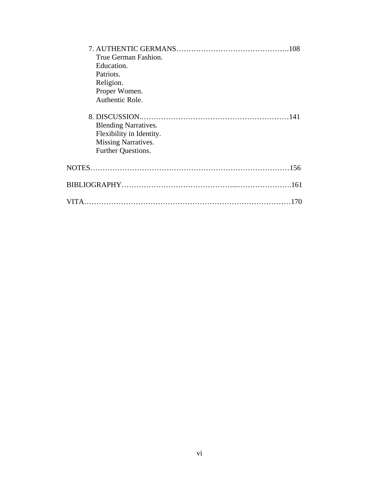| True German Fashion.                                                                                 |  |
|------------------------------------------------------------------------------------------------------|--|
| Education.                                                                                           |  |
| Patriots.                                                                                            |  |
| Religion.                                                                                            |  |
| Proper Women.                                                                                        |  |
| Authentic Role.                                                                                      |  |
| <b>Blending Narratives.</b><br>Flexibility in Identity.<br>Missing Narratives.<br>Further Questions. |  |
|                                                                                                      |  |
|                                                                                                      |  |
| VITA.                                                                                                |  |
|                                                                                                      |  |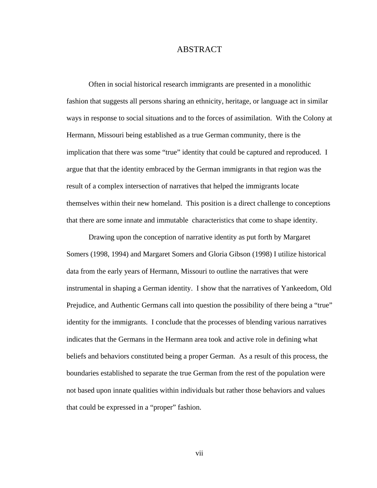## ABSTRACT

 Often in social historical research immigrants are presented in a monolithic fashion that suggests all persons sharing an ethnicity, heritage, or language act in similar ways in response to social situations and to the forces of assimilation. With the Colony at Hermann, Missouri being established as a true German community, there is the implication that there was some "true" identity that could be captured and reproduced. I argue that that the identity embraced by the German immigrants in that region was the result of a complex intersection of narratives that helped the immigrants locate themselves within their new homeland. This position is a direct challenge to conceptions that there are some innate and immutable characteristics that come to shape identity.

 Drawing upon the conception of narrative identity as put forth by Margaret Somers (1998, 1994) and Margaret Somers and Gloria Gibson (1998) I utilize historical data from the early years of Hermann, Missouri to outline the narratives that were instrumental in shaping a German identity. I show that the narratives of Yankeedom, Old Prejudice, and Authentic Germans call into question the possibility of there being a "true" identity for the immigrants. I conclude that the processes of blending various narratives indicates that the Germans in the Hermann area took and active role in defining what beliefs and behaviors constituted being a proper German. As a result of this process, the boundaries established to separate the true German from the rest of the population were not based upon innate qualities within individuals but rather those behaviors and values that could be expressed in a "proper" fashion.

vii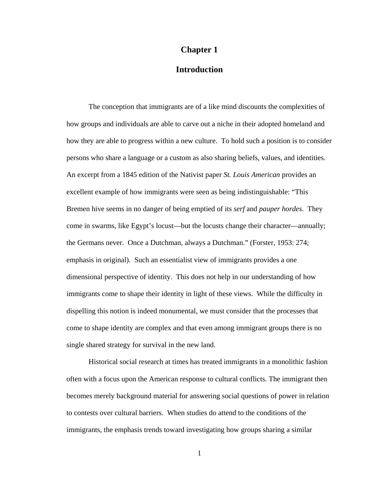## **Chapter 1**

# **Introduction**

The conception that immigrants are of a like mind discounts the complexities of how groups and individuals are able to carve out a niche in their adopted homeland and how they are able to progress within a new culture. To hold such a position is to consider persons who share a language or a custom as also sharing beliefs, values, and identities. An excerpt from a 1845 edition of the Nativist paper *St. Louis American* provides an excellent example of how immigrants were seen as being indistinguishable: "This Bremen hive seems in no danger of being emptied of its *serf* and *pauper hordes*. They come in swarms, like Egypt's locust—but the locusts change their character—annually; the Germans never. Once a Dutchman, always a Dutchman." (Forster, 1953: 274; emphasis in original). Such an essentialist view of immigrants provides a one dimensional perspective of identity. This does not help in our understanding of how immigrants come to shape their identity in light of these views. While the difficulty in dispelling this notion is indeed monumental, we must consider that the processes that come to shape identity are complex and that even among immigrant groups there is no single shared strategy for survival in the new land.

Historical social research at times has treated immigrants in a monolithic fashion often with a focus upon the American response to cultural conflicts. The immigrant then becomes merely background material for answering social questions of power in relation to contests over cultural barriers. When studies do attend to the conditions of the immigrants, the emphasis trends toward investigating how groups sharing a similar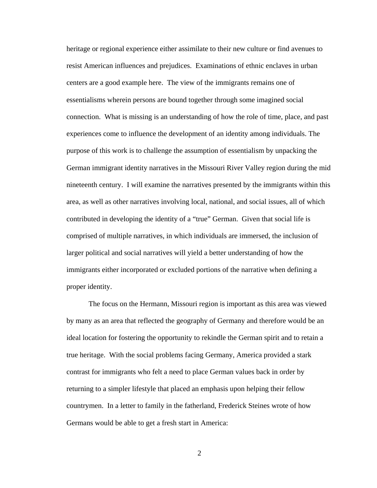heritage or regional experience either assimilate to their new culture or find avenues to resist American influences and prejudices. Examinations of ethnic enclaves in urban centers are a good example here. The view of the immigrants remains one of essentialisms wherein persons are bound together through some imagined social connection. What is missing is an understanding of how the role of time, place, and past experiences come to influence the development of an identity among individuals. The purpose of this work is to challenge the assumption of essentialism by unpacking the German immigrant identity narratives in the Missouri River Valley region during the mid nineteenth century. I will examine the narratives presented by the immigrants within this area, as well as other narratives involving local, national, and social issues, all of which contributed in developing the identity of a "true" German. Given that social life is comprised of multiple narratives, in which individuals are immersed, the inclusion of larger political and social narratives will yield a better understanding of how the immigrants either incorporated or excluded portions of the narrative when defining a proper identity.

The focus on the Hermann, Missouri region is important as this area was viewed by many as an area that reflected the geography of Germany and therefore would be an ideal location for fostering the opportunity to rekindle the German spirit and to retain a true heritage. With the social problems facing Germany, America provided a stark contrast for immigrants who felt a need to place German values back in order by returning to a simpler lifestyle that placed an emphasis upon helping their fellow countrymen. In a letter to family in the fatherland, Frederick Steines wrote of how Germans would be able to get a fresh start in America: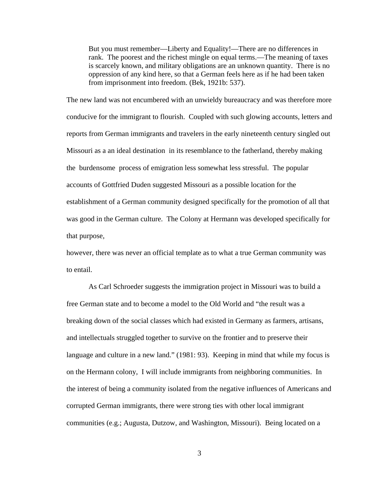But you must remember—Liberty and Equality!—There are no differences in rank. The poorest and the richest mingle on equal terms.—The meaning of taxes is scarcely known, and military obligations are an unknown quantity. There is no oppression of any kind here, so that a German feels here as if he had been taken from imprisonment into freedom. (Bek, 1921b: 537).

The new land was not encumbered with an unwieldy bureaucracy and was therefore more conducive for the immigrant to flourish. Coupled with such glowing accounts, letters and reports from German immigrants and travelers in the early nineteenth century singled out Missouri as a an ideal destination in its resemblance to the fatherland, thereby making the burdensome process of emigration less somewhat less stressful. The popular accounts of Gottfried Duden suggested Missouri as a possible location for the establishment of a German community designed specifically for the promotion of all that was good in the German culture. The Colony at Hermann was developed specifically for that purpose,

however, there was never an official template as to what a true German community was to entail.

As Carl Schroeder suggests the immigration project in Missouri was to build a free German state and to become a model to the Old World and "the result was a breaking down of the social classes which had existed in Germany as farmers, artisans, and intellectuals struggled together to survive on the frontier and to preserve their language and culture in a new land." (1981: 93). Keeping in mind that while my focus is on the Hermann colony, I will include immigrants from neighboring communities. In the interest of being a community isolated from the negative influences of Americans and corrupted German immigrants, there were strong ties with other local immigrant communities (e.g.; Augusta, Dutzow, and Washington, Missouri). Being located on a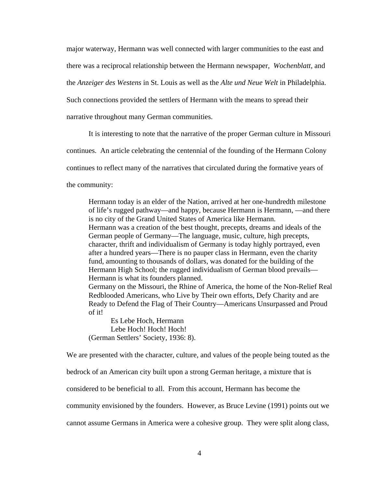major waterway, Hermann was well connected with larger communities to the east and there was a reciprocal relationship between the Hermann newspaper, *Wochenblatt*, and the *Anzeiger des Westens* in St. Louis as well as the *Alte und Neue Welt* in Philadelphia. Such connections provided the settlers of Hermann with the means to spread their narrative throughout many German communities.

It is interesting to note that the narrative of the proper German culture in Missouri

continues. An article celebrating the centennial of the founding of the Hermann Colony

continues to reflect many of the narratives that circulated during the formative years of

the community:

Hermann today is an elder of the Nation, arrived at her one-hundredth milestone of life's rugged pathway—and happy, because Hermann is Hermann, —and there is no city of the Grand United States of America like Hermann. Hermann was a creation of the best thought, precepts, dreams and ideals of the German people of Germany—The language, music, culture, high precepts, character, thrift and individualism of Germany is today highly portrayed, even after a hundred years—There is no pauper class in Hermann, even the charity fund, amounting to thousands of dollars, was donated for the building of the Hermann High School; the rugged individualism of German blood prevails— Hermann is what its founders planned. Germany on the Missouri, the Rhine of America, the home of the Non-Relief Real Redblooded Americans, who Live by Their own efforts, Defy Charity and are Ready to Defend the Flag of Their Country—Americans Unsurpassed and Proud of it!

 Es Lebe Hoch, Hermann Lebe Hoch! Hoch! Hoch! (German Settlers' Society, 1936: 8).

We are presented with the character, culture, and values of the people being touted as the

bedrock of an American city built upon a strong German heritage, a mixture that is

considered to be beneficial to all. From this account, Hermann has become the

community envisioned by the founders. However, as Bruce Levine (1991) points out we

cannot assume Germans in America were a cohesive group. They were split along class,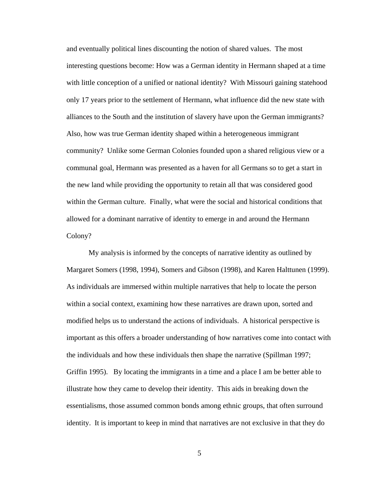and eventually political lines discounting the notion of shared values. The most interesting questions become: How was a German identity in Hermann shaped at a time with little conception of a unified or national identity? With Missouri gaining statehood only 17 years prior to the settlement of Hermann, what influence did the new state with alliances to the South and the institution of slavery have upon the German immigrants? Also, how was true German identity shaped within a heterogeneous immigrant community? Unlike some German Colonies founded upon a shared religious view or a communal goal, Hermann was presented as a haven for all Germans so to get a start in the new land while providing the opportunity to retain all that was considered good within the German culture. Finally, what were the social and historical conditions that allowed for a dominant narrative of identity to emerge in and around the Hermann Colony?

My analysis is informed by the concepts of narrative identity as outlined by Margaret Somers (1998, 1994), Somers and Gibson (1998), and Karen Halttunen (1999). As individuals are immersed within multiple narratives that help to locate the person within a social context, examining how these narratives are drawn upon, sorted and modified helps us to understand the actions of individuals. A historical perspective is important as this offers a broader understanding of how narratives come into contact with the individuals and how these individuals then shape the narrative (Spillman 1997; Griffin 1995). By locating the immigrants in a time and a place I am be better able to illustrate how they came to develop their identity. This aids in breaking down the essentialisms, those assumed common bonds among ethnic groups, that often surround identity. It is important to keep in mind that narratives are not exclusive in that they do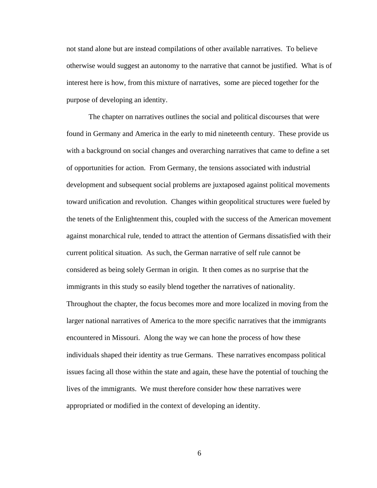not stand alone but are instead compilations of other available narratives. To believe otherwise would suggest an autonomy to the narrative that cannot be justified. What is of interest here is how, from this mixture of narratives, some are pieced together for the purpose of developing an identity.

The chapter on narratives outlines the social and political discourses that were found in Germany and America in the early to mid nineteenth century. These provide us with a background on social changes and overarching narratives that came to define a set of opportunities for action. From Germany, the tensions associated with industrial development and subsequent social problems are juxtaposed against political movements toward unification and revolution. Changes within geopolitical structures were fueled by the tenets of the Enlightenment this, coupled with the success of the American movement against monarchical rule, tended to attract the attention of Germans dissatisfied with their current political situation. As such, the German narrative of self rule cannot be considered as being solely German in origin. It then comes as no surprise that the immigrants in this study so easily blend together the narratives of nationality. Throughout the chapter, the focus becomes more and more localized in moving from the larger national narratives of America to the more specific narratives that the immigrants encountered in Missouri. Along the way we can hone the process of how these individuals shaped their identity as true Germans. These narratives encompass political issues facing all those within the state and again, these have the potential of touching the lives of the immigrants. We must therefore consider how these narratives were appropriated or modified in the context of developing an identity.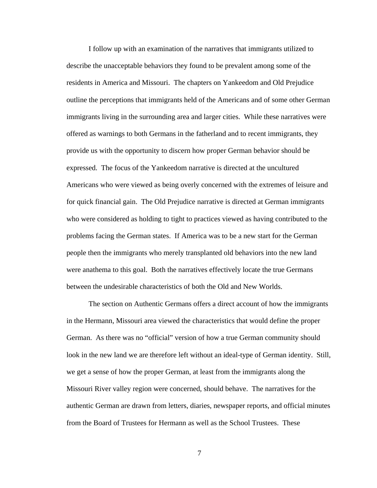I follow up with an examination of the narratives that immigrants utilized to describe the unacceptable behaviors they found to be prevalent among some of the residents in America and Missouri. The chapters on Yankeedom and Old Prejudice outline the perceptions that immigrants held of the Americans and of some other German immigrants living in the surrounding area and larger cities. While these narratives were offered as warnings to both Germans in the fatherland and to recent immigrants, they provide us with the opportunity to discern how proper German behavior should be expressed. The focus of the Yankeedom narrative is directed at the uncultured Americans who were viewed as being overly concerned with the extremes of leisure and for quick financial gain. The Old Prejudice narrative is directed at German immigrants who were considered as holding to tight to practices viewed as having contributed to the problems facing the German states. If America was to be a new start for the German people then the immigrants who merely transplanted old behaviors into the new land were anathema to this goal. Both the narratives effectively locate the true Germans between the undesirable characteristics of both the Old and New Worlds.

The section on Authentic Germans offers a direct account of how the immigrants in the Hermann, Missouri area viewed the characteristics that would define the proper German. As there was no "official" version of how a true German community should look in the new land we are therefore left without an ideal-type of German identity. Still, we get a sense of how the proper German, at least from the immigrants along the Missouri River valley region were concerned, should behave. The narratives for the authentic German are drawn from letters, diaries, newspaper reports, and official minutes from the Board of Trustees for Hermann as well as the School Trustees. These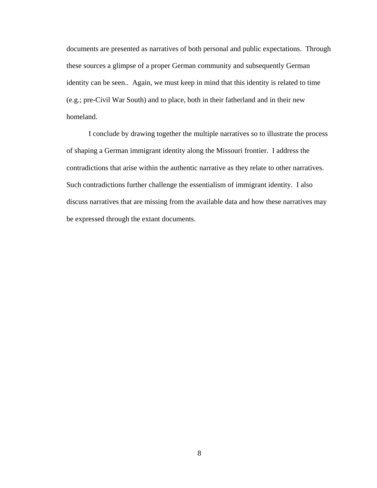documents are presented as narratives of both personal and public expectations. Through these sources a glimpse of a proper German community and subsequently German identity can be seen.. Again, we must keep in mind that this identity is related to time (e.g.; pre-Civil War South) and to place, both in their fatherland and in their new homeland.

I conclude by drawing together the multiple narratives so to illustrate the process of shaping a German immigrant identity along the Missouri frontier. I address the contradictions that arise within the authentic narrative as they relate to other narratives. Such contradictions further challenge the essentialism of immigrant identity. I also discuss narratives that are missing from the available data and how these narratives may be expressed through the extant documents.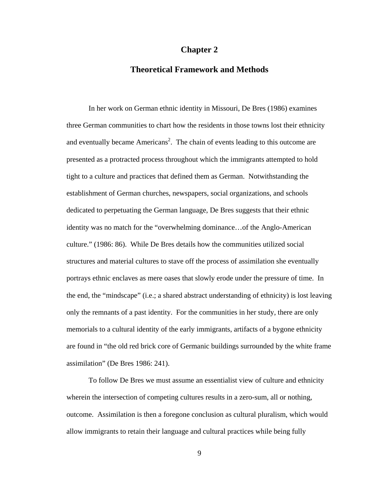## **Chapter 2**

## **Theoretical Framework and Methods**

 In her work on German ethnic identity in Missouri, De Bres (1986) examines three German communities to chart how the residents in those towns lost their ethnicity and eventually became  $A$ mericans<sup>2</sup>. The chain of events leading to this outcome are presented as a protracted process throughout which the immigrants attempted to hold tight to a culture and practices that defined them as German. Notwithstanding the establishment of German churches, newspapers, social organizations, and schools dedicated to perpetuating the German language, De Bres suggests that their ethnic identity was no match for the "overwhelming dominance…of the Anglo-American culture." (1986: 86). While De Bres details how the communities utilized social structures and material cultures to stave off the process of assimilation she eventually portrays ethnic enclaves as mere oases that slowly erode under the pressure of time. In the end, the "mindscape" (i.e.; a shared abstract understanding of ethnicity) is lost leaving only the remnants of a past identity. For the communities in her study, there are only memorials to a cultural identity of the early immigrants, artifacts of a bygone ethnicity are found in "the old red brick core of Germanic buildings surrounded by the white frame assimilation" (De Bres 1986: 241).

 To follow De Bres we must assume an essentialist view of culture and ethnicity wherein the intersection of competing cultures results in a zero-sum, all or nothing, outcome. Assimilation is then a foregone conclusion as cultural pluralism, which would allow immigrants to retain their language and cultural practices while being fully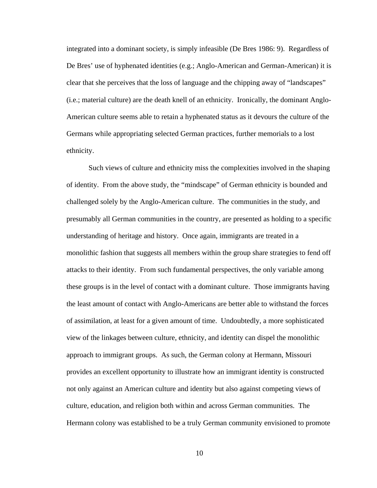integrated into a dominant society, is simply infeasible (De Bres 1986: 9). Regardless of De Bres' use of hyphenated identities (e.g.; Anglo-American and German-American) it is clear that she perceives that the loss of language and the chipping away of "landscapes" (i.e.; material culture) are the death knell of an ethnicity. Ironically, the dominant Anglo-American culture seems able to retain a hyphenated status as it devours the culture of the Germans while appropriating selected German practices, further memorials to a lost ethnicity.

 Such views of culture and ethnicity miss the complexities involved in the shaping of identity. From the above study, the "mindscape" of German ethnicity is bounded and challenged solely by the Anglo-American culture. The communities in the study, and presumably all German communities in the country, are presented as holding to a specific understanding of heritage and history. Once again, immigrants are treated in a monolithic fashion that suggests all members within the group share strategies to fend off attacks to their identity. From such fundamental perspectives, the only variable among these groups is in the level of contact with a dominant culture. Those immigrants having the least amount of contact with Anglo-Americans are better able to withstand the forces of assimilation, at least for a given amount of time. Undoubtedly, a more sophisticated view of the linkages between culture, ethnicity, and identity can dispel the monolithic approach to immigrant groups. As such, the German colony at Hermann, Missouri provides an excellent opportunity to illustrate how an immigrant identity is constructed not only against an American culture and identity but also against competing views of culture, education, and religion both within and across German communities. The Hermann colony was established to be a truly German community envisioned to promote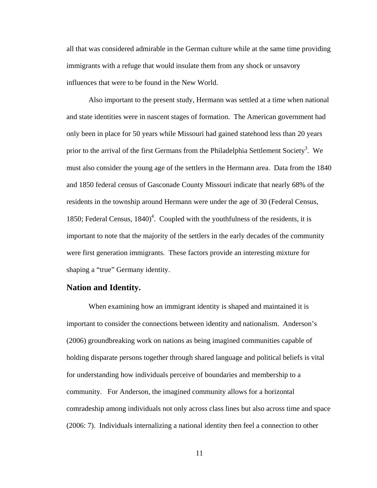all that was considered admirable in the German culture while at the same time providing immigrants with a refuge that would insulate them from any shock or unsavory influences that were to be found in the New World.

Also important to the present study, Hermann was settled at a time when national and state identities were in nascent stages of formation. The American government had only been in place for 50 years while Missouri had gained statehood less than 20 years prior to the arrival of the first Germans from the Philadelphia Settlement Society<sup>3</sup>. We must also consider the young age of the settlers in the Hermann area. Data from the 1840 and 1850 federal census of Gasconade County Missouri indicate that nearly 68% of the residents in the township around Hermann were under the age of 30 (Federal Census, 1850; Federal Census,  $1840<sup>4</sup>$ . Coupled with the youthfulness of the residents, it is important to note that the majority of the settlers in the early decades of the community were first generation immigrants. These factors provide an interesting mixture for shaping a "true" Germany identity.

## **Nation and Identity.**

 When examining how an immigrant identity is shaped and maintained it is important to consider the connections between identity and nationalism. Anderson's (2006) groundbreaking work on nations as being imagined communities capable of holding disparate persons together through shared language and political beliefs is vital for understanding how individuals perceive of boundaries and membership to a community. For Anderson, the imagined community allows for a horizontal comradeship among individuals not only across class lines but also across time and space (2006: 7). Individuals internalizing a national identity then feel a connection to other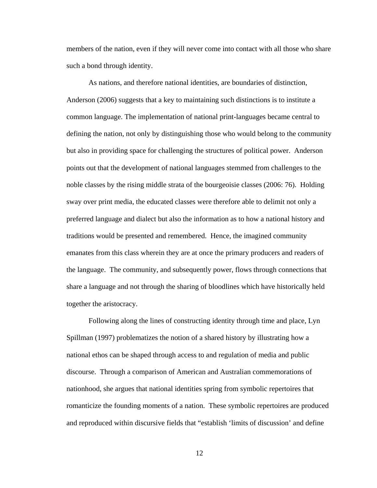members of the nation, even if they will never come into contact with all those who share such a bond through identity.

 As nations, and therefore national identities, are boundaries of distinction, Anderson (2006) suggests that a key to maintaining such distinctions is to institute a common language. The implementation of national print-languages became central to defining the nation, not only by distinguishing those who would belong to the community but also in providing space for challenging the structures of political power. Anderson points out that the development of national languages stemmed from challenges to the noble classes by the rising middle strata of the bourgeoisie classes (2006: 76). Holding sway over print media, the educated classes were therefore able to delimit not only a preferred language and dialect but also the information as to how a national history and traditions would be presented and remembered. Hence, the imagined community emanates from this class wherein they are at once the primary producers and readers of the language. The community, and subsequently power, flows through connections that share a language and not through the sharing of bloodlines which have historically held together the aristocracy.

 Following along the lines of constructing identity through time and place, Lyn Spillman (1997) problematizes the notion of a shared history by illustrating how a national ethos can be shaped through access to and regulation of media and public discourse. Through a comparison of American and Australian commemorations of nationhood, she argues that national identities spring from symbolic repertoires that romanticize the founding moments of a nation. These symbolic repertoires are produced and reproduced within discursive fields that "establish 'limits of discussion' and define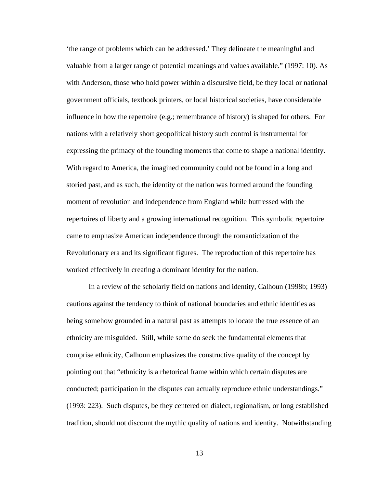'the range of problems which can be addressed.' They delineate the meaningful and valuable from a larger range of potential meanings and values available." (1997: 10). As with Anderson, those who hold power within a discursive field, be they local or national government officials, textbook printers, or local historical societies, have considerable influence in how the repertoire (e.g.; remembrance of history) is shaped for others. For nations with a relatively short geopolitical history such control is instrumental for expressing the primacy of the founding moments that come to shape a national identity. With regard to America, the imagined community could not be found in a long and storied past, and as such, the identity of the nation was formed around the founding moment of revolution and independence from England while buttressed with the repertoires of liberty and a growing international recognition. This symbolic repertoire came to emphasize American independence through the romanticization of the Revolutionary era and its significant figures. The reproduction of this repertoire has worked effectively in creating a dominant identity for the nation.

 In a review of the scholarly field on nations and identity, Calhoun (1998b; 1993) cautions against the tendency to think of national boundaries and ethnic identities as being somehow grounded in a natural past as attempts to locate the true essence of an ethnicity are misguided. Still, while some do seek the fundamental elements that comprise ethnicity, Calhoun emphasizes the constructive quality of the concept by pointing out that "ethnicity is a rhetorical frame within which certain disputes are conducted; participation in the disputes can actually reproduce ethnic understandings." (1993: 223). Such disputes, be they centered on dialect, regionalism, or long established tradition, should not discount the mythic quality of nations and identity. Notwithstanding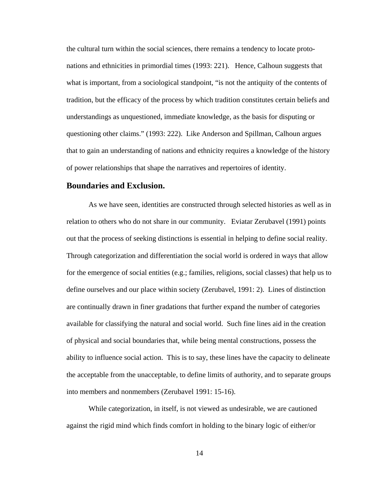the cultural turn within the social sciences, there remains a tendency to locate protonations and ethnicities in primordial times (1993: 221). Hence, Calhoun suggests that what is important, from a sociological standpoint, "is not the antiquity of the contents of tradition, but the efficacy of the process by which tradition constitutes certain beliefs and understandings as unquestioned, immediate knowledge, as the basis for disputing or questioning other claims." (1993: 222). Like Anderson and Spillman, Calhoun argues that to gain an understanding of nations and ethnicity requires a knowledge of the history of power relationships that shape the narratives and repertoires of identity.

## **Boundaries and Exclusion.**

 As we have seen, identities are constructed through selected histories as well as in relation to others who do not share in our community. Eviatar Zerubavel (1991) points out that the process of seeking distinctions is essential in helping to define social reality. Through categorization and differentiation the social world is ordered in ways that allow for the emergence of social entities (e.g.; families, religions, social classes) that help us to define ourselves and our place within society (Zerubavel, 1991: 2). Lines of distinction are continually drawn in finer gradations that further expand the number of categories available for classifying the natural and social world. Such fine lines aid in the creation of physical and social boundaries that, while being mental constructions, possess the ability to influence social action. This is to say, these lines have the capacity to delineate the acceptable from the unacceptable, to define limits of authority, and to separate groups into members and nonmembers (Zerubavel 1991: 15-16).

 While categorization, in itself, is not viewed as undesirable, we are cautioned against the rigid mind which finds comfort in holding to the binary logic of either/or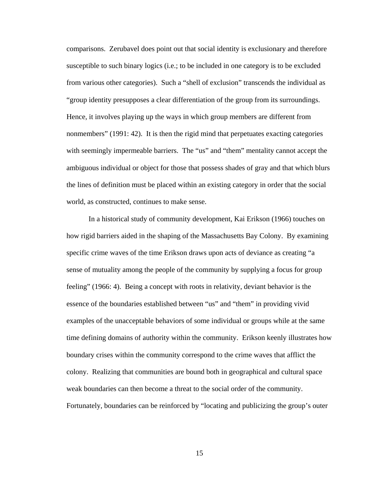comparisons. Zerubavel does point out that social identity is exclusionary and therefore susceptible to such binary logics (i.e.; to be included in one category is to be excluded from various other categories). Such a "shell of exclusion" transcends the individual as "group identity presupposes a clear differentiation of the group from its surroundings. Hence, it involves playing up the ways in which group members are different from nonmembers" (1991: 42). It is then the rigid mind that perpetuates exacting categories with seemingly impermeable barriers. The "us" and "them" mentality cannot accept the ambiguous individual or object for those that possess shades of gray and that which blurs the lines of definition must be placed within an existing category in order that the social world, as constructed, continues to make sense.

In a historical study of community development, Kai Erikson (1966) touches on how rigid barriers aided in the shaping of the Massachusetts Bay Colony. By examining specific crime waves of the time Erikson draws upon acts of deviance as creating "a sense of mutuality among the people of the community by supplying a focus for group feeling" (1966: 4). Being a concept with roots in relativity, deviant behavior is the essence of the boundaries established between "us" and "them" in providing vivid examples of the unacceptable behaviors of some individual or groups while at the same time defining domains of authority within the community. Erikson keenly illustrates how boundary crises within the community correspond to the crime waves that afflict the colony. Realizing that communities are bound both in geographical and cultural space weak boundaries can then become a threat to the social order of the community. Fortunately, boundaries can be reinforced by "locating and publicizing the group's outer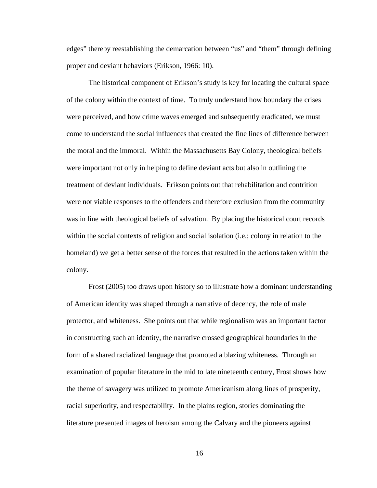edges" thereby reestablishing the demarcation between "us" and "them" through defining proper and deviant behaviors (Erikson, 1966: 10).

The historical component of Erikson's study is key for locating the cultural space of the colony within the context of time. To truly understand how boundary the crises were perceived, and how crime waves emerged and subsequently eradicated, we must come to understand the social influences that created the fine lines of difference between the moral and the immoral. Within the Massachusetts Bay Colony, theological beliefs were important not only in helping to define deviant acts but also in outlining the treatment of deviant individuals. Erikson points out that rehabilitation and contrition were not viable responses to the offenders and therefore exclusion from the community was in line with theological beliefs of salvation. By placing the historical court records within the social contexts of religion and social isolation (i.e.; colony in relation to the homeland) we get a better sense of the forces that resulted in the actions taken within the colony.

Frost (2005) too draws upon history so to illustrate how a dominant understanding of American identity was shaped through a narrative of decency, the role of male protector, and whiteness. She points out that while regionalism was an important factor in constructing such an identity, the narrative crossed geographical boundaries in the form of a shared racialized language that promoted a blazing whiteness. Through an examination of popular literature in the mid to late nineteenth century, Frost shows how the theme of savagery was utilized to promote Americanism along lines of prosperity, racial superiority, and respectability. In the plains region, stories dominating the literature presented images of heroism among the Calvary and the pioneers against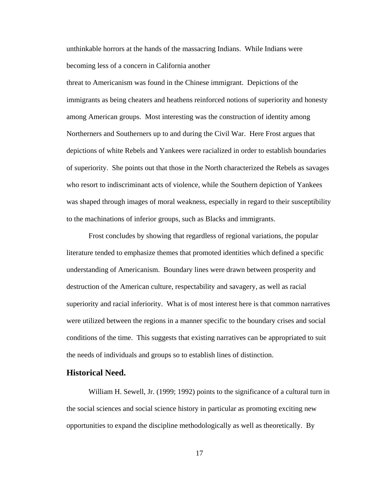unthinkable horrors at the hands of the massacring Indians. While Indians were becoming less of a concern in California another

threat to Americanism was found in the Chinese immigrant. Depictions of the immigrants as being cheaters and heathens reinforced notions of superiority and honesty among American groups. Most interesting was the construction of identity among Northerners and Southerners up to and during the Civil War. Here Frost argues that depictions of white Rebels and Yankees were racialized in order to establish boundaries of superiority. She points out that those in the North characterized the Rebels as savages who resort to indiscriminant acts of violence, while the Southern depiction of Yankees was shaped through images of moral weakness, especially in regard to their susceptibility to the machinations of inferior groups, such as Blacks and immigrants.

Frost concludes by showing that regardless of regional variations, the popular literature tended to emphasize themes that promoted identities which defined a specific understanding of Americanism. Boundary lines were drawn between prosperity and destruction of the American culture, respectability and savagery, as well as racial superiority and racial inferiority. What is of most interest here is that common narratives were utilized between the regions in a manner specific to the boundary crises and social conditions of the time. This suggests that existing narratives can be appropriated to suit the needs of individuals and groups so to establish lines of distinction.

### **Historical Need.**

 William H. Sewell, Jr. (1999; 1992) points to the significance of a cultural turn in the social sciences and social science history in particular as promoting exciting new opportunities to expand the discipline methodologically as well as theoretically. By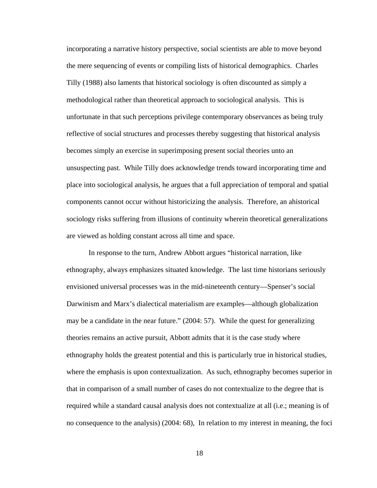incorporating a narrative history perspective, social scientists are able to move beyond the mere sequencing of events or compiling lists of historical demographics. Charles Tilly (1988) also laments that historical sociology is often discounted as simply a methodological rather than theoretical approach to sociological analysis. This is unfortunate in that such perceptions privilege contemporary observances as being truly reflective of social structures and processes thereby suggesting that historical analysis becomes simply an exercise in superimposing present social theories unto an unsuspecting past. While Tilly does acknowledge trends toward incorporating time and place into sociological analysis, he argues that a full appreciation of temporal and spatial components cannot occur without historicizing the analysis. Therefore, an ahistorical sociology risks suffering from illusions of continuity wherein theoretical generalizations are viewed as holding constant across all time and space.

 In response to the turn, Andrew Abbott argues "historical narration, like ethnography, always emphasizes situated knowledge. The last time historians seriously envisioned universal processes was in the mid-nineteenth century—Spenser's social Darwinism and Marx's dialectical materialism are examples—although globalization may be a candidate in the near future." (2004: 57). While the quest for generalizing theories remains an active pursuit, Abbott admits that it is the case study where ethnography holds the greatest potential and this is particularly true in historical studies, where the emphasis is upon contextualization. As such, ethnography becomes superior in that in comparison of a small number of cases do not contextualize to the degree that is required while a standard causal analysis does not contextualize at all (i.e.; meaning is of no consequence to the analysis) (2004: 68), In relation to my interest in meaning, the foci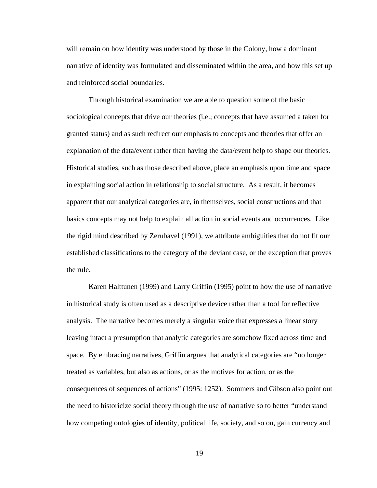will remain on how identity was understood by those in the Colony, how a dominant narrative of identity was formulated and disseminated within the area, and how this set up and reinforced social boundaries.

Through historical examination we are able to question some of the basic sociological concepts that drive our theories (i.e.; concepts that have assumed a taken for granted status) and as such redirect our emphasis to concepts and theories that offer an explanation of the data/event rather than having the data/event help to shape our theories. Historical studies, such as those described above, place an emphasis upon time and space in explaining social action in relationship to social structure. As a result, it becomes apparent that our analytical categories are, in themselves, social constructions and that basics concepts may not help to explain all action in social events and occurrences. Like the rigid mind described by Zerubavel (1991), we attribute ambiguities that do not fit our established classifications to the category of the deviant case, or the exception that proves the rule.

Karen Halttunen (1999) and Larry Griffin (1995) point to how the use of narrative in historical study is often used as a descriptive device rather than a tool for reflective analysis. The narrative becomes merely a singular voice that expresses a linear story leaving intact a presumption that analytic categories are somehow fixed across time and space. By embracing narratives, Griffin argues that analytical categories are "no longer treated as variables, but also as actions, or as the motives for action, or as the consequences of sequences of actions" (1995: 1252). Sommers and Gibson also point out the need to historicize social theory through the use of narrative so to better "understand how competing ontologies of identity, political life, society, and so on, gain currency and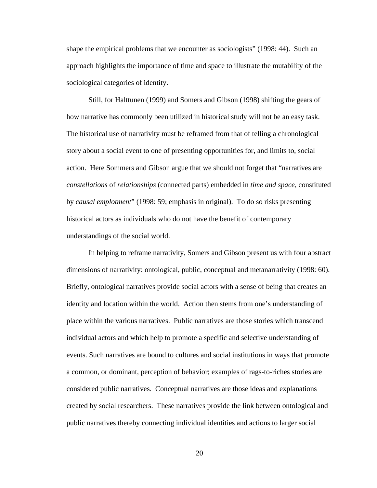shape the empirical problems that we encounter as sociologists" (1998: 44). Such an approach highlights the importance of time and space to illustrate the mutability of the sociological categories of identity.

Still, for Halttunen (1999) and Somers and Gibson (1998) shifting the gears of how narrative has commonly been utilized in historical study will not be an easy task. The historical use of narrativity must be reframed from that of telling a chronological story about a social event to one of presenting opportunities for, and limits to, social action. Here Sommers and Gibson argue that we should not forget that "narratives are *constellations* of *relationships* (connected parts) embedded in *time and space*, constituted by *causal emplotment*" (1998: 59; emphasis in original). To do so risks presenting historical actors as individuals who do not have the benefit of contemporary understandings of the social world.

In helping to reframe narrativity, Somers and Gibson present us with four abstract dimensions of narrativity: ontological, public, conceptual and metanarrativity (1998: 60). Briefly, ontological narratives provide social actors with a sense of being that creates an identity and location within the world. Action then stems from one's understanding of place within the various narratives. Public narratives are those stories which transcend individual actors and which help to promote a specific and selective understanding of events. Such narratives are bound to cultures and social institutions in ways that promote a common, or dominant, perception of behavior; examples of rags-to-riches stories are considered public narratives. Conceptual narratives are those ideas and explanations created by social researchers. These narratives provide the link between ontological and public narratives thereby connecting individual identities and actions to larger social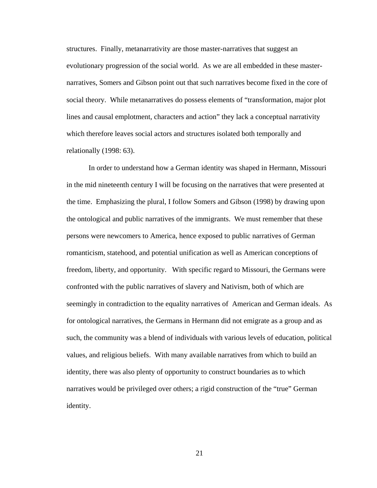structures. Finally, metanarrativity are those master-narratives that suggest an evolutionary progression of the social world. As we are all embedded in these masternarratives, Somers and Gibson point out that such narratives become fixed in the core of social theory. While metanarratives do possess elements of "transformation, major plot lines and causal emplotment, characters and action" they lack a conceptual narrativity which therefore leaves social actors and structures isolated both temporally and relationally (1998: 63).

 In order to understand how a German identity was shaped in Hermann, Missouri in the mid nineteenth century I will be focusing on the narratives that were presented at the time. Emphasizing the plural, I follow Somers and Gibson (1998) by drawing upon the ontological and public narratives of the immigrants. We must remember that these persons were newcomers to America, hence exposed to public narratives of German romanticism, statehood, and potential unification as well as American conceptions of freedom, liberty, and opportunity. With specific regard to Missouri, the Germans were confronted with the public narratives of slavery and Nativism, both of which are seemingly in contradiction to the equality narratives of American and German ideals. As for ontological narratives, the Germans in Hermann did not emigrate as a group and as such, the community was a blend of individuals with various levels of education, political values, and religious beliefs. With many available narratives from which to build an identity, there was also plenty of opportunity to construct boundaries as to which narratives would be privileged over others; a rigid construction of the "true" German identity.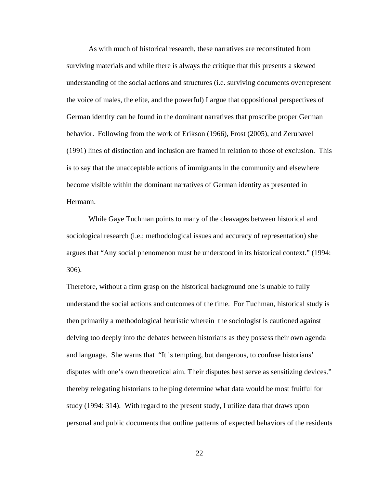As with much of historical research, these narratives are reconstituted from surviving materials and while there is always the critique that this presents a skewed understanding of the social actions and structures (i.e. surviving documents overrepresent the voice of males, the elite, and the powerful) I argue that oppositional perspectives of German identity can be found in the dominant narratives that proscribe proper German behavior. Following from the work of Erikson (1966), Frost (2005), and Zerubavel (1991) lines of distinction and inclusion are framed in relation to those of exclusion. This is to say that the unacceptable actions of immigrants in the community and elsewhere become visible within the dominant narratives of German identity as presented in Hermann.

While Gaye Tuchman points to many of the cleavages between historical and sociological research (i.e.; methodological issues and accuracy of representation) she argues that "Any social phenomenon must be understood in its historical context." (1994: 306).

Therefore, without a firm grasp on the historical background one is unable to fully understand the social actions and outcomes of the time. For Tuchman, historical study is then primarily a methodological heuristic wherein the sociologist is cautioned against delving too deeply into the debates between historians as they possess their own agenda and language. She warns that "It is tempting, but dangerous, to confuse historians' disputes with one's own theoretical aim. Their disputes best serve as sensitizing devices." thereby relegating historians to helping determine what data would be most fruitful for study (1994: 314). With regard to the present study, I utilize data that draws upon personal and public documents that outline patterns of expected behaviors of the residents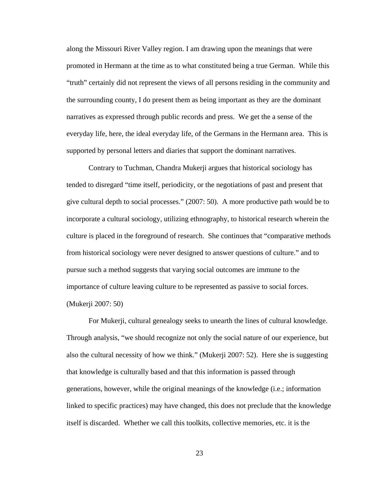along the Missouri River Valley region. I am drawing upon the meanings that were promoted in Hermann at the time as to what constituted being a true German. While this "truth" certainly did not represent the views of all persons residing in the community and the surrounding county, I do present them as being important as they are the dominant narratives as expressed through public records and press. We get the a sense of the everyday life, here, the ideal everyday life, of the Germans in the Hermann area. This is supported by personal letters and diaries that support the dominant narratives.

 Contrary to Tuchman, Chandra Mukerji argues that historical sociology has tended to disregard "time itself, periodicity, or the negotiations of past and present that give cultural depth to social processes." (2007: 50). A more productive path would be to incorporate a cultural sociology, utilizing ethnography, to historical research wherein the culture is placed in the foreground of research. She continues that "comparative methods from historical sociology were never designed to answer questions of culture." and to pursue such a method suggests that varying social outcomes are immune to the importance of culture leaving culture to be represented as passive to social forces. (Mukerji 2007: 50)

 For Mukerji, cultural genealogy seeks to unearth the lines of cultural knowledge. Through analysis, "we should recognize not only the social nature of our experience, but also the cultural necessity of how we think." (Mukerji 2007: 52). Here she is suggesting that knowledge is culturally based and that this information is passed through generations, however, while the original meanings of the knowledge (i.e.; information linked to specific practices) may have changed, this does not preclude that the knowledge itself is discarded. Whether we call this toolkits, collective memories, etc. it is the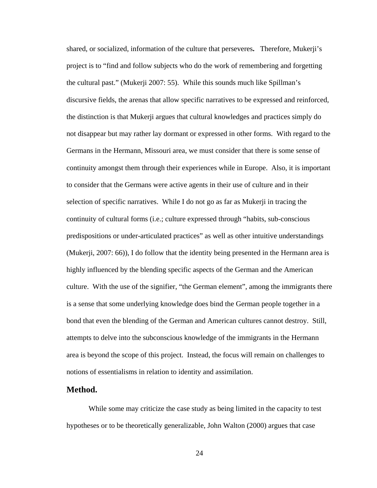shared, or socialized, information of the culture that perseveres**.** Therefore, Mukerji's project is to "find and follow subjects who do the work of remembering and forgetting the cultural past." (Mukerji 2007: 55). While this sounds much like Spillman's discursive fields, the arenas that allow specific narratives to be expressed and reinforced, the distinction is that Mukerji argues that cultural knowledges and practices simply do not disappear but may rather lay dormant or expressed in other forms.With regard to the Germans in the Hermann, Missouri area, we must consider that there is some sense of continuity amongst them through their experiences while in Europe. Also, it is important to consider that the Germans were active agents in their use of culture and in their selection of specific narratives. While I do not go as far as Mukerji in tracing the continuity of cultural forms (i.e.; culture expressed through "habits, sub-conscious predispositions or under-articulated practices" as well as other intuitive understandings (Mukerji, 2007: 66)), I do follow that the identity being presented in the Hermann area is highly influenced by the blending specific aspects of the German and the American culture. With the use of the signifier, "the German element", among the immigrants there is a sense that some underlying knowledge does bind the German people together in a bond that even the blending of the German and American cultures cannot destroy. Still, attempts to delve into the subconscious knowledge of the immigrants in the Hermann area is beyond the scope of this project. Instead, the focus will remain on challenges to notions of essentialisms in relation to identity and assimilation.

## **Method.**

While some may criticize the case study as being limited in the capacity to test hypotheses or to be theoretically generalizable, John Walton (2000) argues that case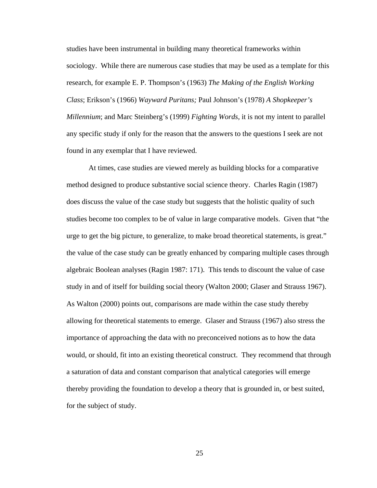studies have been instrumental in building many theoretical frameworks within sociology. While there are numerous case studies that may be used as a template for this research, for example E. P. Thompson's (1963) *The Making of the English Working Class*; Erikson's (1966) *Wayward Puritans;* Paul Johnson's (1978) *A Shopkeeper's Millennium*; and Marc Steinberg's (1999) *Fighting Words*, it is not my intent to parallel any specific study if only for the reason that the answers to the questions I seek are not found in any exemplar that I have reviewed.

At times, case studies are viewed merely as building blocks for a comparative method designed to produce substantive social science theory. Charles Ragin (1987) does discuss the value of the case study but suggests that the holistic quality of such studies become too complex to be of value in large comparative models. Given that "the urge to get the big picture, to generalize, to make broad theoretical statements, is great." the value of the case study can be greatly enhanced by comparing multiple cases through algebraic Boolean analyses (Ragin 1987: 171). This tends to discount the value of case study in and of itself for building social theory (Walton 2000; Glaser and Strauss 1967). As Walton (2000) points out, comparisons are made within the case study thereby allowing for theoretical statements to emerge. Glaser and Strauss (1967) also stress the importance of approaching the data with no preconceived notions as to how the data would, or should, fit into an existing theoretical construct. They recommend that through a saturation of data and constant comparison that analytical categories will emerge thereby providing the foundation to develop a theory that is grounded in, or best suited, for the subject of study.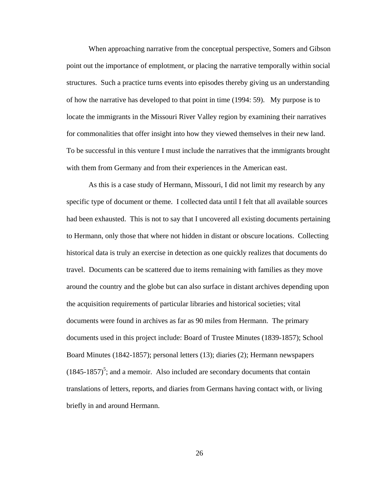When approaching narrative from the conceptual perspective, Somers and Gibson point out the importance of emplotment, or placing the narrative temporally within social structures. Such a practice turns events into episodes thereby giving us an understanding of how the narrative has developed to that point in time (1994: 59). My purpose is to locate the immigrants in the Missouri River Valley region by examining their narratives for commonalities that offer insight into how they viewed themselves in their new land. To be successful in this venture I must include the narratives that the immigrants brought with them from Germany and from their experiences in the American east.

As this is a case study of Hermann, Missouri, I did not limit my research by any specific type of document or theme. I collected data until I felt that all available sources had been exhausted. This is not to say that I uncovered all existing documents pertaining to Hermann, only those that where not hidden in distant or obscure locations. Collecting historical data is truly an exercise in detection as one quickly realizes that documents do travel. Documents can be scattered due to items remaining with families as they move around the country and the globe but can also surface in distant archives depending upon the acquisition requirements of particular libraries and historical societies; vital documents were found in archives as far as 90 miles from Hermann. The primary documents used in this project include: Board of Trustee Minutes (1839-1857); School Board Minutes (1842-1857); personal letters (13); diaries (2); Hermann newspapers  $(1845-1857)^5$ ; and a memoir. Also included are secondary documents that contain translations of letters, reports, and diaries from Germans having contact with, or living briefly in and around Hermann.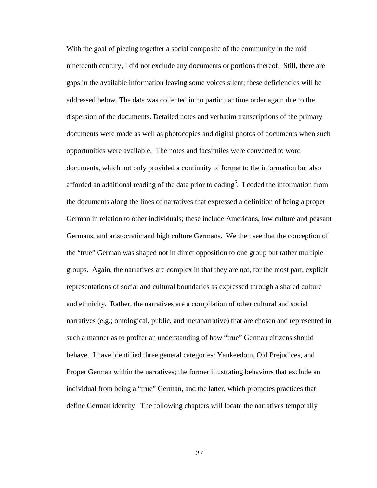With the goal of piecing together a social composite of the community in the mid nineteenth century, I did not exclude any documents or portions thereof. Still, there are gaps in the available information leaving some voices silent; these deficiencies will be addressed below. The data was collected in no particular time order again due to the dispersion of the documents. Detailed notes and verbatim transcriptions of the primary documents were made as well as photocopies and digital photos of documents when such opportunities were available. The notes and facsimiles were converted to word documents, which not only provided a continuity of format to the information but also afforded an additional reading of the data prior to coding<sup>6</sup>. I coded the information from the documents along the lines of narratives that expressed a definition of being a proper German in relation to other individuals; these include Americans, low culture and peasant Germans, and aristocratic and high culture Germans. We then see that the conception of the "true" German was shaped not in direct opposition to one group but rather multiple groups. Again, the narratives are complex in that they are not, for the most part, explicit representations of social and cultural boundaries as expressed through a shared culture and ethnicity. Rather, the narratives are a compilation of other cultural and social narratives (e.g.; ontological, public, and metanarrative) that are chosen and represented in such a manner as to proffer an understanding of how "true" German citizens should behave. I have identified three general categories: Yankeedom, Old Prejudices, and Proper German within the narratives; the former illustrating behaviors that exclude an individual from being a "true" German, and the latter, which promotes practices that define German identity. The following chapters will locate the narratives temporally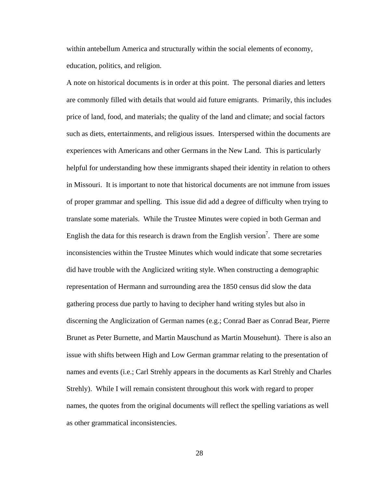within antebellum America and structurally within the social elements of economy, education, politics, and religion.

A note on historical documents is in order at this point. The personal diaries and letters are commonly filled with details that would aid future emigrants. Primarily, this includes price of land, food, and materials; the quality of the land and climate; and social factors such as diets, entertainments, and religious issues. Interspersed within the documents are experiences with Americans and other Germans in the New Land. This is particularly helpful for understanding how these immigrants shaped their identity in relation to others in Missouri. It is important to note that historical documents are not immune from issues of proper grammar and spelling. This issue did add a degree of difficulty when trying to translate some materials. While the Trustee Minutes were copied in both German and English the data for this research is drawn from the English version<sup>7</sup>. There are some inconsistencies within the Trustee Minutes which would indicate that some secretaries did have trouble with the Anglicized writing style. When constructing a demographic representation of Hermann and surrounding area the 1850 census did slow the data gathering process due partly to having to decipher hand writing styles but also in discerning the Anglicization of German names (e.g.; Conrad Baer as Conrad Bear, Pierre Brunet as Peter Burnette, and Martin Mauschund as Martin Mousehunt). There is also an issue with shifts between High and Low German grammar relating to the presentation of names and events (i.e.; Carl Strehly appears in the documents as Karl Strehly and Charles Strehly). While I will remain consistent throughout this work with regard to proper names, the quotes from the original documents will reflect the spelling variations as well as other grammatical inconsistencies.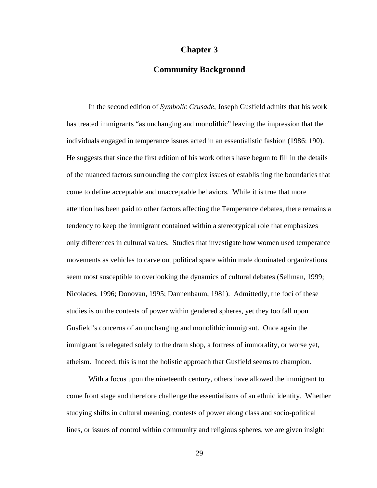## **Chapter 3**

# **Community Background**

In the second edition of *Symbolic Crusade*, Joseph Gusfield admits that his work has treated immigrants "as unchanging and monolithic" leaving the impression that the individuals engaged in temperance issues acted in an essentialistic fashion (1986: 190). He suggests that since the first edition of his work others have begun to fill in the details of the nuanced factors surrounding the complex issues of establishing the boundaries that come to define acceptable and unacceptable behaviors. While it is true that more attention has been paid to other factors affecting the Temperance debates, there remains a tendency to keep the immigrant contained within a stereotypical role that emphasizes only differences in cultural values. Studies that investigate how women used temperance movements as vehicles to carve out political space within male dominated organizations seem most susceptible to overlooking the dynamics of cultural debates (Sellman, 1999; Nicolades, 1996; Donovan, 1995; Dannenbaum, 1981). Admittedly, the foci of these studies is on the contests of power within gendered spheres, yet they too fall upon Gusfield's concerns of an unchanging and monolithic immigrant. Once again the immigrant is relegated solely to the dram shop, a fortress of immorality, or worse yet, atheism. Indeed, this is not the holistic approach that Gusfield seems to champion.

 With a focus upon the nineteenth century, others have allowed the immigrant to come front stage and therefore challenge the essentialisms of an ethnic identity. Whether studying shifts in cultural meaning, contests of power along class and socio-political lines, or issues of control within community and religious spheres, we are given insight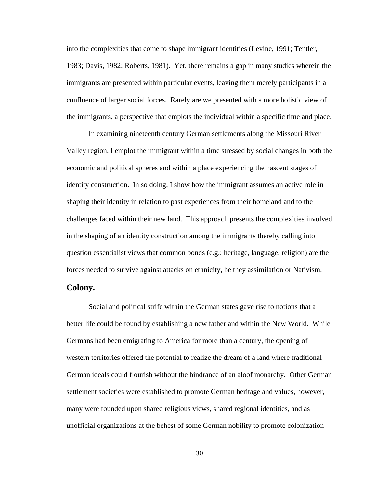into the complexities that come to shape immigrant identities (Levine, 1991; Tentler, 1983; Davis, 1982; Roberts, 1981). Yet, there remains a gap in many studies wherein the immigrants are presented within particular events, leaving them merely participants in a confluence of larger social forces. Rarely are we presented with a more holistic view of the immigrants, a perspective that emplots the individual within a specific time and place.

 In examining nineteenth century German settlements along the Missouri River Valley region, I emplot the immigrant within a time stressed by social changes in both the economic and political spheres and within a place experiencing the nascent stages of identity construction. In so doing, I show how the immigrant assumes an active role in shaping their identity in relation to past experiences from their homeland and to the challenges faced within their new land. This approach presents the complexities involved in the shaping of an identity construction among the immigrants thereby calling into question essentialist views that common bonds (e.g.; heritage, language, religion) are the forces needed to survive against attacks on ethnicity, be they assimilation or Nativism.

## **Colony.**

Social and political strife within the German states gave rise to notions that a better life could be found by establishing a new fatherland within the New World. While Germans had been emigrating to America for more than a century, the opening of western territories offered the potential to realize the dream of a land where traditional German ideals could flourish without the hindrance of an aloof monarchy. Other German settlement societies were established to promote German heritage and values, however, many were founded upon shared religious views, shared regional identities, and as unofficial organizations at the behest of some German nobility to promote colonization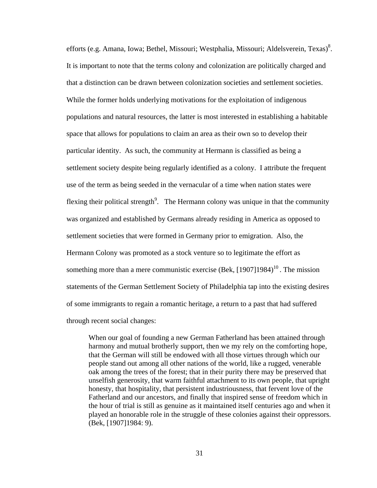efforts (e.g. Amana, Iowa; Bethel, Missouri; Westphalia, Missouri; Aldelsverein, Texas)<sup>8</sup>. It is important to note that the terms colony and colonization are politically charged and that a distinction can be drawn between colonization societies and settlement societies. While the former holds underlying motivations for the exploitation of indigenous populations and natural resources, the latter is most interested in establishing a habitable space that allows for populations to claim an area as their own so to develop their particular identity. As such, the community at Hermann is classified as being a settlement society despite being regularly identified as a colony. I attribute the frequent use of the term as being seeded in the vernacular of a time when nation states were flexing their political strength<sup>9</sup>. The Hermann colony was unique in that the community was organized and established by Germans already residing in America as opposed to settlement societies that were formed in Germany prior to emigration. Also, the Hermann Colony was promoted as a stock venture so to legitimate the effort as something more than a mere communistic exercise (Bek,  $[1907]1984$ )<sup>10</sup>. The mission statements of the German Settlement Society of Philadelphia tap into the existing desires of some immigrants to regain a romantic heritage, a return to a past that had suffered through recent social changes:

When our goal of founding a new German Fatherland has been attained through harmony and mutual brotherly support, then we my rely on the comforting hope, that the German will still be endowed with all those virtues through which our people stand out among all other nations of the world, like a rugged, venerable oak among the trees of the forest; that in their purity there may be preserved that unselfish generosity, that warm faithful attachment to its own people, that upright honesty, that hospitality, that persistent industriousness, that fervent love of the Fatherland and our ancestors, and finally that inspired sense of freedom which in the hour of trial is still as genuine as it maintained itself centuries ago and when it played an honorable role in the struggle of these colonies against their oppressors. (Bek, [1907]1984: 9).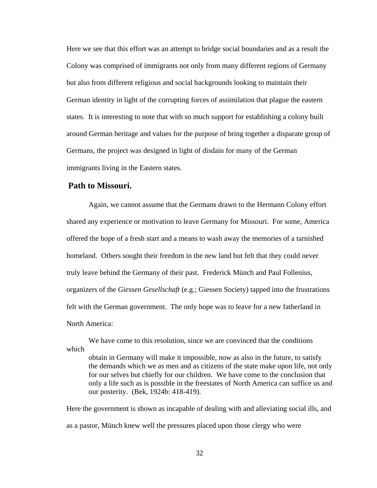Here we see that this effort was an attempt to bridge social boundaries and as a result the Colony was comprised of immigrants not only from many different regions of Germany but also from different religious and social backgrounds looking to maintain their German identity in light of the corrupting forces of assimilation that plague the eastern states. It is interesting to note that with so much support for establishing a colony built around German heritage and values for the purpose of bring together a disparate group of Germans, the project was designed in light of disdain for many of the German immigrants living in the Eastern states.

### **Path to Missouri.**

 Again, we cannot assume that the Germans drawn to the Hermann Colony effort shared any experience or motivation to leave Germany for Missouri. For some, America offered the hope of a fresh start and a means to wash away the memories of a tarnished homeland. Others sought their freedom in the new land but felt that they could never truly leave behind the Germany of their past. Frederick Münch and Paul Follenius, organizers of the *Giessen Gesellschaft* (e.g.; Giessen Society) tapped into the frustrations felt with the German government. The only hope was to leave for a new fatherland in North America:

We have come to this resolution, since we are convinced that the conditions which

obtain in Germany will make it impossible, now as also in the future, to satisfy the demands which we as men and as citizens of the state make upon life, not only for our selves but chiefly for our children. We have come to the conclusion that only a life such as is possible in the freestates of North America can suffice us and our posterity. (Bek, 1924b: 418-419).

Here the government is shown as incapable of dealing with and alleviating social ills, and as a pastor, Münch knew well the pressures placed upon those clergy who were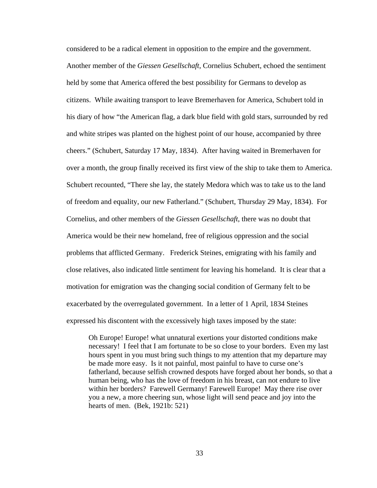considered to be a radical element in opposition to the empire and the government. Another member of the *Giessen Gesellschaft*, Cornelius Schubert, echoed the sentiment held by some that America offered the best possibility for Germans to develop as citizens. While awaiting transport to leave Bremerhaven for America, Schubert told in his diary of how "the American flag, a dark blue field with gold stars, surrounded by red and white stripes was planted on the highest point of our house, accompanied by three cheers." (Schubert, Saturday 17 May, 1834). After having waited in Bremerhaven for over a month, the group finally received its first view of the ship to take them to America. Schubert recounted, "There she lay, the stately Medora which was to take us to the land of freedom and equality, our new Fatherland." (Schubert, Thursday 29 May, 1834). For Cornelius, and other members of the *Giessen Gesellschaft*, there was no doubt that America would be their new homeland, free of religious oppression and the social problems that afflicted Germany. Frederick Steines, emigrating with his family and close relatives, also indicated little sentiment for leaving his homeland. It is clear that a motivation for emigration was the changing social condition of Germany felt to be exacerbated by the overregulated government. In a letter of 1 April, 1834 Steines expressed his discontent with the excessively high taxes imposed by the state:

 Oh Europe! Europe! what unnatural exertions your distorted conditions make necessary! I feel that I am fortunate to be so close to your borders. Even my last hours spent in you must bring such things to my attention that my departure may be made more easy. Is it not painful, most painful to have to curse one's fatherland, because selfish crowned despots have forged about her bonds, so that a human being, who has the love of freedom in his breast, can not endure to live within her borders? Farewell Germany! Farewell Europe! May there rise over you a new, a more cheering sun, whose light will send peace and joy into the hearts of men. (Bek, 1921b: 521)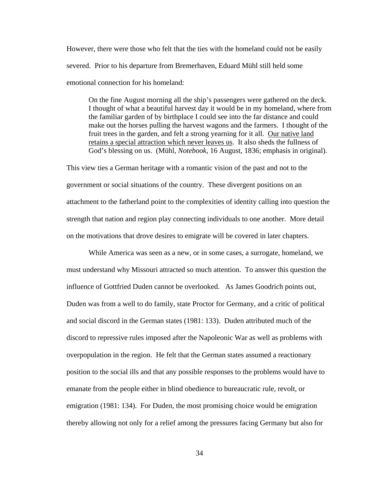However, there were those who felt that the ties with the homeland could not be easily severed. Prior to his departure from Bremerhaven, Eduard Mühl still held some emotional connection for his homeland:

On the fine August morning all the ship's passengers were gathered on the deck. I thought of what a beautiful harvest day it would be in my homeland, where from the familiar garden of by birthplace I could see into the far distance and could make out the horses pulling the harvest wagons and the farmers. I thought of the fruit trees in the garden, and felt a strong yearning for it all. Our native land retains a special attraction which never leaves us. It also sheds the fullness of God's blessing on us. (Mühl, *Notebook*, 16 August, 1836; emphasis in original).

This view ties a German heritage with a romantic vision of the past and not to the government or social situations of the country. These divergent positions on an attachment to the fatherland point to the complexities of identity calling into question the strength that nation and region play connecting individuals to one another. More detail on the motivations that drove desires to emigrate will be covered in later chapters.

 While America was seen as a new, or in some cases, a surrogate, homeland, we must understand why Missouri attracted so much attention. To answer this question the influence of Gottfried Duden cannot be overlooked. As James Goodrich points out, Duden was from a well to do family, state Proctor for Germany, and a critic of political and social discord in the German states (1981: 133). Duden attributed much of the discord to repressive rules imposed after the Napoleonic War as well as problems with overpopulation in the region. He felt that the German states assumed a reactionary position to the social ills and that any possible responses to the problems would have to emanate from the people either in blind obedience to bureaucratic rule, revolt, or emigration (1981: 134). For Duden, the most promising choice would be emigration thereby allowing not only for a relief among the pressures facing Germany but also for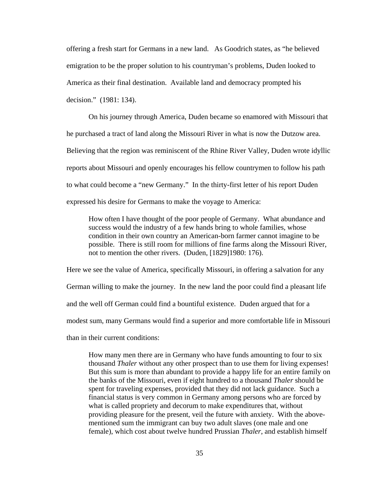offering a fresh start for Germans in a new land. As Goodrich states, as "he believed emigration to be the proper solution to his countryman's problems, Duden looked to America as their final destination. Available land and democracy prompted his decision." (1981: 134).

 On his journey through America, Duden became so enamored with Missouri that he purchased a tract of land along the Missouri River in what is now the Dutzow area. Believing that the region was reminiscent of the Rhine River Valley, Duden wrote idyllic reports about Missouri and openly encourages his fellow countrymen to follow his path to what could become a "new Germany." In the thirty-first letter of his report Duden expressed his desire for Germans to make the voyage to America:

 How often I have thought of the poor people of Germany. What abundance and success would the industry of a few hands bring to whole families, whose condition in their own country an American-born farmer cannot imagine to be possible. There is still room for millions of fine farms along the Missouri River, not to mention the other rivers. (Duden, [1829]1980: 176).

Here we see the value of America, specifically Missouri, in offering a salvation for any German willing to make the journey. In the new land the poor could find a pleasant life and the well off German could find a bountiful existence. Duden argued that for a modest sum, many Germans would find a superior and more comfortable life in Missouri than in their current conditions:

How many men there are in Germany who have funds amounting to four to six thousand *Thaler* without any other prospect than to use them for living expenses! But this sum is more than abundant to provide a happy life for an entire family on the banks of the Missouri, even if eight hundred to a thousand *Thaler* should be spent for traveling expenses, provided that they did not lack guidance. Such a financial status is very common in Germany among persons who are forced by what is called propriety and decorum to make expenditures that, without providing pleasure for the present, veil the future with anxiety. With the abovementioned sum the immigrant can buy two adult slaves (one male and one female), which cost about twelve hundred Prussian *Thaler*, and establish himself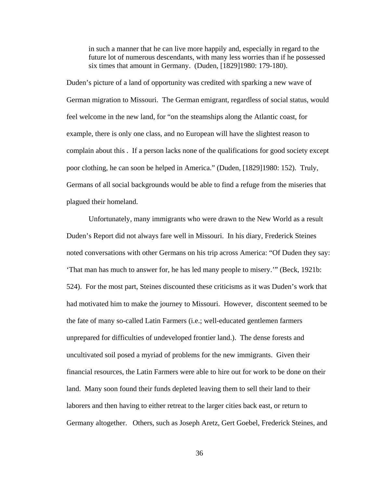in such a manner that he can live more happily and, especially in regard to the future lot of numerous descendants, with many less worries than if he possessed six times that amount in Germany. (Duden, [1829]1980: 179-180).

Duden's picture of a land of opportunity was credited with sparking a new wave of German migration to Missouri. The German emigrant, regardless of social status, would feel welcome in the new land, for "on the steamships along the Atlantic coast, for example, there is only one class, and no European will have the slightest reason to complain about this . If a person lacks none of the qualifications for good society except poor clothing, he can soon be helped in America." (Duden, [1829]1980: 152). Truly, Germans of all social backgrounds would be able to find a refuge from the miseries that plagued their homeland.

Unfortunately, many immigrants who were drawn to the New World as a result Duden's Report did not always fare well in Missouri. In his diary, Frederick Steines noted conversations with other Germans on his trip across America: "Of Duden they say: 'That man has much to answer for, he has led many people to misery.'" (Beck, 1921b: 524). For the most part, Steines discounted these criticisms as it was Duden's work that had motivated him to make the journey to Missouri. However, discontent seemed to be the fate of many so-called Latin Farmers (i.e.; well-educated gentlemen farmers unprepared for difficulties of undeveloped frontier land.). The dense forests and uncultivated soil posed a myriad of problems for the new immigrants. Given their financial resources, the Latin Farmers were able to hire out for work to be done on their land. Many soon found their funds depleted leaving them to sell their land to their laborers and then having to either retreat to the larger cities back east, or return to Germany altogether. Others, such as Joseph Aretz, Gert Goebel, Frederick Steines, and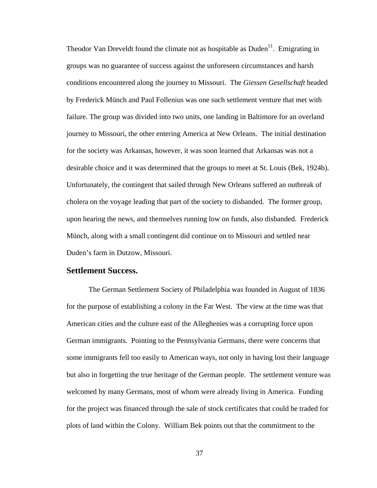Theodor Van Dreveldt found the climate not as hospitable as  $Duden<sup>11</sup>$ . Emigrating in groups was no guarantee of success against the unforeseen circumstances and harsh conditions encountered along the journey to Missouri. The *Giessen Gesellschaft* headed by Frederick Münch and Paul Follenius was one such settlement venture that met with failure. The group was divided into two units, one landing in Baltimore for an overland journey to Missouri, the other entering America at New Orleans. The initial destination for the society was Arkansas, however, it was soon learned that Arkansas was not a desirable choice and it was determined that the groups to meet at St. Louis (Bek, 1924b). Unfortunately, the contingent that sailed through New Orleans suffered an outbreak of cholera on the voyage leading that part of the society to disbanded. The former group, upon hearing the news, and themselves running low on funds, also disbanded. Frederick Münch, along with a small contingent did continue on to Missouri and settled near Duden's farm in Dutzow, Missouri.

## **Settlement Success.**

 The German Settlement Society of Philadelphia was founded in August of 1836 for the purpose of establishing a colony in the Far West. The view at the time was that American cities and the culture east of the Alleghenies was a corrupting force upon German immigrants. Pointing to the Pennsylvania Germans, there were concerns that some immigrants fell too easily to American ways, not only in having lost their language but also in forgetting the true heritage of the German people.The settlement venture was welcomed by many Germans, most of whom were already living in America. Funding for the project was financed through the sale of stock certificates that could be traded for plots of land within the Colony. William Bek points out that the commitment to the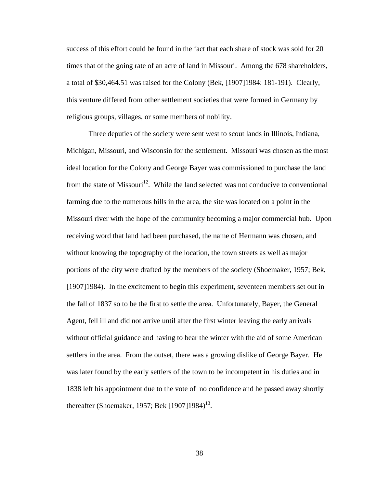success of this effort could be found in the fact that each share of stock was sold for 20 times that of the going rate of an acre of land in Missouri. Among the 678 shareholders, a total of \$30,464.51 was raised for the Colony (Bek, [1907]1984: 181-191). Clearly, this venture differed from other settlement societies that were formed in Germany by religious groups, villages, or some members of nobility.

 Three deputies of the society were sent west to scout lands in Illinois, Indiana, Michigan, Missouri, and Wisconsin for the settlement. Missouri was chosen as the most ideal location for the Colony and George Bayer was commissioned to purchase the land from the state of Missouri<sup>12</sup>. While the land selected was not conducive to conventional farming due to the numerous hills in the area, the site was located on a point in the Missouri river with the hope of the community becoming a major commercial hub. Upon receiving word that land had been purchased, the name of Hermann was chosen, and without knowing the topography of the location, the town streets as well as major portions of the city were drafted by the members of the society (Shoemaker, 1957; Bek, [1907]1984). In the excitement to begin this experiment, seventeen members set out in the fall of 1837 so to be the first to settle the area. Unfortunately, Bayer, the General Agent, fell ill and did not arrive until after the first winter leaving the early arrivals without official guidance and having to bear the winter with the aid of some American settlers in the area. From the outset, there was a growing dislike of George Bayer. He was later found by the early settlers of the town to be incompetent in his duties and in 1838 left his appointment due to the vote of no confidence and he passed away shortly thereafter (Shoemaker, 1957; Bek  $[1907]1984$ )<sup>13</sup>.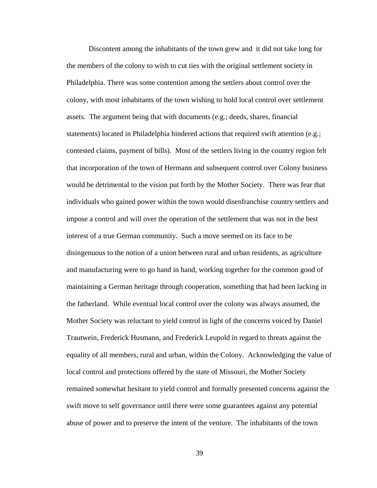Discontent among the inhabitants of the town grew and it did not take long for the members of the colony to wish to cut ties with the original settlement society in Philadelphia. There was some contention among the settlers about control over the colony, with most inhabitants of the town wishing to hold local control over settlement assets. The argument being that with documents (e.g.; deeds, shares, financial statements) located in Philadelphia hindered actions that required swift attention (e.g.; contested claims, payment of bills). Most of the settlers living in the country region felt that incorporation of the town of Hermann and subsequent control over Colony business would be detrimental to the vision put forth by the Mother Society. There was fear that individuals who gained power within the town would disenfranchise country settlers and impose a control and will over the operation of the settlement that was not in the best interest of a true German community. Such a move seemed on its face to be disingenuous to the notion of a union between rural and urban residents, as agriculture and manufacturing were to go hand in hand, working together for the common good of maintaining a German heritage through cooperation, something that had been lacking in the fatherland. While eventual local control over the colony was always assumed, the Mother Society was reluctant to yield control in light of the concerns voiced by Daniel Trautwein, Frederick Husmann, and Frederick Leupold in regard to threats against the equality of all members, rural and urban, within the Colony. Acknowledging the value of local control and protections offered by the state of Missouri, the Mother Society remained somewhat hesitant to yield control and formally presented concerns against the swift move to self governance until there were some guarantees against any potential abuse of power and to preserve the intent of the venture. The inhabitants of the town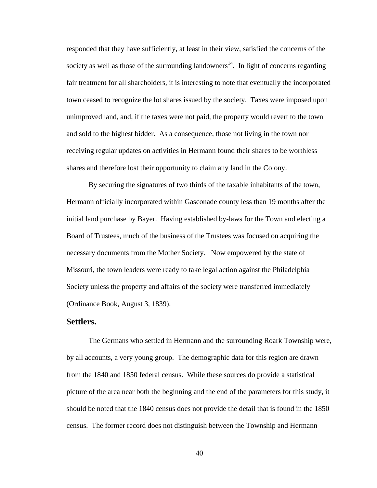responded that they have sufficiently, at least in their view, satisfied the concerns of the society as well as those of the surrounding landowners<sup>14</sup>. In light of concerns regarding fair treatment for all shareholders, it is interesting to note that eventually the incorporated town ceased to recognize the lot shares issued by the society. Taxes were imposed upon unimproved land, and, if the taxes were not paid, the property would revert to the town and sold to the highest bidder. As a consequence, those not living in the town nor receiving regular updates on activities in Hermann found their shares to be worthless shares and therefore lost their opportunity to claim any land in the Colony.

By securing the signatures of two thirds of the taxable inhabitants of the town, Hermann officially incorporated within Gasconade county less than 19 months after the initial land purchase by Bayer. Having established by-laws for the Town and electing a Board of Trustees, much of the business of the Trustees was focused on acquiring the necessary documents from the Mother Society. Now empowered by the state of Missouri, the town leaders were ready to take legal action against the Philadelphia Society unless the property and affairs of the society were transferred immediately (Ordinance Book, August 3, 1839).

## **Settlers.**

 The Germans who settled in Hermann and the surrounding Roark Township were, by all accounts, a very young group. The demographic data for this region are drawn from the 1840 and 1850 federal census. While these sources do provide a statistical picture of the area near both the beginning and the end of the parameters for this study, it should be noted that the 1840 census does not provide the detail that is found in the 1850 census. The former record does not distinguish between the Township and Hermann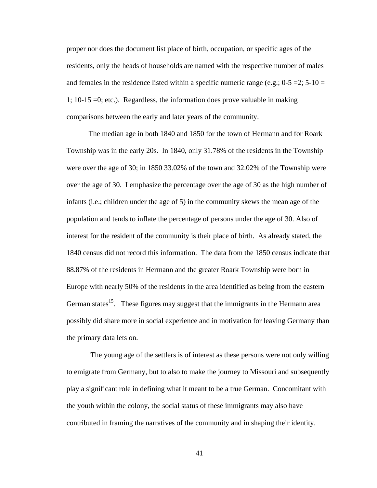proper nor does the document list place of birth, occupation, or specific ages of the residents, only the heads of households are named with the respective number of males and females in the residence listed within a specific numeric range (e.g.;  $0.5 = 2$ ;  $5-10 = 1$ ) 1; 10-15 =0; etc.). Regardless, the information does prove valuable in making comparisons between the early and later years of the community.

The median age in both 1840 and 1850 for the town of Hermann and for Roark Township was in the early 20s. In 1840, only 31.78% of the residents in the Township were over the age of 30; in 1850 33.02% of the town and 32.02% of the Township were over the age of 30. I emphasize the percentage over the age of 30 as the high number of infants (i.e.; children under the age of 5) in the community skews the mean age of the population and tends to inflate the percentage of persons under the age of 30. Also of interest for the resident of the community is their place of birth. As already stated, the 1840 census did not record this information. The data from the 1850 census indicate that 88.87% of the residents in Hermann and the greater Roark Township were born in Europe with nearly 50% of the residents in the area identified as being from the eastern German states<sup>15</sup>. These figures may suggest that the immigrants in the Hermann area possibly did share more in social experience and in motivation for leaving Germany than the primary data lets on.

 The young age of the settlers is of interest as these persons were not only willing to emigrate from Germany, but to also to make the journey to Missouri and subsequently play a significant role in defining what it meant to be a true German. Concomitant with the youth within the colony, the social status of these immigrants may also have contributed in framing the narratives of the community and in shaping their identity.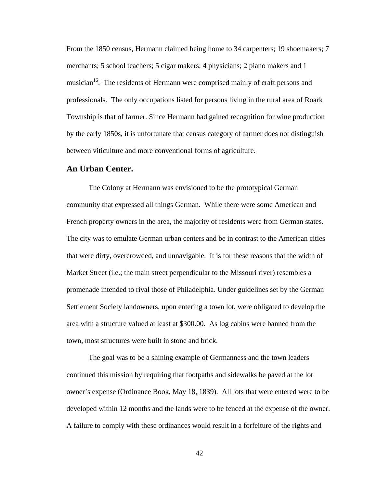From the 1850 census, Hermann claimed being home to 34 carpenters; 19 shoemakers; 7 merchants; 5 school teachers; 5 cigar makers; 4 physicians; 2 piano makers and 1 musician<sup>16</sup>. The residents of Hermann were comprised mainly of craft persons and professionals. The only occupations listed for persons living in the rural area of Roark Township is that of farmer. Since Hermann had gained recognition for wine production by the early 1850s, it is unfortunate that census category of farmer does not distinguish between viticulture and more conventional forms of agriculture.

### **An Urban Center.**

 The Colony at Hermann was envisioned to be the prototypical German community that expressed all things German. While there were some American and French property owners in the area, the majority of residents were from German states. The city was to emulate German urban centers and be in contrast to the American cities that were dirty, overcrowded, and unnavigable. It is for these reasons that the width of Market Street (i.e.; the main street perpendicular to the Missouri river) resembles a promenade intended to rival those of Philadelphia. Under guidelines set by the German Settlement Society landowners, upon entering a town lot, were obligated to develop the area with a structure valued at least at \$300.00. As log cabins were banned from the town, most structures were built in stone and brick.

The goal was to be a shining example of Germanness and the town leaders continued this mission by requiring that footpaths and sidewalks be paved at the lot owner's expense (Ordinance Book, May 18, 1839). All lots that were entered were to be developed within 12 months and the lands were to be fenced at the expense of the owner. A failure to comply with these ordinances would result in a forfeiture of the rights and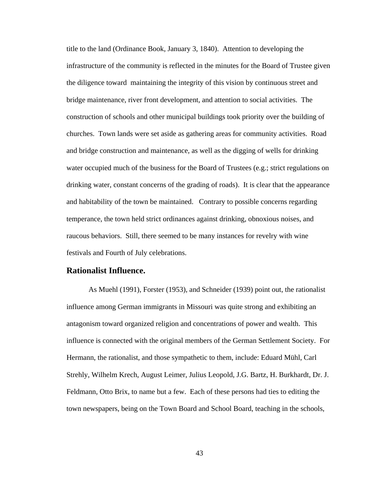title to the land (Ordinance Book, January 3, 1840). Attention to developing the infrastructure of the community is reflected in the minutes for the Board of Trustee given the diligence toward maintaining the integrity of this vision by continuous street and bridge maintenance, river front development, and attention to social activities. The construction of schools and other municipal buildings took priority over the building of churches. Town lands were set aside as gathering areas for community activities. Road and bridge construction and maintenance, as well as the digging of wells for drinking water occupied much of the business for the Board of Trustees (e.g.; strict regulations on drinking water, constant concerns of the grading of roads). It is clear that the appearance and habitability of the town be maintained. Contrary to possible concerns regarding temperance, the town held strict ordinances against drinking, obnoxious noises, and raucous behaviors. Still, there seemed to be many instances for revelry with wine festivals and Fourth of July celebrations.

#### **Rationalist Influence.**

 As Muehl (1991), Forster (1953), and Schneider (1939) point out, the rationalist influence among German immigrants in Missouri was quite strong and exhibiting an antagonism toward organized religion and concentrations of power and wealth. This influence is connected with the original members of the German Settlement Society. For Hermann, the rationalist, and those sympathetic to them, include: Eduard Mühl, Carl Strehly, Wilhelm Krech, August Leimer, Julius Leopold, J.G. Bartz, H. Burkhardt, Dr. J. Feldmann, Otto Brix, to name but a few. Each of these persons had ties to editing the town newspapers, being on the Town Board and School Board, teaching in the schools,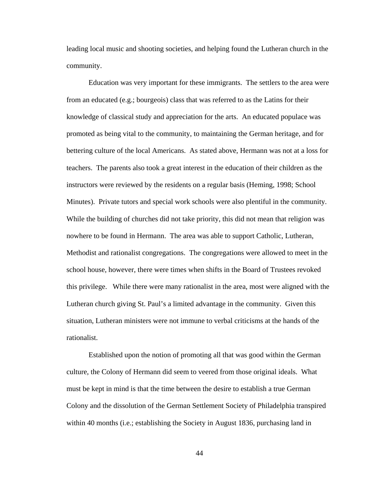leading local music and shooting societies, and helping found the Lutheran church in the community.

Education was very important for these immigrants. The settlers to the area were from an educated (e.g.; bourgeois) class that was referred to as the Latins for their knowledge of classical study and appreciation for the arts. An educated populace was promoted as being vital to the community, to maintaining the German heritage, and for bettering culture of the local Americans. As stated above, Hermann was not at a loss for teachers. The parents also took a great interest in the education of their children as the instructors were reviewed by the residents on a regular basis (Heming, 1998; School Minutes). Private tutors and special work schools were also plentiful in the community. While the building of churches did not take priority, this did not mean that religion was nowhere to be found in Hermann. The area was able to support Catholic, Lutheran, Methodist and rationalist congregations. The congregations were allowed to meet in the school house, however, there were times when shifts in the Board of Trustees revoked this privilege. While there were many rationalist in the area, most were aligned with the Lutheran church giving St. Paul's a limited advantage in the community. Given this situation, Lutheran ministers were not immune to verbal criticisms at the hands of the rationalist.

Established upon the notion of promoting all that was good within the German culture, the Colony of Hermann did seem to veered from those original ideals. What must be kept in mind is that the time between the desire to establish a true German Colony and the dissolution of the German Settlement Society of Philadelphia transpired within 40 months (i.e.; establishing the Society in August 1836, purchasing land in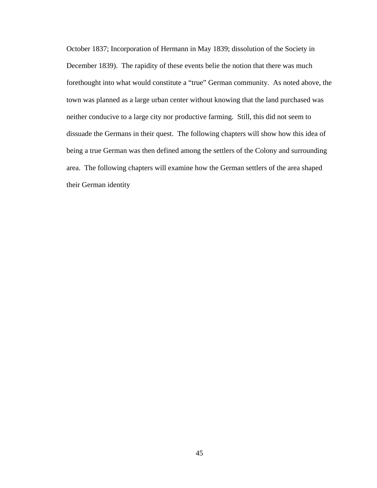October 1837; Incorporation of Hermann in May 1839; dissolution of the Society in December 1839). The rapidity of these events belie the notion that there was much forethought into what would constitute a "true" German community. As noted above, the town was planned as a large urban center without knowing that the land purchased was neither conducive to a large city nor productive farming. Still, this did not seem to dissuade the Germans in their quest. The following chapters will show how this idea of being a true German was then defined among the settlers of the Colony and surrounding area. The following chapters will examine how the German settlers of the area shaped their German identity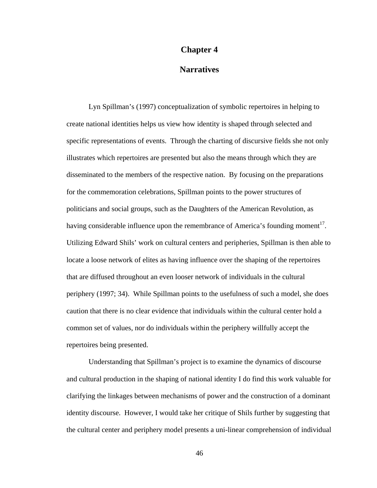#### **Chapter 4**

## **Narratives**

Lyn Spillman's (1997) conceptualization of symbolic repertoires in helping to create national identities helps us view how identity is shaped through selected and specific representations of events. Through the charting of discursive fields she not only illustrates which repertoires are presented but also the means through which they are disseminated to the members of the respective nation. By focusing on the preparations for the commemoration celebrations, Spillman points to the power structures of politicians and social groups, such as the Daughters of the American Revolution, as having considerable influence upon the remembrance of America's founding moment $^{17}$ . Utilizing Edward Shils' work on cultural centers and peripheries, Spillman is then able to locate a loose network of elites as having influence over the shaping of the repertoires that are diffused throughout an even looser network of individuals in the cultural periphery (1997; 34). While Spillman points to the usefulness of such a model, she does caution that there is no clear evidence that individuals within the cultural center hold a common set of values, nor do individuals within the periphery willfully accept the repertoires being presented.

Understanding that Spillman's project is to examine the dynamics of discourse and cultural production in the shaping of national identity I do find this work valuable for clarifying the linkages between mechanisms of power and the construction of a dominant identity discourse. However, I would take her critique of Shils further by suggesting that the cultural center and periphery model presents a uni-linear comprehension of individual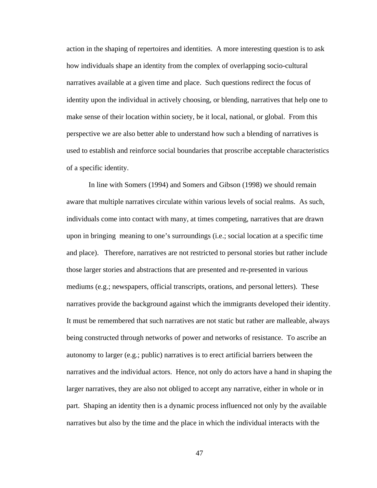action in the shaping of repertoires and identities. A more interesting question is to ask how individuals shape an identity from the complex of overlapping socio-cultural narratives available at a given time and place. Such questions redirect the focus of identity upon the individual in actively choosing, or blending, narratives that help one to make sense of their location within society, be it local, national, or global. From this perspective we are also better able to understand how such a blending of narratives is used to establish and reinforce social boundaries that proscribe acceptable characteristics of a specific identity.

In line with Somers (1994) and Somers and Gibson (1998) we should remain aware that multiple narratives circulate within various levels of social realms. As such, individuals come into contact with many, at times competing, narratives that are drawn upon in bringing meaning to one's surroundings (i.e.; social location at a specific time and place). Therefore, narratives are not restricted to personal stories but rather include those larger stories and abstractions that are presented and re-presented in various mediums (e.g.; newspapers, official transcripts, orations, and personal letters). These narratives provide the background against which the immigrants developed their identity. It must be remembered that such narratives are not static but rather are malleable, always being constructed through networks of power and networks of resistance. To ascribe an autonomy to larger (e.g.; public) narratives is to erect artificial barriers between the narratives and the individual actors. Hence, not only do actors have a hand in shaping the larger narratives, they are also not obliged to accept any narrative, either in whole or in part. Shaping an identity then is a dynamic process influenced not only by the available narratives but also by the time and the place in which the individual interacts with the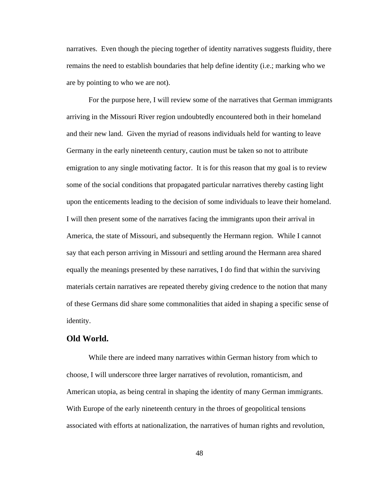narratives. Even though the piecing together of identity narratives suggests fluidity, there remains the need to establish boundaries that help define identity (i.e.; marking who we are by pointing to who we are not).

For the purpose here, I will review some of the narratives that German immigrants arriving in the Missouri River region undoubtedly encountered both in their homeland and their new land. Given the myriad of reasons individuals held for wanting to leave Germany in the early nineteenth century, caution must be taken so not to attribute emigration to any single motivating factor. It is for this reason that my goal is to review some of the social conditions that propagated particular narratives thereby casting light upon the enticements leading to the decision of some individuals to leave their homeland. I will then present some of the narratives facing the immigrants upon their arrival in America, the state of Missouri, and subsequently the Hermann region. While I cannot say that each person arriving in Missouri and settling around the Hermann area shared equally the meanings presented by these narratives, I do find that within the surviving materials certain narratives are repeated thereby giving credence to the notion that many of these Germans did share some commonalities that aided in shaping a specific sense of identity.

#### **Old World.**

While there are indeed many narratives within German history from which to choose, I will underscore three larger narratives of revolution, romanticism, and American utopia, as being central in shaping the identity of many German immigrants. With Europe of the early nineteenth century in the throes of geopolitical tensions associated with efforts at nationalization, the narratives of human rights and revolution,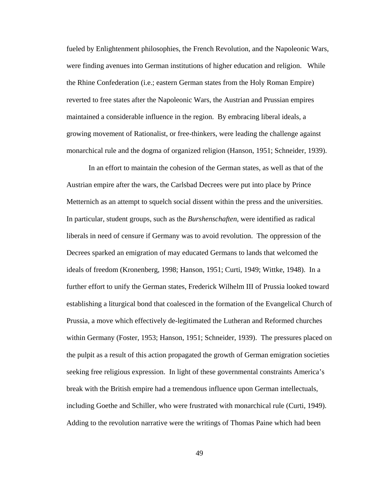fueled by Enlightenment philosophies, the French Revolution, and the Napoleonic Wars, were finding avenues into German institutions of higher education and religion. While the Rhine Confederation (i.e.; eastern German states from the Holy Roman Empire) reverted to free states after the Napoleonic Wars, the Austrian and Prussian empires maintained a considerable influence in the region. By embracing liberal ideals, a growing movement of Rationalist, or free-thinkers, were leading the challenge against monarchical rule and the dogma of organized religion (Hanson, 1951; Schneider, 1939).

In an effort to maintain the cohesion of the German states, as well as that of the Austrian empire after the wars, the Carlsbad Decrees were put into place by Prince Metternich as an attempt to squelch social dissent within the press and the universities. In particular, student groups, such as the *Burshenschaften*, were identified as radical liberals in need of censure if Germany was to avoid revolution. The oppression of the Decrees sparked an emigration of may educated Germans to lands that welcomed the ideals of freedom (Kronenberg, 1998; Hanson, 1951; Curti, 1949; Wittke, 1948). In a further effort to unify the German states, Frederick Wilhelm III of Prussia looked toward establishing a liturgical bond that coalesced in the formation of the Evangelical Church of Prussia, a move which effectively de-legitimated the Lutheran and Reformed churches within Germany (Foster, 1953; Hanson, 1951; Schneider, 1939). The pressures placed on the pulpit as a result of this action propagated the growth of German emigration societies seeking free religious expression. In light of these governmental constraints America's break with the British empire had a tremendous influence upon German intellectuals, including Goethe and Schiller, who were frustrated with monarchical rule (Curti, 1949). Adding to the revolution narrative were the writings of Thomas Paine which had been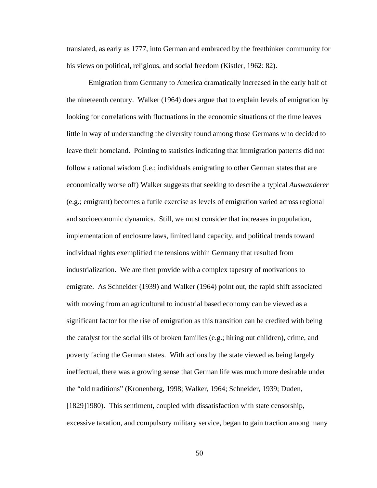translated, as early as 1777, into German and embraced by the freethinker community for his views on political, religious, and social freedom (Kistler, 1962: 82).

Emigration from Germany to America dramatically increased in the early half of the nineteenth century. Walker (1964) does argue that to explain levels of emigration by looking for correlations with fluctuations in the economic situations of the time leaves little in way of understanding the diversity found among those Germans who decided to leave their homeland. Pointing to statistics indicating that immigration patterns did not follow a rational wisdom (i.e.; individuals emigrating to other German states that are economically worse off) Walker suggests that seeking to describe a typical *Auswanderer* (e.g.; emigrant) becomes a futile exercise as levels of emigration varied across regional and socioeconomic dynamics. Still, we must consider that increases in population, implementation of enclosure laws, limited land capacity, and political trends toward individual rights exemplified the tensions within Germany that resulted from industrialization. We are then provide with a complex tapestry of motivations to emigrate. As Schneider (1939) and Walker (1964) point out, the rapid shift associated with moving from an agricultural to industrial based economy can be viewed as a significant factor for the rise of emigration as this transition can be credited with being the catalyst for the social ills of broken families (e.g.; hiring out children), crime, and poverty facing the German states. With actions by the state viewed as being largely ineffectual, there was a growing sense that German life was much more desirable under the "old traditions" (Kronenberg, 1998; Walker, 1964; Schneider, 1939; Duden, [1829]1980). This sentiment, coupled with dissatisfaction with state censorship, excessive taxation, and compulsory military service, began to gain traction among many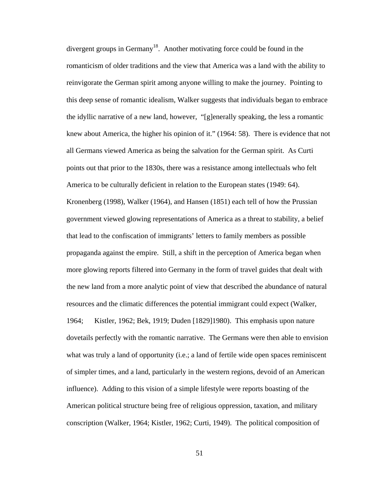divergent groups in Germany<sup>18</sup>. Another motivating force could be found in the romanticism of older traditions and the view that America was a land with the ability to reinvigorate the German spirit among anyone willing to make the journey. Pointing to this deep sense of romantic idealism, Walker suggests that individuals began to embrace the idyllic narrative of a new land, however, "[g]enerally speaking, the less a romantic knew about America, the higher his opinion of it." (1964: 58). There is evidence that not all Germans viewed America as being the salvation for the German spirit. As Curti points out that prior to the 1830s, there was a resistance among intellectuals who felt America to be culturally deficient in relation to the European states (1949: 64). Kronenberg (1998), Walker (1964), and Hansen (1851) each tell of how the Prussian government viewed glowing representations of America as a threat to stability, a belief that lead to the confiscation of immigrants' letters to family members as possible propaganda against the empire. Still, a shift in the perception of America began when more glowing reports filtered into Germany in the form of travel guides that dealt with the new land from a more analytic point of view that described the abundance of natural resources and the climatic differences the potential immigrant could expect (Walker, 1964; Kistler, 1962; Bek, 1919; Duden [1829]1980). This emphasis upon nature dovetails perfectly with the romantic narrative. The Germans were then able to envision what was truly a land of opportunity (i.e.; a land of fertile wide open spaces reminiscent of simpler times, and a land, particularly in the western regions, devoid of an American influence). Adding to this vision of a simple lifestyle were reports boasting of the American political structure being free of religious oppression, taxation, and military conscription (Walker, 1964; Kistler, 1962; Curti, 1949). The political composition of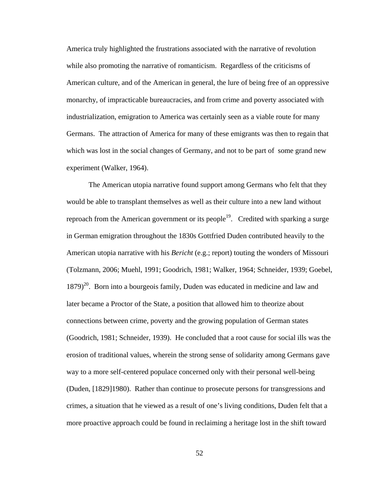America truly highlighted the frustrations associated with the narrative of revolution while also promoting the narrative of romanticism. Regardless of the criticisms of American culture, and of the American in general, the lure of being free of an oppressive monarchy, of impracticable bureaucracies, and from crime and poverty associated with industrialization, emigration to America was certainly seen as a viable route for many Germans. The attraction of America for many of these emigrants was then to regain that which was lost in the social changes of Germany, and not to be part of some grand new experiment (Walker, 1964).

The American utopia narrative found support among Germans who felt that they would be able to transplant themselves as well as their culture into a new land without reproach from the American government or its people<sup>19</sup>. Credited with sparking a surge in German emigration throughout the 1830s Gottfried Duden contributed heavily to the American utopia narrative with his *Bericht* (e.g.; report) touting the wonders of Missouri (Tolzmann, 2006; Muehl, 1991; Goodrich, 1981; Walker, 1964; Schneider, 1939; Goebel,  $1879)^{20}$ . Born into a bourgeois family, Duden was educated in medicine and law and later became a Proctor of the State, a position that allowed him to theorize about connections between crime, poverty and the growing population of German states (Goodrich, 1981; Schneider, 1939). He concluded that a root cause for social ills was the erosion of traditional values, wherein the strong sense of solidarity among Germans gave way to a more self-centered populace concerned only with their personal well-being (Duden, [1829]1980). Rather than continue to prosecute persons for transgressions and crimes, a situation that he viewed as a result of one's living conditions, Duden felt that a more proactive approach could be found in reclaiming a heritage lost in the shift toward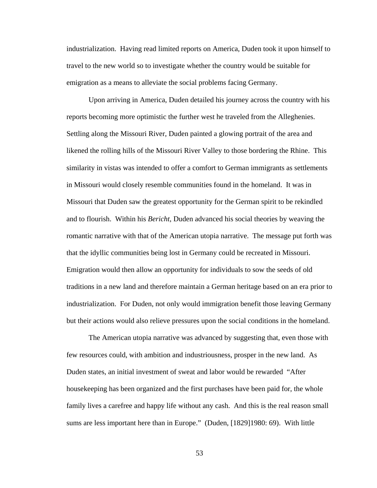industrialization. Having read limited reports on America, Duden took it upon himself to travel to the new world so to investigate whether the country would be suitable for emigration as a means to alleviate the social problems facing Germany.

Upon arriving in America, Duden detailed his journey across the country with his reports becoming more optimistic the further west he traveled from the Alleghenies. Settling along the Missouri River, Duden painted a glowing portrait of the area and likened the rolling hills of the Missouri River Valley to those bordering the Rhine. This similarity in vistas was intended to offer a comfort to German immigrants as settlements in Missouri would closely resemble communities found in the homeland. It was in Missouri that Duden saw the greatest opportunity for the German spirit to be rekindled and to flourish. Within his *Bericht*, Duden advanced his social theories by weaving the romantic narrative with that of the American utopia narrative. The message put forth was that the idyllic communities being lost in Germany could be recreated in Missouri. Emigration would then allow an opportunity for individuals to sow the seeds of old traditions in a new land and therefore maintain a German heritage based on an era prior to industrialization. For Duden, not only would immigration benefit those leaving Germany but their actions would also relieve pressures upon the social conditions in the homeland.

The American utopia narrative was advanced by suggesting that, even those with few resources could, with ambition and industriousness, prosper in the new land. As Duden states, an initial investment of sweat and labor would be rewarded "After housekeeping has been organized and the first purchases have been paid for, the whole family lives a carefree and happy life without any cash. And this is the real reason small sums are less important here than in Europe." (Duden, [1829]1980: 69). With little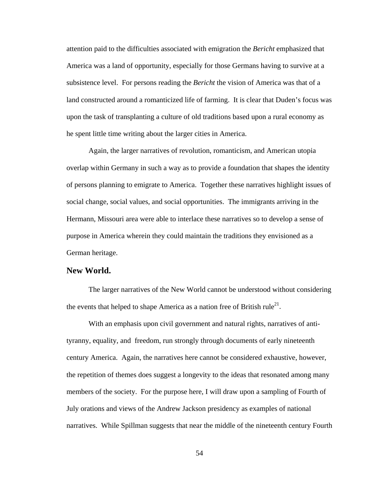attention paid to the difficulties associated with emigration the *Bericht* emphasized that America was a land of opportunity, especially for those Germans having to survive at a subsistence level. For persons reading the *Bericht* the vision of America was that of a land constructed around a romanticized life of farming. It is clear that Duden's focus was upon the task of transplanting a culture of old traditions based upon a rural economy as he spent little time writing about the larger cities in America.

 Again, the larger narratives of revolution, romanticism, and American utopia overlap within Germany in such a way as to provide a foundation that shapes the identity of persons planning to emigrate to America. Together these narratives highlight issues of social change, social values, and social opportunities. The immigrants arriving in the Hermann, Missouri area were able to interlace these narratives so to develop a sense of purpose in America wherein they could maintain the traditions they envisioned as a German heritage.

#### **New World.**

The larger narratives of the New World cannot be understood without considering the events that helped to shape America as a nation free of British rule<sup>21</sup>.

With an emphasis upon civil government and natural rights, narratives of antityranny, equality, and freedom, run strongly through documents of early nineteenth century America. Again, the narratives here cannot be considered exhaustive, however, the repetition of themes does suggest a longevity to the ideas that resonated among many members of the society. For the purpose here, I will draw upon a sampling of Fourth of July orations and views of the Andrew Jackson presidency as examples of national narratives. While Spillman suggests that near the middle of the nineteenth century Fourth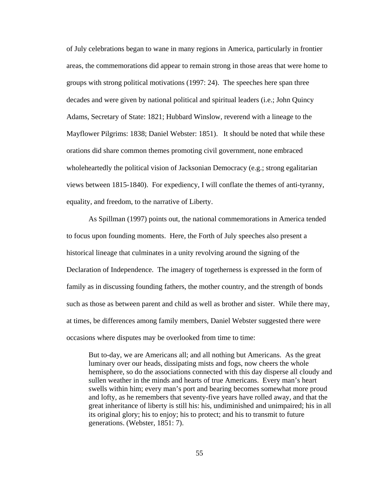of July celebrations began to wane in many regions in America, particularly in frontier areas, the commemorations did appear to remain strong in those areas that were home to groups with strong political motivations (1997: 24). The speeches here span three decades and were given by national political and spiritual leaders (i.e.; John Quincy Adams, Secretary of State: 1821; Hubbard Winslow, reverend with a lineage to the Mayflower Pilgrims: 1838; Daniel Webster: 1851). It should be noted that while these orations did share common themes promoting civil government, none embraced wholeheartedly the political vision of Jacksonian Democracy (e.g.; strong egalitarian views between 1815-1840). For expediency, I will conflate the themes of anti-tyranny, equality, and freedom, to the narrative of Liberty.

As Spillman (1997) points out, the national commemorations in America tended to focus upon founding moments. Here, the Forth of July speeches also present a historical lineage that culminates in a unity revolving around the signing of the Declaration of Independence. The imagery of togetherness is expressed in the form of family as in discussing founding fathers, the mother country, and the strength of bonds such as those as between parent and child as well as brother and sister. While there may, at times, be differences among family members, Daniel Webster suggested there were occasions where disputes may be overlooked from time to time:

But to-day, we are Americans all; and all nothing but Americans. As the great luminary over our heads, dissipating mists and fogs, now cheers the whole hemisphere, so do the associations connected with this day disperse all cloudy and sullen weather in the minds and hearts of true Americans. Every man's heart swells within him; every man's port and bearing becomes somewhat more proud and lofty, as he remembers that seventy-five years have rolled away, and that the great inheritance of liberty is still his: his, undiminished and unimpaired; his in all its original glory; his to enjoy; his to protect; and his to transmit to future generations. (Webster, 1851: 7).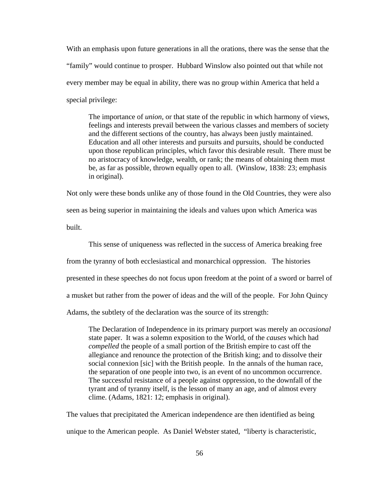With an emphasis upon future generations in all the orations, there was the sense that the "family" would continue to prosper. Hubbard Winslow also pointed out that while not every member may be equal in ability, there was no group within America that held a special privilege:

The importance of *union*, or that state of the republic in which harmony of views, feelings and interests prevail between the various classes and members of society and the different sections of the country, has always been justly maintained. Education and all other interests and pursuits and pursuits, should be conducted upon those republican principles, which favor this desirable result. There must be no aristocracy of knowledge, wealth, or rank; the means of obtaining them must be, as far as possible, thrown equally open to all. (Winslow, 1838: 23; emphasis in original).

Not only were these bonds unlike any of those found in the Old Countries, they were also seen as being superior in maintaining the ideals and values upon which America was built.

 This sense of uniqueness was reflected in the success of America breaking free from the tyranny of both ecclesiastical and monarchical oppression. The histories presented in these speeches do not focus upon freedom at the point of a sword or barrel of a musket but rather from the power of ideas and the will of the people. For John Quincy Adams, the subtlety of the declaration was the source of its strength:

The Declaration of Independence in its primary purport was merely an *occasional* state paper. It was a solemn exposition to the World, of the *causes* which had *compelled* the people of a small portion of the British empire to cast off the allegiance and renounce the protection of the British king; and to dissolve their social connexion [sic] with the British people. In the annals of the human race, the separation of one people into two, is an event of no uncommon occurrence. The successful resistance of a people against oppression, to the downfall of the tyrant and of tyranny itself, is the lesson of many an age, and of almost every clime. (Adams, 1821: 12; emphasis in original).

The values that precipitated the American independence are then identified as being unique to the American people. As Daniel Webster stated, "liberty is characteristic,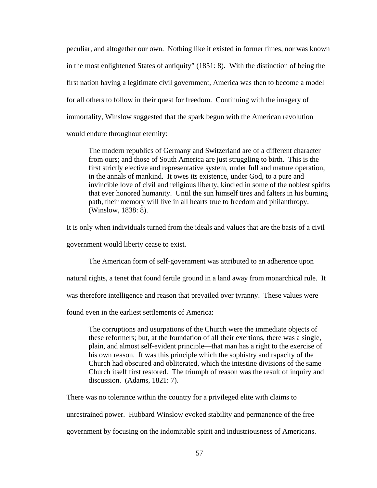peculiar, and altogether our own. Nothing like it existed in former times, nor was known in the most enlightened States of antiquity" (1851: 8). With the distinction of being the first nation having a legitimate civil government, America was then to become a model for all others to follow in their quest for freedom. Continuing with the imagery of immortality, Winslow suggested that the spark begun with the American revolution would endure throughout eternity:

The modern republics of Germany and Switzerland are of a different character from ours; and those of South America are just struggling to birth. This is the first strictly elective and representative system, under full and mature operation, in the annals of mankind. It owes its existence, under God, to a pure and invincible love of civil and religious liberty, kindled in some of the noblest spirits that ever honored humanity. Until the sun himself tires and falters in his burning path, their memory will live in all hearts true to freedom and philanthropy. (Winslow, 1838: 8).

It is only when individuals turned from the ideals and values that are the basis of a civil

government would liberty cease to exist.

The American form of self-government was attributed to an adherence upon

natural rights, a tenet that found fertile ground in a land away from monarchical rule. It

was therefore intelligence and reason that prevailed over tyranny. These values were

found even in the earliest settlements of America:

The corruptions and usurpations of the Church were the immediate objects of these reformers; but, at the foundation of all their exertions, there was a single, plain, and almost self-evident principle—that man has a right to the exercise of his own reason. It was this principle which the sophistry and rapacity of the Church had obscured and obliterated, which the intestine divisions of the same Church itself first restored. The triumph of reason was the result of inquiry and discussion. (Adams, 1821: 7).

There was no tolerance within the country for a privileged elite with claims to

unrestrained power. Hubbard Winslow evoked stability and permanence of the free

government by focusing on the indomitable spirit and industriousness of Americans.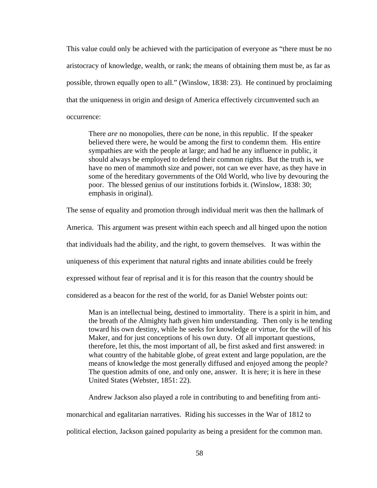This value could only be achieved with the participation of everyone as "there must be no aristocracy of knowledge, wealth, or rank; the means of obtaining them must be, as far as possible, thrown equally open to all." (Winslow, 1838: 23). He continued by proclaiming that the uniqueness in origin and design of America effectively circumvented such an occurrence:

There *are* no monopolies, there *can* be none, in this republic. If the speaker believed there were, he would be among the first to condemn them. His entire sympathies are with the people at large; and had he any influence in public, it should always be employed to defend their common rights. But the truth is, we have no men of mammoth size and power, not can we ever have, as they have in some of the hereditary governments of the Old World, who live by devouring the poor. The blessed genius of our institutions forbids it. (Winslow, 1838: 30; emphasis in original).

The sense of equality and promotion through individual merit was then the hallmark of

America. This argument was present within each speech and all hinged upon the notion

that individuals had the ability, and the right, to govern themselves. It was within the

uniqueness of this experiment that natural rights and innate abilities could be freely

expressed without fear of reprisal and it is for this reason that the country should be

considered as a beacon for the rest of the world, for as Daniel Webster points out:

Man is an intellectual being, destined to immortality. There is a spirit in him, and the breath of the Almighty hath given him understanding. Then only is he tending toward his own destiny, while he seeks for knowledge or virtue, for the will of his Maker, and for just conceptions of his own duty. Of all important questions, therefore, let this, the most important of all, be first asked and first answered: in what country of the habitable globe, of great extent and large population, are the means of knowledge the most generally diffused and enjoyed among the people? The question admits of one, and only one, answer. It is here; it is here in these United States (Webster, 1851: 22).

Andrew Jackson also played a role in contributing to and benefiting from anti-

monarchical and egalitarian narratives. Riding his successes in the War of 1812 to

political election, Jackson gained popularity as being a president for the common man.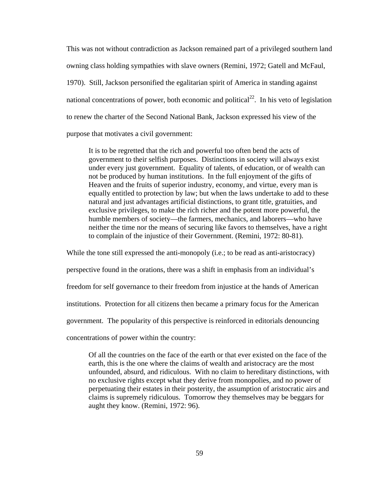This was not without contradiction as Jackson remained part of a privileged southern land owning class holding sympathies with slave owners (Remini, 1972; Gatell and McFaul, 1970). Still, Jackson personified the egalitarian spirit of America in standing against national concentrations of power, both economic and political<sup>22</sup>. In his veto of legislation to renew the charter of the Second National Bank, Jackson expressed his view of the purpose that motivates a civil government:

It is to be regretted that the rich and powerful too often bend the acts of government to their selfish purposes. Distinctions in society will always exist under every just government. Equality of talents, of education, or of wealth can not be produced by human institutions. In the full enjoyment of the gifts of Heaven and the fruits of superior industry, economy, and virtue, every man is equally entitled to protection by law; but when the laws undertake to add to these natural and just advantages artificial distinctions, to grant title, gratuities, and exclusive privileges, to make the rich richer and the potent more powerful, the humble members of society—the farmers, mechanics, and laborers—who have neither the time nor the means of securing like favors to themselves, have a right to complain of the injustice of their Government. (Remini, 1972: 80-81).

While the tone still expressed the anti-monopoly (i.e.; to be read as anti-aristocracy) perspective found in the orations, there was a shift in emphasis from an individual's freedom for self governance to their freedom from injustice at the hands of American institutions. Protection for all citizens then became a primary focus for the American government. The popularity of this perspective is reinforced in editorials denouncing concentrations of power within the country:

Of all the countries on the face of the earth or that ever existed on the face of the earth, this is the one where the claims of wealth and aristocracy are the most unfounded, absurd, and ridiculous. With no claim to hereditary distinctions, with no exclusive rights except what they derive from monopolies, and no power of perpetuating their estates in their posterity, the assumption of aristocratic airs and claims is supremely ridiculous. Tomorrow they themselves may be beggars for aught they know. (Remini, 1972: 96).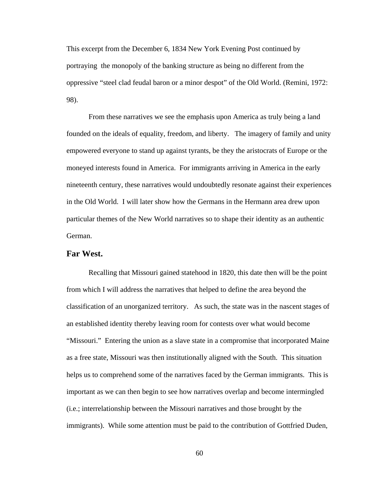This excerpt from the December 6, 1834 New York Evening Post continued by portraying the monopoly of the banking structure as being no different from the oppressive "steel clad feudal baron or a minor despot" of the Old World. (Remini, 1972: 98).

 From these narratives we see the emphasis upon America as truly being a land founded on the ideals of equality, freedom, and liberty. The imagery of family and unity empowered everyone to stand up against tyrants, be they the aristocrats of Europe or the moneyed interests found in America. For immigrants arriving in America in the early nineteenth century, these narratives would undoubtedly resonate against their experiences in the Old World. I will later show how the Germans in the Hermann area drew upon particular themes of the New World narratives so to shape their identity as an authentic German.

#### **Far West.**

 Recalling that Missouri gained statehood in 1820, this date then will be the point from which I will address the narratives that helped to define the area beyond the classification of an unorganized territory. As such, the state was in the nascent stages of an established identity thereby leaving room for contests over what would become "Missouri." Entering the union as a slave state in a compromise that incorporated Maine as a free state, Missouri was then institutionally aligned with the South. This situation helps us to comprehend some of the narratives faced by the German immigrants. This is important as we can then begin to see how narratives overlap and become intermingled (i.e.; interrelationship between the Missouri narratives and those brought by the immigrants). While some attention must be paid to the contribution of Gottfried Duden,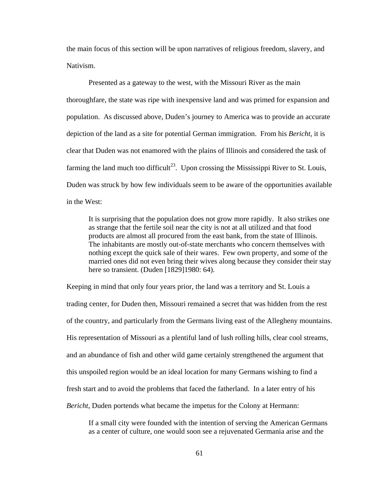the main focus of this section will be upon narratives of religious freedom, slavery, and Nativism.

 Presented as a gateway to the west, with the Missouri River as the main thoroughfare, the state was ripe with inexpensive land and was primed for expansion and population. As discussed above, Duden's journey to America was to provide an accurate depiction of the land as a site for potential German immigration. From his *Bericht*, it is clear that Duden was not enamored with the plains of Illinois and considered the task of farming the land much too difficult<sup>23</sup>. Upon crossing the Mississippi River to St. Louis, Duden was struck by how few individuals seem to be aware of the opportunities available in the West:

It is surprising that the population does not grow more rapidly. It also strikes one as strange that the fertile soil near the city is not at all utilized and that food products are almost all procured from the east bank, from the state of Illinois. The inhabitants are mostly out-of-state merchants who concern themselves with nothing except the quick sale of their wares. Few own property, and some of the married ones did not even bring their wives along because they consider their stay here so transient. (Duden [1829]1980: 64).

Keeping in mind that only four years prior, the land was a territory and St. Louis a trading center, for Duden then, Missouri remained a secret that was hidden from the rest of the country, and particularly from the Germans living east of the Allegheny mountains. His representation of Missouri as a plentiful land of lush rolling hills, clear cool streams, and an abundance of fish and other wild game certainly strengthened the argument that this unspoiled region would be an ideal location for many Germans wishing to find a fresh start and to avoid the problems that faced the fatherland. In a later entry of his *Bericht*, Duden portends what became the impetus for the Colony at Hermann:

If a small city were founded with the intention of serving the American Germans as a center of culture, one would soon see a rejuvenated Germania arise and the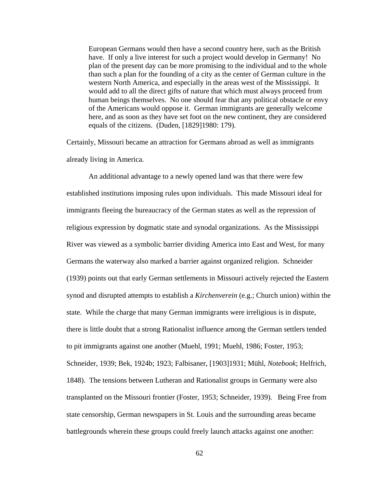European Germans would then have a second country here, such as the British have. If only a live interest for such a project would develop in Germany! No plan of the present day can be more promising to the individual and to the whole than such a plan for the founding of a city as the center of German culture in the western North America, and especially in the areas west of the Mississippi. It would add to all the direct gifts of nature that which must always proceed from human beings themselves. No one should fear that any political obstacle or envy of the Americans would oppose it. German immigrants are generally welcome here, and as soon as they have set foot on the new continent, they are considered equals of the citizens. (Duden, [1829]1980: 179).

Certainly, Missouri became an attraction for Germans abroad as well as immigrants already living in America.

 An additional advantage to a newly opened land was that there were few established institutions imposing rules upon individuals. This made Missouri ideal for immigrants fleeing the bureaucracy of the German states as well as the repression of religious expression by dogmatic state and synodal organizations. As the Mississippi River was viewed as a symbolic barrier dividing America into East and West, for many Germans the waterway also marked a barrier against organized religion. Schneider (1939) points out that early German settlements in Missouri actively rejected the Eastern synod and disrupted attempts to establish a *Kirchenverein* (e.g.; Church union) within the state. While the charge that many German immigrants were irreligious is in dispute, there is little doubt that a strong Rationalist influence among the German settlers tended to pit immigrants against one another (Muehl, 1991; Muehl, 1986; Foster, 1953; Schneider, 1939; Bek, 1924b; 1923; Falbisaner, [1903]1931; Mühl, *Notebook*; Helfrich, 1848). The tensions between Lutheran and Rationalist groups in Germany were also transplanted on the Missouri frontier (Foster, 1953; Schneider, 1939). Being Free from state censorship, German newspapers in St. Louis and the surrounding areas became battlegrounds wherein these groups could freely launch attacks against one another: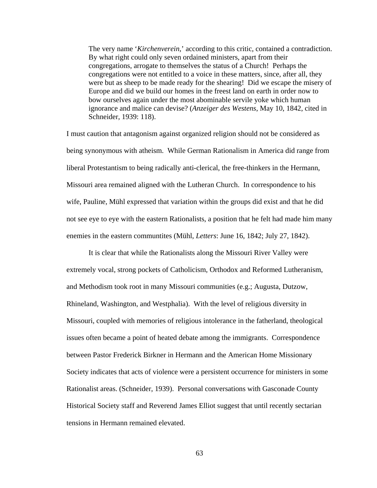The very name '*Kirchenverein*,' according to this critic, contained a contradiction. By what right could only seven ordained ministers, apart from their congregations, arrogate to themselves the status of a Church! Perhaps the congregations were not entitled to a voice in these matters, since, after all, they were but as sheep to be made ready for the shearing! Did we escape the misery of Europe and did we build our homes in the freest land on earth in order now to bow ourselves again under the most abominable servile yoke which human ignorance and malice can devise? (*Anzeiger des Westens*, May 10, 1842, cited in Schneider, 1939: 118).

I must caution that antagonism against organized religion should not be considered as being synonymous with atheism. While German Rationalism in America did range from liberal Protestantism to being radically anti-clerical, the free-thinkers in the Hermann, Missouri area remained aligned with the Lutheran Church. In correspondence to his wife, Pauline, Mühl expressed that variation within the groups did exist and that he did not see eye to eye with the eastern Rationalists, a position that he felt had made him many enemies in the eastern communtites (Mühl, *Letters*: June 16, 1842; July 27, 1842).

 It is clear that while the Rationalists along the Missouri River Valley were extremely vocal, strong pockets of Catholicism, Orthodox and Reformed Lutheranism, and Methodism took root in many Missouri communities (e.g.; Augusta, Dutzow, Rhineland, Washington, and Westphalia). With the level of religious diversity in Missouri, coupled with memories of religious intolerance in the fatherland, theological issues often became a point of heated debate among the immigrants. Correspondence between Pastor Frederick Birkner in Hermann and the American Home Missionary Society indicates that acts of violence were a persistent occurrence for ministers in some Rationalist areas. (Schneider, 1939). Personal conversations with Gasconade County Historical Society staff and Reverend James Elliot suggest that until recently sectarian tensions in Hermann remained elevated.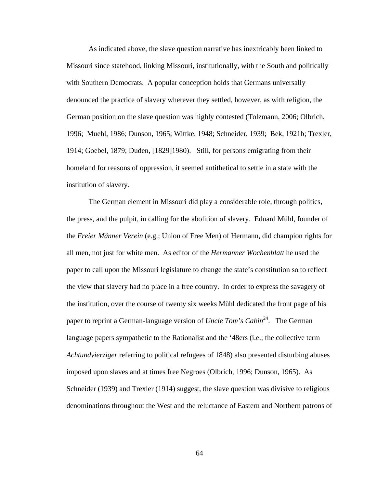As indicated above, the slave question narrative has inextricably been linked to Missouri since statehood, linking Missouri, institutionally, with the South and politically with Southern Democrats. A popular conception holds that Germans universally denounced the practice of slavery wherever they settled, however, as with religion, the German position on the slave question was highly contested (Tolzmann, 2006; Olbrich, 1996; Muehl, 1986; Dunson, 1965; Wittke, 1948; Schneider, 1939; Bek, 1921b; Trexler, 1914; Goebel, 1879; Duden, [1829]1980). Still, for persons emigrating from their homeland for reasons of oppression, it seemed antithetical to settle in a state with the institution of slavery.

 The German element in Missouri did play a considerable role, through politics, the press, and the pulpit, in calling for the abolition of slavery. Eduard Mühl, founder of the *Freier Männer Verein* (e.g.; Union of Free Men) of Hermann, did champion rights for all men, not just for white men. As editor of the *Hermanner Wochenblatt* he used the paper to call upon the Missouri legislature to change the state's constitution so to reflect the view that slavery had no place in a free country. In order to express the savagery of the institution, over the course of twenty six weeks Mühl dedicated the front page of his paper to reprint a German-language version of *Uncle Tom's Cabin*<sup>24</sup>. The German language papers sympathetic to the Rationalist and the '48ers (i.e.; the collective term *Achtundvierziger* referring to political refugees of 1848) also presented disturbing abuses imposed upon slaves and at times free Negroes (Olbrich, 1996; Dunson, 1965). As Schneider (1939) and Trexler (1914) suggest, the slave question was divisive to religious denominations throughout the West and the reluctance of Eastern and Northern patrons of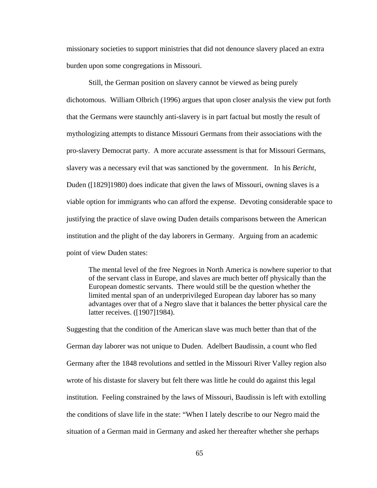missionary societies to support ministries that did not denounce slavery placed an extra burden upon some congregations in Missouri.

 Still, the German position on slavery cannot be viewed as being purely dichotomous. William Olbrich (1996) argues that upon closer analysis the view put forth that the Germans were staunchly anti-slavery is in part factual but mostly the result of mythologizing attempts to distance Missouri Germans from their associations with the pro-slavery Democrat party. A more accurate assessment is that for Missouri Germans, slavery was a necessary evil that was sanctioned by the government. In his *Bericht*, Duden ([1829]1980) does indicate that given the laws of Missouri, owning slaves is a viable option for immigrants who can afford the expense. Devoting considerable space to justifying the practice of slave owing Duden details comparisons between the American institution and the plight of the day laborers in Germany. Arguing from an academic point of view Duden states:

The mental level of the free Negroes in North America is nowhere superior to that of the servant class in Europe, and slaves are much better off physically than the European domestic servants. There would still be the question whether the limited mental span of an underprivileged European day laborer has so many advantages over that of a Negro slave that it balances the better physical care the latter receives. ([1907]1984).

Suggesting that the condition of the American slave was much better than that of the German day laborer was not unique to Duden. Adelbert Baudissin, a count who fled Germany after the 1848 revolutions and settled in the Missouri River Valley region also wrote of his distaste for slavery but felt there was little he could do against this legal institution. Feeling constrained by the laws of Missouri, Baudissin is left with extolling the conditions of slave life in the state: "When I lately describe to our Negro maid the situation of a German maid in Germany and asked her thereafter whether she perhaps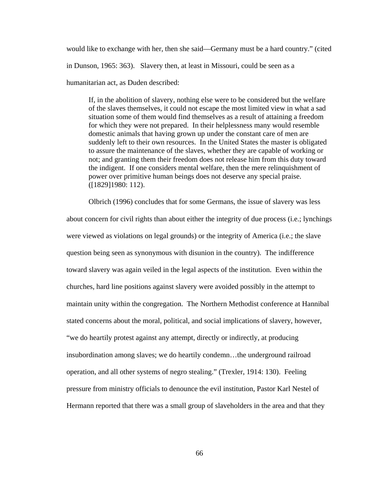would like to exchange with her, then she said—Germany must be a hard country." (cited

in Dunson, 1965: 363). Slavery then, at least in Missouri, could be seen as a

humanitarian act, as Duden described:

If, in the abolition of slavery, nothing else were to be considered but the welfare of the slaves themselves, it could not escape the most limited view in what a sad situation some of them would find themselves as a result of attaining a freedom for which they were not prepared. In their helplessness many would resemble domestic animals that having grown up under the constant care of men are suddenly left to their own resources. In the United States the master is obligated to assure the maintenance of the slaves, whether they are capable of working or not; and granting them their freedom does not release him from this duty toward the indigent. If one considers mental welfare, then the mere relinquishment of power over primitive human beings does not deserve any special praise. ([1829]1980: 112).

Olbrich (1996) concludes that for some Germans, the issue of slavery was less

about concern for civil rights than about either the integrity of due process (i.e.; lynchings were viewed as violations on legal grounds) or the integrity of America (i.e.; the slave question being seen as synonymous with disunion in the country). The indifference toward slavery was again veiled in the legal aspects of the institution. Even within the churches, hard line positions against slavery were avoided possibly in the attempt to maintain unity within the congregation. The Northern Methodist conference at Hannibal stated concerns about the moral, political, and social implications of slavery, however, "we do heartily protest against any attempt, directly or indirectly, at producing insubordination among slaves; we do heartily condemn…the underground railroad operation, and all other systems of negro stealing." (Trexler, 1914: 130). Feeling pressure from ministry officials to denounce the evil institution, Pastor Karl Nestel of Hermann reported that there was a small group of slaveholders in the area and that they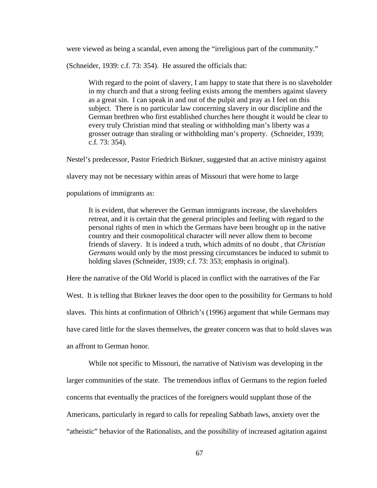were viewed as being a scandal, even among the "irreligious part of the community."

(Schneider, 1939: c.f. 73: 354). He assured the officials that:

With regard to the point of slavery, I am happy to state that there is no slaveholder in my church and that a strong feeling exists among the members against slavery as a great sin. I can speak in and out of the pulpit and pray as I feel on this subject. There is no particular law concerning slavery in our discipline and the German brethren who first established churches here thought it would be clear to every truly Christian mind that stealing or withholding man's liberty was a grosser outrage than stealing or withholding man's property. (Schneider, 1939; c.f. 73: 354).

Nestel's predecessor, Pastor Friedrich Birkner, suggested that an active ministry against

slavery may not be necessary within areas of Missouri that were home to large

populations of immigrants as:

It is evident, that wherever the German immigrants increase, the slaveholders retreat, and it is certain that the general principles and feeling with regard to the personal rights of men in which the Germans have been brought up in the native country and their cosmopolitical character will never allow them to become friends of slavery. It is indeed a truth, which admits of no doubt , that *Christian Germans* would only by the most pressing circumstances be induced to submit to holding slaves (Schneider, 1939; c.f. 73: 353; emphasis in original).

Here the narrative of the Old World is placed in conflict with the narratives of the Far

West. It is telling that Birkner leaves the door open to the possibility for Germans to hold slaves. This hints at confirmation of Olbrich's (1996) argument that while Germans may have cared little for the slaves themselves, the greater concern was that to hold slaves was an affront to German honor.

While not specific to Missouri, the narrative of Nativism was developing in the larger communities of the state. The tremendous influx of Germans to the region fueled concerns that eventually the practices of the foreigners would supplant those of the Americans, particularly in regard to calls for repealing Sabbath laws, anxiety over the "atheistic" behavior of the Rationalists, and the possibility of increased agitation against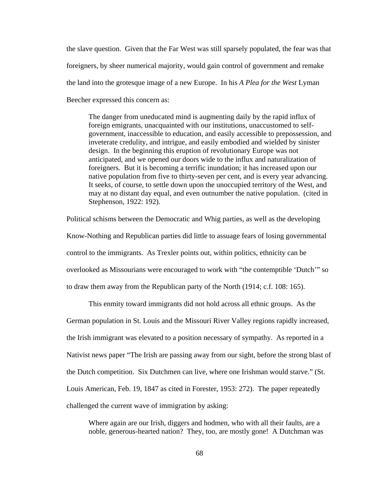the slave question. Given that the Far West was still sparsely populated, the fear was that foreigners, by sheer numerical majority, would gain control of government and remake the land into the grotesque image of a new Europe. In his *A Plea for the West* Lyman Beecher expressed this concern as:

The danger from uneducated mind is augmenting daily by the rapid influx of foreign emigrants, unacquainted with our institutions, unaccustomed to selfgovernment, inaccessible to education, and easily accessible to prepossession, and inveterate credulity, and intrigue, and easily embodied and wielded by sinister design. In the beginning this eruption of revolutionary Europe was not anticipated, and we opened our doors wide to the influx and naturalization of foreigners. But it is becoming a terrific inundation; it has increased upon our native population from five to thirty-seven per cent, and is every year advancing. It seeks, of course, to settle down upon the unoccupied territory of the West, and may at no distant day equal, and even outnumber the native population. (cited in Stephenson, 1922: 192).

Political schisms between the Democratic and Whig parties, as well as the developing Know-Nothing and Republican parties did little to assuage fears of losing governmental control to the immigrants. As Trexler points out, within politics, ethnicity can be overlooked as Missourians were encouraged to work with "the contemptible 'Dutch'" so to draw them away from the Republican party of the North (1914; c.f. 108: 165).

This enmity toward immigrants did not hold across all ethnic groups. As the German population in St. Louis and the Missouri River Valley regions rapidly increased, the Irish immigrant was elevated to a position necessary of sympathy. As reported in a Nativist news paper "The Irish are passing away from our sight, before the strong blast of the Dutch competition. Six Dutchmen can live, where one Irishman would starve." (St. Louis American, Feb. 19, 1847 as cited in Forester, 1953: 272). The paper repeatedly challenged the current wave of immigration by asking:

Where again are our Irish, diggers and hodmen, who with all their faults, are a noble, generous-hearted nation? They, too, are mostly gone! A Dutchman was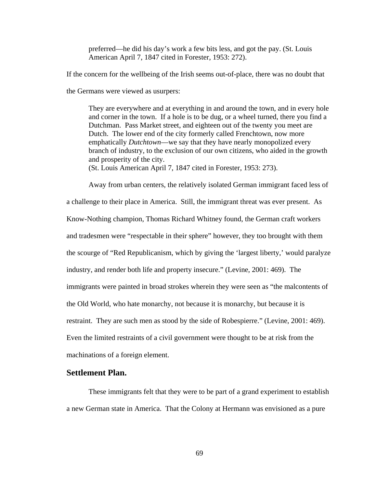preferred—he did his day's work a few bits less, and got the pay. (St. Louis American April 7, 1847 cited in Forester, 1953: 272).

If the concern for the wellbeing of the Irish seems out-of-place, there was no doubt that the Germans were viewed as usurpers:

They are everywhere and at everything in and around the town, and in every hole and corner in the town. If a hole is to be dug, or a wheel turned, there you find a Dutchman. Pass Market street, and eighteen out of the twenty you meet are Dutch. The lower end of the city formerly called Frenchtown, now more emphatically *Dutchtown*—we say that they have nearly monopolized every branch of industry, to the exclusion of our own citizens, who aided in the growth and prosperity of the city. (St. Louis American April 7, 1847 cited in Forester, 1953: 273).

 Away from urban centers, the relatively isolated German immigrant faced less of a challenge to their place in America. Still, the immigrant threat was ever present. As Know-Nothing champion, Thomas Richard Whitney found, the German craft workers and tradesmen were "respectable in their sphere" however, they too brought with them the scourge of "Red Republicanism, which by giving the 'largest liberty,' would paralyze industry, and render both life and property insecure." (Levine, 2001: 469). The immigrants were painted in broad strokes wherein they were seen as "the malcontents of the Old World, who hate monarchy, not because it is monarchy, but because it is restraint. They are such men as stood by the side of Robespierre." (Levine, 2001: 469). Even the limited restraints of a civil government were thought to be at risk from the machinations of a foreign element.

# **Settlement Plan.**

These immigrants felt that they were to be part of a grand experiment to establish a new German state in America. That the Colony at Hermann was envisioned as a pure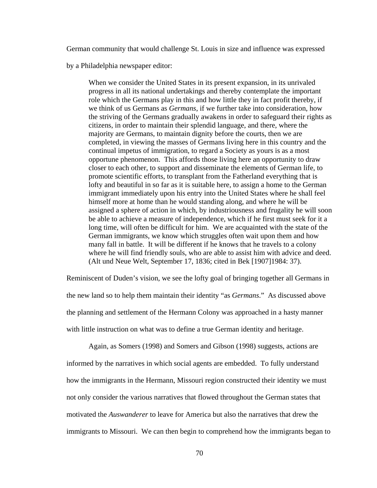German community that would challenge St. Louis in size and influence was expressed

by a Philadelphia newspaper editor:

When we consider the United States in its present expansion, in its unrivaled progress in all its national undertakings and thereby contemplate the important role which the Germans play in this and how little they in fact profit thereby, if we think of us Germans as *Germans*, if we further take into consideration, how the striving of the Germans gradually awakens in order to safeguard their rights as citizens, in order to maintain their splendid language, and there, where the majority are Germans, to maintain dignity before the courts, then we are completed, in viewing the masses of Germans living here in this country and the continual impetus of immigration, to regard a Society as yours is as a most opportune phenomenon. This affords those living here an opportunity to draw closer to each other, to support and disseminate the elements of German life, to promote scientific efforts, to transplant from the Fatherland everything that is lofty and beautiful in so far as it is suitable here, to assign a home to the German immigrant immediately upon his entry into the United States where he shall feel himself more at home than he would standing along, and where he will be assigned a sphere of action in which, by industriousness and frugality he will soon be able to achieve a measure of independence, which if he first must seek for it a long time, will often be difficult for him. We are acquainted with the state of the German immigrants, we know which struggles often wait upon them and how many fall in battle. It will be different if he knows that he travels to a colony where he will find friendly souls, who are able to assist him with advice and deed. (Alt und Neue Welt, September 17, 1836; cited in Bek [1907]1984: 37).

Reminiscent of Duden's vision, we see the lofty goal of bringing together all Germans in the new land so to help them maintain their identity "as *Germans*." As discussed above the planning and settlement of the Hermann Colony was approached in a hasty manner with little instruction on what was to define a true German identity and heritage.

 Again, as Somers (1998) and Somers and Gibson (1998) suggests, actions are informed by the narratives in which social agents are embedded. To fully understand how the immigrants in the Hermann, Missouri region constructed their identity we must not only consider the various narratives that flowed throughout the German states that motivated the *Auswanderer* to leave for America but also the narratives that drew the immigrants to Missouri. We can then begin to comprehend how the immigrants began to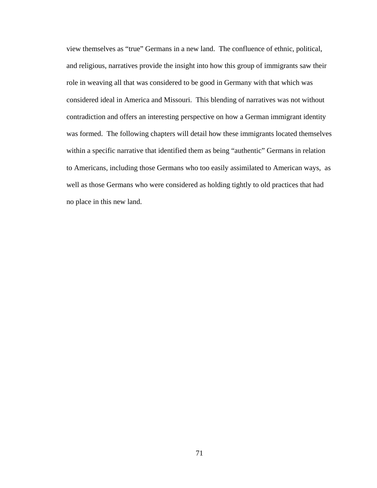view themselves as "true" Germans in a new land. The confluence of ethnic, political, and religious, narratives provide the insight into how this group of immigrants saw their role in weaving all that was considered to be good in Germany with that which was considered ideal in America and Missouri. This blending of narratives was not without contradiction and offers an interesting perspective on how a German immigrant identity was formed. The following chapters will detail how these immigrants located themselves within a specific narrative that identified them as being "authentic" Germans in relation to Americans, including those Germans who too easily assimilated to American ways, as well as those Germans who were considered as holding tightly to old practices that had no place in this new land.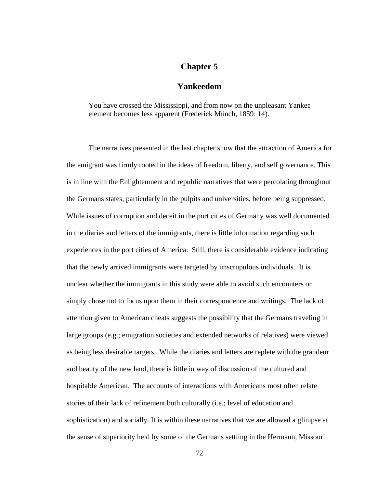# **Chapter 5**

# **Yankeedom**

You have crossed the Mississippi, and from now on the unpleasant Yankee element becomes less apparent (Frederick Münch, 1859: 14).

 The narratives presented in the last chapter show that the attraction of America for the emigrant was firmly rooted in the ideas of freedom, liberty, and self governance. This is in line with the Enlightenment and republic narratives that were percolating throughout the Germans states, particularly in the pulpits and universities, before being suppressed. While issues of corruption and deceit in the port cities of Germany was well documented in the diaries and letters of the immigrants, there is little information regarding such experiences in the port cities of America. Still, there is considerable evidence indicating that the newly arrived immigrants were targeted by unscrupulous individuals. It is unclear whether the immigrants in this study were able to avoid such encounters or simply chose not to focus upon them in their correspondence and writings. The lack of attention given to American cheats suggests the possibility that the Germans traveling in large groups (e.g.; emigration societies and extended networks of relatives) were viewed as being less desirable targets. While the diaries and letters are replete with the grandeur and beauty of the new land, there is little in way of discussion of the cultured and hospitable American. The accounts of interactions with Americans most often relate stories of their lack of refinement both culturally (i.e.; level of education and sophistication) and socially. It is within these narratives that we are allowed a glimpse at the sense of superiority held by some of the Germans settling in the Hermann, Missouri

72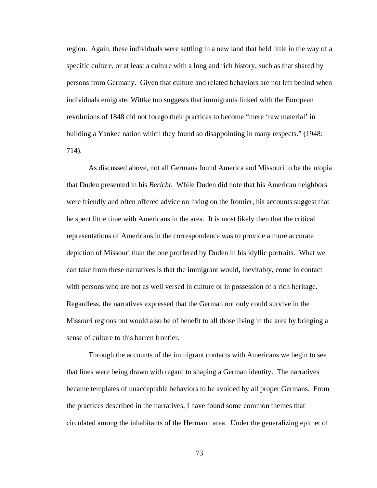region. Again, these individuals were settling in a new land that held little in the way of a specific culture, or at least a culture with a long and rich history, such as that shared by persons from Germany. Given that culture and related behaviors are not left behind when individuals emigrate, Wittke too suggests that immigrants linked with the European revolutions of 1848 did not forego their practices to become "mere 'raw material' in building a Yankee nation which they found so disappointing in many respects." (1948: 714).

As discussed above, not all Germans found America and Missouri to be the utopia that Duden presented in his *Bericht*. While Duden did note that his American neighbors were friendly and often offered advice on living on the frontier, his accounts suggest that he spent little time with Americans in the area. It is most likely then that the critical representations of Americans in the correspondence was to provide a more accurate depiction of Missouri than the one proffered by Duden in his idyllic portraits. What we can take from these narratives is that the immigrant would, inevitably, come in contact with persons who are not as well versed in culture or in possession of a rich heritage. Regardless, the narratives expressed that the German not only could survive in the Missouri regions but would also be of benefit to all those living in the area by bringing a sense of culture to this barren frontier.

Through the accounts of the immigrant contacts with Americans we begin to see that lines were being drawn with regard to shaping a German identity. The narratives became templates of unacceptable behaviors to be avoided by all proper Germans. From the practices described in the narratives, I have found some common themes that circulated among the inhabitants of the Hermann area. Under the generalizing epithet of

73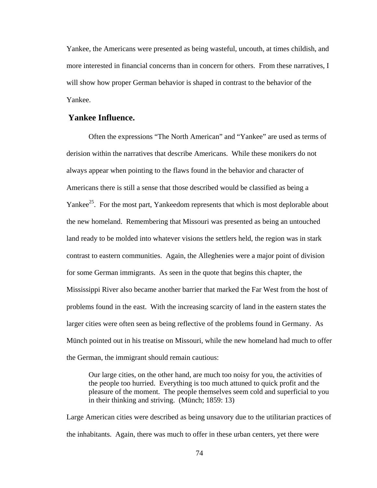Yankee, the Americans were presented as being wasteful, uncouth, at times childish, and more interested in financial concerns than in concern for others. From these narratives, I will show how proper German behavior is shaped in contrast to the behavior of the Yankee.

# **Yankee Influence.**

Often the expressions "The North American" and "Yankee" are used as terms of derision within the narratives that describe Americans. While these monikers do not always appear when pointing to the flaws found in the behavior and character of Americans there is still a sense that those described would be classified as being a Yankee<sup>25</sup>. For the most part, Yankeedom represents that which is most deplorable about the new homeland. Remembering that Missouri was presented as being an untouched land ready to be molded into whatever visions the settlers held, the region was in stark contrast to eastern communities. Again, the Alleghenies were a major point of division for some German immigrants. As seen in the quote that begins this chapter, the Mississippi River also became another barrier that marked the Far West from the host of problems found in the east. With the increasing scarcity of land in the eastern states the larger cities were often seen as being reflective of the problems found in Germany. As Münch pointed out in his treatise on Missouri, while the new homeland had much to offer the German, the immigrant should remain cautious:

Our large cities, on the other hand, are much too noisy for you, the activities of the people too hurried. Everything is too much attuned to quick profit and the pleasure of the moment. The people themselves seem cold and superficial to you in their thinking and striving. (Münch; 1859: 13)

Large American cities were described as being unsavory due to the utilitarian practices of the inhabitants. Again, there was much to offer in these urban centers, yet there were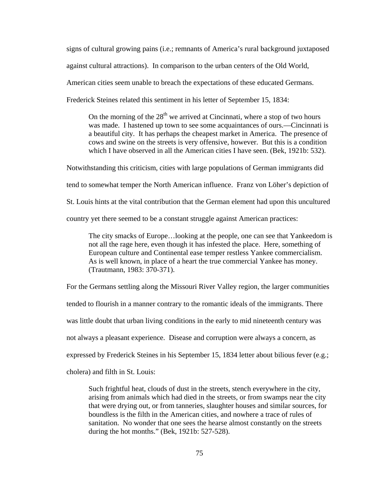signs of cultural growing pains (i.e.; remnants of America's rural background juxtaposed

against cultural attractions). In comparison to the urban centers of the Old World,

American cities seem unable to breach the expectations of these educated Germans.

Frederick Steines related this sentiment in his letter of September 15, 1834:

On the morning of the  $28<sup>th</sup>$  we arrived at Cincinnati, where a stop of two hours was made. I hastened up town to see some acquaintances of ours.—Cincinnati is a beautiful city. It has perhaps the cheapest market in America. The presence of cows and swine on the streets is very offensive, however. But this is a condition which I have observed in all the American cities I have seen. (Bek, 1921b: 532).

Notwithstanding this criticism, cities with large populations of German immigrants did tend to somewhat temper the North American influence. Franz von Löher's depiction of St. Louis hints at the vital contribution that the German element had upon this uncultured country yet there seemed to be a constant struggle against American practices:

The city smacks of Europe…looking at the people, one can see that Yankeedom is not all the rage here, even though it has infested the place. Here, something of European culture and Continental ease temper restless Yankee commercialism. As is well known, in place of a heart the true commercial Yankee has money. (Trautmann, 1983: 370-371).

For the Germans settling along the Missouri River Valley region, the larger communities

tended to flourish in a manner contrary to the romantic ideals of the immigrants. There

was little doubt that urban living conditions in the early to mid nineteenth century was

not always a pleasant experience. Disease and corruption were always a concern, as

expressed by Frederick Steines in his September 15, 1834 letter about bilious fever (e.g.;

cholera) and filth in St. Louis:

Such frightful heat, clouds of dust in the streets, stench everywhere in the city, arising from animals which had died in the streets, or from swamps near the city that were drying out, or from tanneries, slaughter houses and similar sources, for boundless is the filth in the American cities, and nowhere a trace of rules of sanitation. No wonder that one sees the hearse almost constantly on the streets during the hot months." (Bek, 1921b: 527-528).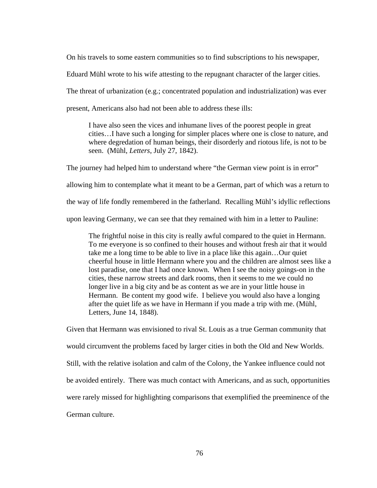On his travels to some eastern communities so to find subscriptions to his newspaper,

Eduard Mühl wrote to his wife attesting to the repugnant character of the larger cities.

The threat of urbanization (e.g.; concentrated population and industrialization) was ever

present, Americans also had not been able to address these ills:

I have also seen the vices and inhumane lives of the poorest people in great cities…I have such a longing for simpler places where one is close to nature, and where degredation of human beings, their disorderly and riotous life, is not to be seen. (Mühl, *Letters*, July 27, 1842).

The journey had helped him to understand where "the German view point is in error" allowing him to contemplate what it meant to be a German, part of which was a return to

the way of life fondly remembered in the fatherland. Recalling Mühl's idyllic reflections

upon leaving Germany, we can see that they remained with him in a letter to Pauline:

The frightful noise in this city is really awful compared to the quiet in Hermann. To me everyone is so confined to their houses and without fresh air that it would take me a long time to be able to live in a place like this again…Our quiet cheerful house in little Hermann where you and the children are almost sees like a lost paradise, one that I had once known. When I see the noisy goings-on in the cities, these narrow streets and dark rooms, then it seems to me we could no longer live in a big city and be as content as we are in your little house in Hermann. Be content my good wife. I believe you would also have a longing after the quiet life as we have in Hermann if you made a trip with me. (Mühl, Letters, June 14, 1848).

Given that Hermann was envisioned to rival St. Louis as a true German community that would circumvent the problems faced by larger cities in both the Old and New Worlds. Still, with the relative isolation and calm of the Colony, the Yankee influence could not be avoided entirely. There was much contact with Americans, and as such, opportunities were rarely missed for highlighting comparisons that exemplified the preeminence of the German culture.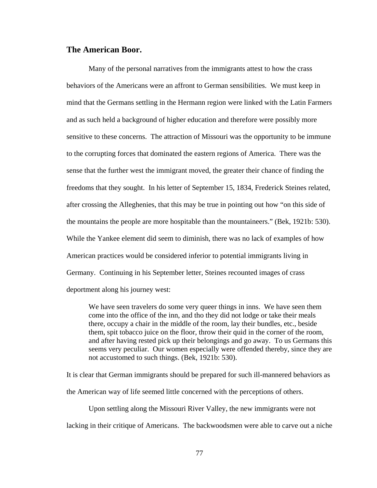## **The American Boor.**

 Many of the personal narratives from the immigrants attest to how the crass behaviors of the Americans were an affront to German sensibilities. We must keep in mind that the Germans settling in the Hermann region were linked with the Latin Farmers and as such held a background of higher education and therefore were possibly more sensitive to these concerns. The attraction of Missouri was the opportunity to be immune to the corrupting forces that dominated the eastern regions of America. There was the sense that the further west the immigrant moved, the greater their chance of finding the freedoms that they sought. In his letter of September 15, 1834, Frederick Steines related, after crossing the Alleghenies, that this may be true in pointing out how "on this side of the mountains the people are more hospitable than the mountaineers." (Bek, 1921b: 530). While the Yankee element did seem to diminish, there was no lack of examples of how American practices would be considered inferior to potential immigrants living in Germany. Continuing in his September letter, Steines recounted images of crass deportment along his journey west:

We have seen travelers do some very queer things in inns. We have seen them come into the office of the inn, and tho they did not lodge or take their meals there, occupy a chair in the middle of the room, lay their bundles, etc., beside them, spit tobacco juice on the floor, throw their quid in the corner of the room, and after having rested pick up their belongings and go away. To us Germans this seems very peculiar. Our women especially were offended thereby, since they are not accustomed to such things. (Bek, 1921b: 530).

It is clear that German immigrants should be prepared for such ill-mannered behaviors as the American way of life seemed little concerned with the perceptions of others.

 Upon settling along the Missouri River Valley, the new immigrants were not lacking in their critique of Americans. The backwoodsmen were able to carve out a niche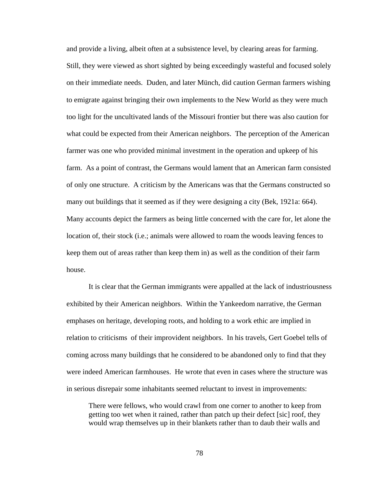and provide a living, albeit often at a subsistence level, by clearing areas for farming. Still, they were viewed as short sighted by being exceedingly wasteful and focused solely on their immediate needs. Duden, and later Münch, did caution German farmers wishing to emigrate against bringing their own implements to the New World as they were much too light for the uncultivated lands of the Missouri frontier but there was also caution for what could be expected from their American neighbors. The perception of the American farmer was one who provided minimal investment in the operation and upkeep of his farm. As a point of contrast, the Germans would lament that an American farm consisted of only one structure. A criticism by the Americans was that the Germans constructed so many out buildings that it seemed as if they were designing a city (Bek, 1921a: 664). Many accounts depict the farmers as being little concerned with the care for, let alone the location of, their stock (i.e.; animals were allowed to roam the woods leaving fences to keep them out of areas rather than keep them in) as well as the condition of their farm house.

It is clear that the German immigrants were appalled at the lack of industriousness exhibited by their American neighbors. Within the Yankeedom narrative, the German emphases on heritage, developing roots, and holding to a work ethic are implied in relation to criticisms of their improvident neighbors. In his travels, Gert Goebel tells of coming across many buildings that he considered to be abandoned only to find that they were indeed American farmhouses. He wrote that even in cases where the structure was in serious disrepair some inhabitants seemed reluctant to invest in improvements:

There were fellows, who would crawl from one corner to another to keep from getting too wet when it rained, rather than patch up their defect [sic] roof, they would wrap themselves up in their blankets rather than to daub their walls and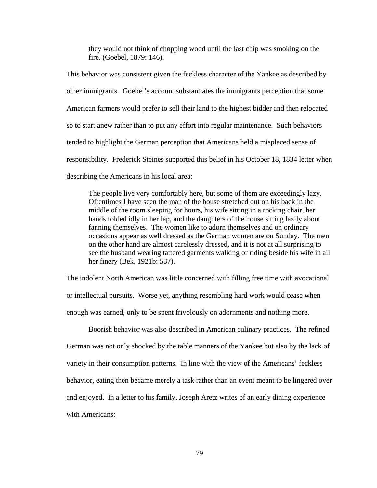they would not think of chopping wood until the last chip was smoking on the fire. (Goebel, 1879: 146).

This behavior was consistent given the feckless character of the Yankee as described by other immigrants. Goebel's account substantiates the immigrants perception that some American farmers would prefer to sell their land to the highest bidder and then relocated so to start anew rather than to put any effort into regular maintenance. Such behaviors tended to highlight the German perception that Americans held a misplaced sense of responsibility. Frederick Steines supported this belief in his October 18, 1834 letter when describing the Americans in his local area:

The people live very comfortably here, but some of them are exceedingly lazy. Oftentimes I have seen the man of the house stretched out on his back in the middle of the room sleeping for hours, his wife sitting in a rocking chair, her hands folded idly in her lap, and the daughters of the house sitting lazily about fanning themselves. The women like to adorn themselves and on ordinary occasions appear as well dressed as the German women are on Sunday. The men on the other hand are almost carelessly dressed, and it is not at all surprising to see the husband wearing tattered garments walking or riding beside his wife in all her finery (Bek, 1921b: 537).

The indolent North American was little concerned with filling free time with avocational or intellectual pursuits. Worse yet, anything resembling hard work would cease when enough was earned, only to be spent frivolously on adornments and nothing more.

 Boorish behavior was also described in American culinary practices. The refined German was not only shocked by the table manners of the Yankee but also by the lack of variety in their consumption patterns. In line with the view of the Americans' feckless behavior, eating then became merely a task rather than an event meant to be lingered over and enjoyed. In a letter to his family, Joseph Aretz writes of an early dining experience with Americans: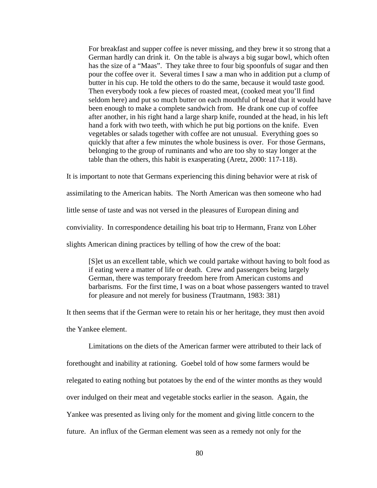For breakfast and supper coffee is never missing, and they brew it so strong that a German hardly can drink it. On the table is always a big sugar bowl, which often has the size of a "Maas". They take three to four big spoonfuls of sugar and then pour the coffee over it. Several times I saw a man who in addition put a clump of butter in his cup. He told the others to do the same, because it would taste good. Then everybody took a few pieces of roasted meat, (cooked meat you'll find seldom here) and put so much butter on each mouthful of bread that it would have been enough to make a complete sandwich from. He drank one cup of coffee after another, in his right hand a large sharp knife, rounded at the head, in his left hand a fork with two teeth, with which he put big portions on the knife. Even vegetables or salads together with coffee are not unusual. Everything goes so quickly that after a few minutes the whole business is over. For those Germans, belonging to the group of ruminants and who are too shy to stay longer at the table than the others, this habit is exasperating (Aretz, 2000: 117-118).

It is important to note that Germans experiencing this dining behavior were at risk of

assimilating to the American habits. The North American was then someone who had

little sense of taste and was not versed in the pleasures of European dining and

conviviality. In correspondence detailing his boat trip to Hermann, Franz von Löher

slights American dining practices by telling of how the crew of the boat:

[S]et us an excellent table, which we could partake without having to bolt food as if eating were a matter of life or death. Crew and passengers being largely German, there was temporary freedom here from American customs and barbarisms. For the first time, I was on a boat whose passengers wanted to travel for pleasure and not merely for business (Trautmann, 1983: 381)

It then seems that if the German were to retain his or her heritage, they must then avoid the Yankee element.

Limitations on the diets of the American farmer were attributed to their lack of forethought and inability at rationing. Goebel told of how some farmers would be relegated to eating nothing but potatoes by the end of the winter months as they would over indulged on their meat and vegetable stocks earlier in the season. Again, the Yankee was presented as living only for the moment and giving little concern to the future. An influx of the German element was seen as a remedy not only for the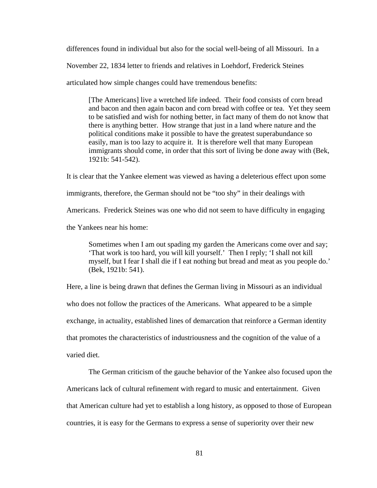differences found in individual but also for the social well-being of all Missouri. In a

November 22, 1834 letter to friends and relatives in Loehdorf, Frederick Steines

articulated how simple changes could have tremendous benefits:

[The Americans] live a wretched life indeed. Their food consists of corn bread and bacon and then again bacon and corn bread with coffee or tea. Yet they seem to be satisfied and wish for nothing better, in fact many of them do not know that there is anything better. How strange that just in a land where nature and the political conditions make it possible to have the greatest superabundance so easily, man is too lazy to acquire it. It is therefore well that many European immigrants should come, in order that this sort of living be done away with (Bek, 1921b: 541-542).

It is clear that the Yankee element was viewed as having a deleterious effect upon some immigrants, therefore, the German should not be "too shy" in their dealings with Americans. Frederick Steines was one who did not seem to have difficulty in engaging the Yankees near his home:

Sometimes when I am out spading my garden the Americans come over and say; 'That work is too hard, you will kill yourself.' Then I reply; 'I shall not kill myself, but I fear I shall die if I eat nothing but bread and meat as you people do.' (Bek, 1921b: 541).

Here, a line is being drawn that defines the German living in Missouri as an individual who does not follow the practices of the Americans. What appeared to be a simple exchange, in actuality, established lines of demarcation that reinforce a German identity that promotes the characteristics of industriousness and the cognition of the value of a varied diet.

 The German criticism of the gauche behavior of the Yankee also focused upon the Americans lack of cultural refinement with regard to music and entertainment. Given that American culture had yet to establish a long history, as opposed to those of European countries, it is easy for the Germans to express a sense of superiority over their new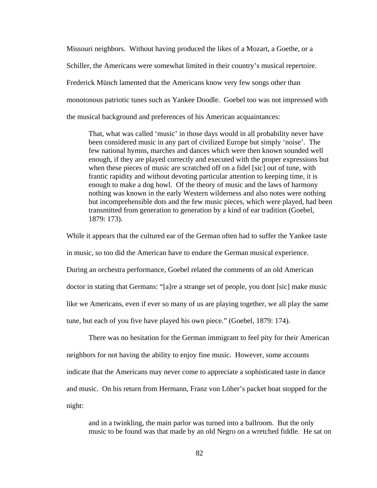Missouri neighbors. Without having produced the likes of a Mozart, a Goethe, or a Schiller, the Americans were somewhat limited in their country's musical repertoire. Frederick Münch lamented that the Americans know very few songs other than monotonous patriotic tunes such as Yankee Doodle. Goebel too was not impressed with the musical background and preferences of his American acquaintances:

That, what was called 'music' in those days would in all probability never have been considered music in any part of civilized Europe but simply 'noise'. The few national hymns, marches and dances which were then known sounded well enough, if they are played correctly and executed with the proper expressions but when these pieces of music are scratched off on a fidel [sic] out of tune, with frantic rapidity and without devoting particular attention to keeping time, it is enough to make a dog howl. Of the theory of music and the laws of harmony nothing was known in the early Western wilderness and also notes were nothing but incomprehensible dots and the few music pieces, which were played, had been transmitted from generation to generation by a kind of ear tradition (Goebel, 1879: 173).

While it appears that the cultured ear of the German often had to suffer the Yankee taste in music, so too did the American have to endure the German musical experience. During an orchestra performance, Goebel related the comments of an old American doctor in stating that Germans: "[a]re a strange set of people, you dont [sic] make music like we Americans, even if ever so many of us are playing together, we all play the same tune, but each of you five have played his own piece." (Goebel, 1879: 174).

There was no hesitation for the German immigrant to feel pity for their American neighbors for not having the ability to enjoy fine music. However, some accounts indicate that the Americans may never come to appreciate a sophisticated taste in dance and music. On his return from Hermann, Franz von Löher's packet boat stopped for the night:

and in a twinkling, the main parlor was turned into a ballroom. But the only music to be found was that made by an old Negro on a wretched fiddle. He sat on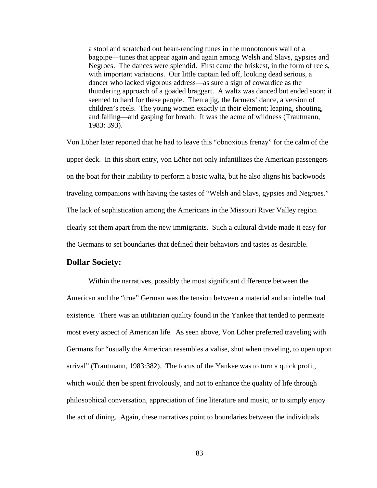a stool and scratched out heart-rending tunes in the monotonous wail of a bagpipe—tunes that appear again and again among Welsh and Slavs, gypsies and Negroes. The dances were splendid. First came the briskest, in the form of reels, with important variations. Our little captain led off, looking dead serious, a dancer who lacked vigorous address—as sure a sign of cowardice as the thundering approach of a goaded braggart. A waltz was danced but ended soon; it seemed to hard for these people. Then a jig, the farmers' dance, a version of children's reels. The young women exactly in their element; leaping, shouting, and falling—and gasping for breath. It was the acme of wildness (Trautmann, 1983: 393).

Von Löher later reported that he had to leave this "obnoxious frenzy" for the calm of the upper deck. In this short entry, von Löher not only infantilizes the American passengers on the boat for their inability to perform a basic waltz, but he also aligns his backwoods traveling companions with having the tastes of "Welsh and Slavs, gypsies and Negroes." The lack of sophistication among the Americans in the Missouri River Valley region clearly set them apart from the new immigrants. Such a cultural divide made it easy for the Germans to set boundaries that defined their behaviors and tastes as desirable.

# **Dollar Society:**

Within the narratives, possibly the most significant difference between the American and the "true" German was the tension between a material and an intellectual existence. There was an utilitarian quality found in the Yankee that tended to permeate most every aspect of American life. As seen above, Von Löher preferred traveling with Germans for "usually the American resembles a valise, shut when traveling, to open upon arrival" (Trautmann, 1983:382). The focus of the Yankee was to turn a quick profit, which would then be spent frivolously, and not to enhance the quality of life through philosophical conversation, appreciation of fine literature and music, or to simply enjoy the act of dining. Again, these narratives point to boundaries between the individuals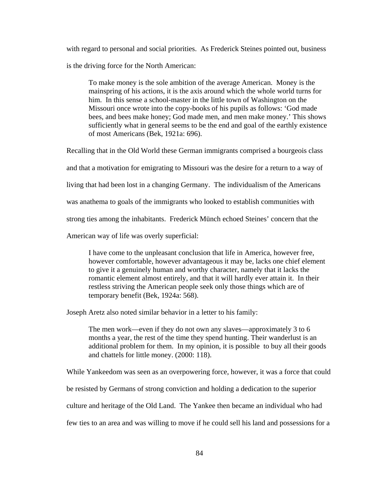with regard to personal and social priorities. As Frederick Steines pointed out, business is the driving force for the North American:

To make money is the sole ambition of the average American. Money is the mainspring of his actions, it is the axis around which the whole world turns for him. In this sense a school-master in the little town of Washington on the Missouri once wrote into the copy-books of his pupils as follows: 'God made bees, and bees make honey; God made men, and men make money.' This shows sufficiently what in general seems to be the end and goal of the earthly existence of most Americans (Bek, 1921a: 696).

Recalling that in the Old World these German immigrants comprised a bourgeois class

and that a motivation for emigrating to Missouri was the desire for a return to a way of

living that had been lost in a changing Germany. The individualism of the Americans

was anathema to goals of the immigrants who looked to establish communities with

strong ties among the inhabitants. Frederick Münch echoed Steines' concern that the

American way of life was overly superficial:

I have come to the unpleasant conclusion that life in America, however free, however comfortable, however advantageous it may be, lacks one chief element to give it a genuinely human and worthy character, namely that it lacks the romantic element almost entirely, and that it will hardly ever attain it. In their restless striving the American people seek only those things which are of temporary benefit (Bek, 1924a: 568).

Joseph Aretz also noted similar behavior in a letter to his family:

The men work—even if they do not own any slaves—approximately 3 to 6 months a year, the rest of the time they spend hunting. Their wanderlust is an additional problem for them. In my opinion, it is possible to buy all their goods and chattels for little money. (2000: 118).

While Yankeedom was seen as an overpowering force, however, it was a force that could

be resisted by Germans of strong conviction and holding a dedication to the superior

culture and heritage of the Old Land. The Yankee then became an individual who had

few ties to an area and was willing to move if he could sell his land and possessions for a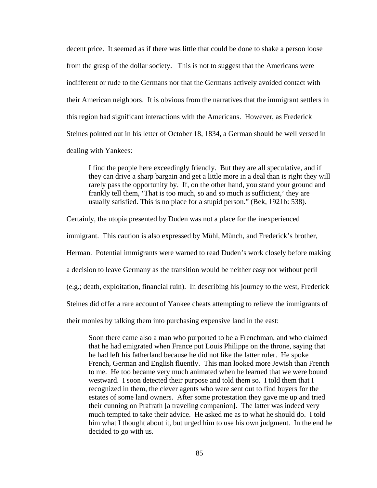decent price. It seemed as if there was little that could be done to shake a person loose from the grasp of the dollar society. This is not to suggest that the Americans were indifferent or rude to the Germans nor that the Germans actively avoided contact with their American neighbors. It is obvious from the narratives that the immigrant settlers in this region had significant interactions with the Americans. However, as Frederick Steines pointed out in his letter of October 18, 1834, a German should be well versed in dealing with Yankees:

I find the people here exceedingly friendly. But they are all speculative, and if they can drive a sharp bargain and get a little more in a deal than is right they will rarely pass the opportunity by. If, on the other hand, you stand your ground and frankly tell them, 'That is too much, so and so much is sufficient,' they are usually satisfied. This is no place for a stupid person." (Bek, 1921b: 538).

Certainly, the utopia presented by Duden was not a place for the inexperienced

immigrant. This caution is also expressed by Mühl, Münch, and Frederick's brother,

Herman. Potential immigrants were warned to read Duden's work closely before making

a decision to leave Germany as the transition would be neither easy nor without peril

(e.g.; death, exploitation, financial ruin). In describing his journey to the west, Frederick

Steines did offer a rare account of Yankee cheats attempting to relieve the immigrants of

their monies by talking them into purchasing expensive land in the east:

Soon there came also a man who purported to be a Frenchman, and who claimed that he had emigrated when France put Louis Philippe on the throne, saying that he had left his fatherland because he did not like the latter ruler. He spoke French, German and English fluently. This man looked more Jewish than French to me. He too became very much animated when he learned that we were bound westward. I soon detected their purpose and told them so. I told them that I recognized in them, the clever agents who were sent out to find buyers for the estates of some land owners. After some protestation they gave me up and tried their cunning on Prafrath [a traveling companion]. The latter was indeed very much tempted to take their advice. He asked me as to what he should do. I told him what I thought about it, but urged him to use his own judgment. In the end he decided to go with us.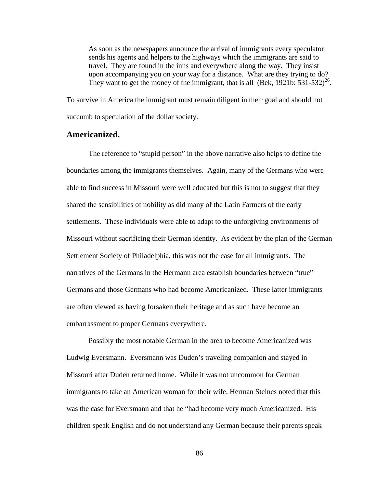As soon as the newspapers announce the arrival of immigrants every speculator sends his agents and helpers to the highways which the immigrants are said to travel. They are found in the inns and everywhere along the way. They insist upon accompanying you on your way for a distance. What are they trying to do? They want to get the money of the immigrant, that is all (Bek, 1921b:  $531-532$ )<sup>26</sup>.

To survive in America the immigrant must remain diligent in their goal and should not succumb to speculation of the dollar society.

#### **Americanized.**

The reference to "stupid person" in the above narrative also helps to define the boundaries among the immigrants themselves. Again, many of the Germans who were able to find success in Missouri were well educated but this is not to suggest that they shared the sensibilities of nobility as did many of the Latin Farmers of the early settlements. These individuals were able to adapt to the unforgiving environments of Missouri without sacrificing their German identity. As evident by the plan of the German Settlement Society of Philadelphia, this was not the case for all immigrants. The narratives of the Germans in the Hermann area establish boundaries between "true" Germans and those Germans who had become Americanized. These latter immigrants are often viewed as having forsaken their heritage and as such have become an embarrassment to proper Germans everywhere.

Possibly the most notable German in the area to become Americanized was Ludwig Eversmann. Eversmann was Duden's traveling companion and stayed in Missouri after Duden returned home. While it was not uncommon for German immigrants to take an American woman for their wife, Herman Steines noted that this was the case for Eversmann and that he "had become very much Americanized. His children speak English and do not understand any German because their parents speak

86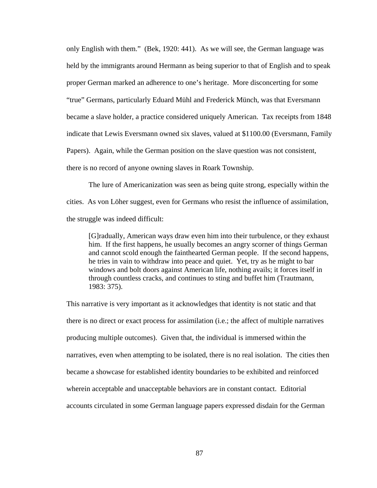only English with them." (Bek, 1920: 441). As we will see, the German language was held by the immigrants around Hermann as being superior to that of English and to speak proper German marked an adherence to one's heritage. More disconcerting for some "true" Germans, particularly Eduard Mühl and Frederick Münch, was that Eversmann became a slave holder, a practice considered uniquely American. Tax receipts from 1848 indicate that Lewis Eversmann owned six slaves, valued at \$1100.00 (Eversmann, Family Papers). Again, while the German position on the slave question was not consistent, there is no record of anyone owning slaves in Roark Township.

 The lure of Americanization was seen as being quite strong, especially within the cities. As von Löher suggest, even for Germans who resist the influence of assimilation, the struggle was indeed difficult:

 [G]radually, American ways draw even him into their turbulence, or they exhaust him. If the first happens, he usually becomes an angry scorner of things German and cannot scold enough the fainthearted German people. If the second happens, he tries in vain to withdraw into peace and quiet. Yet, try as he might to bar windows and bolt doors against American life, nothing avails; it forces itself in through countless cracks, and continues to sting and buffet him (Trautmann, 1983: 375).

This narrative is very important as it acknowledges that identity is not static and that there is no direct or exact process for assimilation (i.e.; the affect of multiple narratives producing multiple outcomes). Given that, the individual is immersed within the narratives, even when attempting to be isolated, there is no real isolation. The cities then became a showcase for established identity boundaries to be exhibited and reinforced wherein acceptable and unacceptable behaviors are in constant contact. Editorial accounts circulated in some German language papers expressed disdain for the German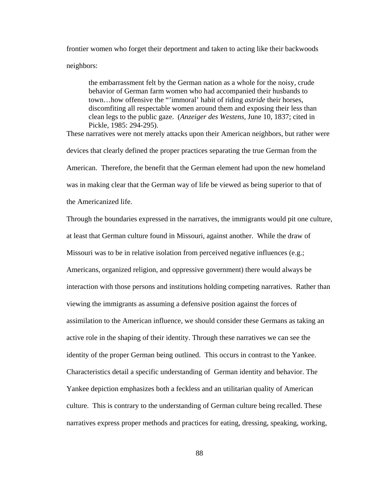frontier women who forget their deportment and taken to acting like their backwoods neighbors:

the embarrassment felt by the German nation as a whole for the noisy, crude behavior of German farm women who had accompanied their husbands to town…how offensive the "'immoral' habit of riding *astride* their horses, discomfiting all respectable women around them and exposing their less than clean legs to the public gaze. (*Anzeiger des Westens*, June 10, 1837; cited in Pickle, 1985: 294-295).

These narratives were not merely attacks upon their American neighbors, but rather were devices that clearly defined the proper practices separating the true German from the American. Therefore, the benefit that the German element had upon the new homeland was in making clear that the German way of life be viewed as being superior to that of the Americanized life.

Through the boundaries expressed in the narratives, the immigrants would pit one culture, at least that German culture found in Missouri, against another. While the draw of Missouri was to be in relative isolation from perceived negative influences (e.g.; Americans, organized religion, and oppressive government) there would always be interaction with those persons and institutions holding competing narratives. Rather than viewing the immigrants as assuming a defensive position against the forces of assimilation to the American influence, we should consider these Germans as taking an active role in the shaping of their identity. Through these narratives we can see the identity of the proper German being outlined. This occurs in contrast to the Yankee. Characteristics detail a specific understanding of German identity and behavior. The Yankee depiction emphasizes both a feckless and an utilitarian quality of American culture. This is contrary to the understanding of German culture being recalled. These narratives express proper methods and practices for eating, dressing, speaking, working,

88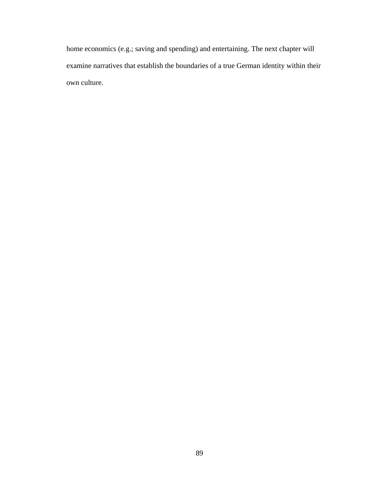home economics (e.g.; saving and spending) and entertaining. The next chapter will examine narratives that establish the boundaries of a true German identity within their own culture.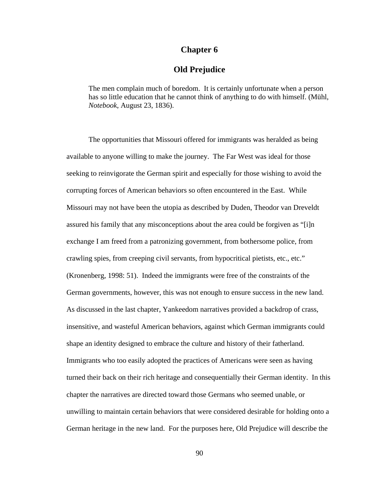# **Chapter 6**

# **Old Prejudice**

The men complain much of boredom. It is certainly unfortunate when a person has so little education that he cannot think of anything to do with himself. (Mühl, *Notebook*, August 23, 1836).

The opportunities that Missouri offered for immigrants was heralded as being available to anyone willing to make the journey. The Far West was ideal for those seeking to reinvigorate the German spirit and especially for those wishing to avoid the corrupting forces of American behaviors so often encountered in the East. While Missouri may not have been the utopia as described by Duden, Theodor van Dreveldt assured his family that any misconceptions about the area could be forgiven as "[i]n exchange I am freed from a patronizing government, from bothersome police, from crawling spies, from creeping civil servants, from hypocritical pietists, etc., etc." (Kronenberg, 1998: 51). Indeed the immigrants were free of the constraints of the German governments, however, this was not enough to ensure success in the new land. As discussed in the last chapter, Yankeedom narratives provided a backdrop of crass, insensitive, and wasteful American behaviors, against which German immigrants could shape an identity designed to embrace the culture and history of their fatherland. Immigrants who too easily adopted the practices of Americans were seen as having turned their back on their rich heritage and consequentially their German identity. In this chapter the narratives are directed toward those Germans who seemed unable, or unwilling to maintain certain behaviors that were considered desirable for holding onto a German heritage in the new land. For the purposes here, Old Prejudice will describe the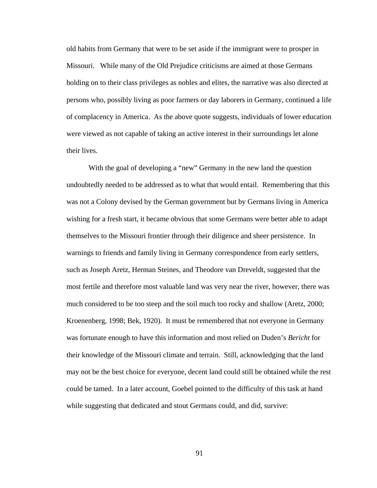old habits from Germany that were to be set aside if the immigrant were to prosper in Missouri. While many of the Old Prejudice criticisms are aimed at those Germans holding on to their class privileges as nobles and elites, the narrative was also directed at persons who, possibly living as poor farmers or day laborers in Germany, continued a life of complacency in America. As the above quote suggests, individuals of lower education were viewed as not capable of taking an active interest in their surroundings let alone their lives.

With the goal of developing a "new" Germany in the new land the question undoubtedly needed to be addressed as to what that would entail. Remembering that this was not a Colony devised by the German government but by Germans living in America wishing for a fresh start, it became obvious that some Germans were better able to adapt themselves to the Missouri frontier through their diligence and sheer persistence. In warnings to friends and family living in Germany correspondence from early settlers, such as Joseph Aretz, Herman Steines, and Theodore van Dreveldt, suggested that the most fertile and therefore most valuable land was very near the river, however, there was much considered to be too steep and the soil much too rocky and shallow (Aretz, 2000; Kroenenberg, 1998; Bek, 1920). It must be remembered that not everyone in Germany was fortunate enough to have this information and most relied on Duden's *Bericht* for their knowledge of the Missouri climate and terrain. Still, acknowledging that the land may not be the best choice for everyone, decent land could still be obtained while the rest could be tamed. In a later account, Goebel pointed to the difficulty of this task at hand while suggesting that dedicated and stout Germans could, and did, survive:

91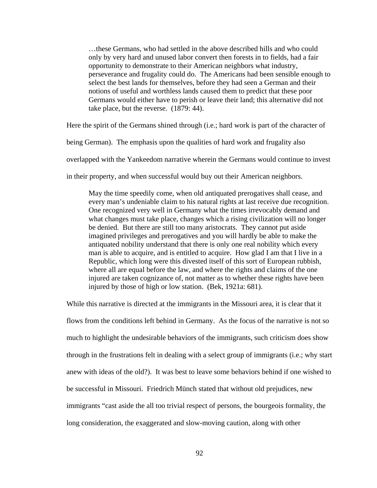…these Germans, who had settled in the above described hills and who could only by very hard and unused labor convert then forests in to fields, had a fair opportunity to demonstrate to their American neighbors what industry, perseverance and frugality could do. The Americans had been sensible enough to select the best lands for themselves, before they had seen a German and their notions of useful and worthless lands caused them to predict that these poor Germans would either have to perish or leave their land; this alternative did not take place, but the reverse. (1879: 44).

Here the spirit of the Germans shined through (i.e.; hard work is part of the character of

being German). The emphasis upon the qualities of hard work and frugality also

overlapped with the Yankeedom narrative wherein the Germans would continue to invest

in their property, and when successful would buy out their American neighbors.

May the time speedily come, when old antiquated prerogatives shall cease, and every man's undeniable claim to his natural rights at last receive due recognition. One recognized very well in Germany what the times irrevocably demand and what changes must take place, changes which a rising civilization will no longer be denied. But there are still too many aristocrats. They cannot put aside imagined privileges and prerogatives and you will hardly be able to make the antiquated nobility understand that there is only one real nobility which every man is able to acquire, and is entitled to acquire. How glad I am that I live in a Republic, which long were this divested itself of this sort of European rubbish, where all are equal before the law, and where the rights and claims of the one injured are taken cognizance of, not matter as to whether these rights have been injured by those of high or low station. (Bek, 1921a: 681).

While this narrative is directed at the immigrants in the Missouri area, it is clear that it flows from the conditions left behind in Germany. As the focus of the narrative is not so much to highlight the undesirable behaviors of the immigrants, such criticism does show through in the frustrations felt in dealing with a select group of immigrants (i.e.; why start anew with ideas of the old?). It was best to leave some behaviors behind if one wished to be successful in Missouri. Friedrich Münch stated that without old prejudices, new immigrants "cast aside the all too trivial respect of persons, the bourgeois formality, the long consideration, the exaggerated and slow-moving caution, along with other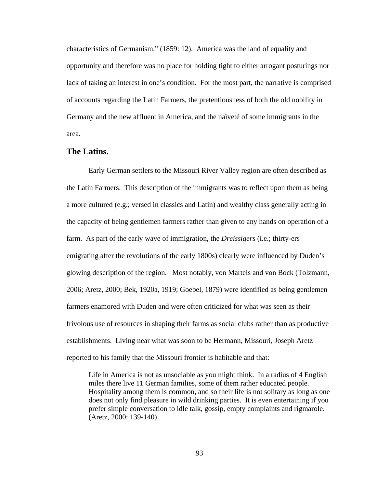characteristics of Germanism." (1859: 12). America was the land of equality and opportunity and therefore was no place for holding tight to either arrogant posturings nor lack of taking an interest in one's condition. For the most part, the narrative is comprised of accounts regarding the Latin Farmers, the pretentiousness of both the old nobility in Germany and the new affluent in America, and the naïveté of some immigrants in the area.

## **The Latins.**

 Early German settlers to the Missouri River Valley region are often described as the Latin Farmers. This description of the immigrants was to reflect upon them as being a more cultured (e.g.; versed in classics and Latin) and wealthy class generally acting in the capacity of being gentlemen farmers rather than given to any hands on operation of a farm. As part of the early wave of immigration, the *Dreissigers* (i.e.; thirty-ers emigrating after the revolutions of the early 1800s) clearly were influenced by Duden's glowing description of the region. Most notably, von Martels and von Bock (Tolzmann, 2006; Aretz, 2000; Bek, 1920a, 1919; Goebel, 1879) were identified as being gentlemen farmers enamored with Duden and were often criticized for what was seen as their frivolous use of resources in shaping their farms as social clubs rather than as productive establishments. Living near what was soon to be Hermann, Missouri, Joseph Aretz reported to his family that the Missouri frontier is habitable and that:

Life in America is not as unsociable as you might think. In a radius of 4 English miles there live 11 German families, some of them rather educated people. Hospitality among them is common, and so their life is not solitary as long as one does not only find pleasure in wild drinking parties. It is even entertaining if you prefer simple conversation to idle talk, gossip, empty complaints and rigmarole. (Aretz, 2000: 139-140).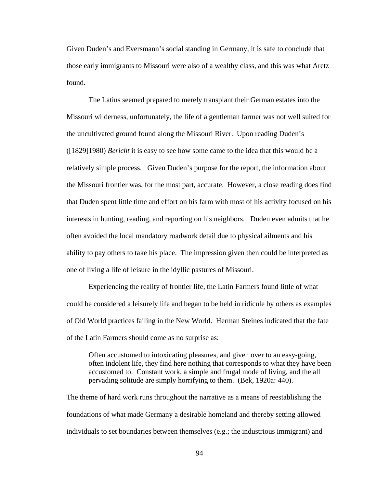Given Duden's and Eversmann's social standing in Germany, it is safe to conclude that those early immigrants to Missouri were also of a wealthy class, and this was what Aretz found.

The Latins seemed prepared to merely transplant their German estates into the Missouri wilderness, unfortunately, the life of a gentleman farmer was not well suited for the uncultivated ground found along the Missouri River. Upon reading Duden's ([1829]1980) *Bericht* it is easy to see how some came to the idea that this would be a relatively simple process. Given Duden's purpose for the report, the information about the Missouri frontier was, for the most part, accurate. However, a close reading does find that Duden spent little time and effort on his farm with most of his activity focused on his interests in hunting, reading, and reporting on his neighbors. Duden even admits that he often avoided the local mandatory roadwork detail due to physical ailments and his ability to pay others to take his place. The impression given then could be interpreted as one of living a life of leisure in the idyllic pastures of Missouri.

Experiencing the reality of frontier life, the Latin Farmers found little of what could be considered a leisurely life and began to be held in ridicule by others as examples of Old World practices failing in the New World. Herman Steines indicated that the fate of the Latin Farmers should come as no surprise as:

Often accustomed to intoxicating pleasures, and given over to an easy-going, often indolent life, they find here nothing that corresponds to what they have been accustomed to. Constant work, a simple and frugal mode of living, and the all pervading solitude are simply horrifying to them. (Bek, 1920a: 440).

The theme of hard work runs throughout the narrative as a means of reestablishing the foundations of what made Germany a desirable homeland and thereby setting allowed individuals to set boundaries between themselves (e.g.; the industrious immigrant) and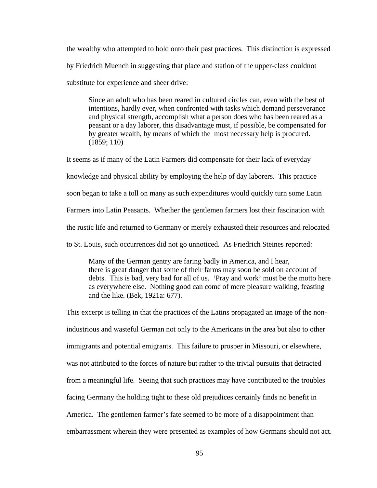the wealthy who attempted to hold onto their past practices. This distinction is expressed by Friedrich Muench in suggesting that place and station of the upper-class couldnot substitute for experience and sheer drive:

Since an adult who has been reared in cultured circles can, even with the best of intentions, hardly ever, when confronted with tasks which demand perseverance and physical strength, accomplish what a person does who has been reared as a peasant or a day laborer, this disadvantage must, if possible, be compensated for by greater wealth, by means of which the most necessary help is procured. (1859; 110)

It seems as if many of the Latin Farmers did compensate for their lack of everyday knowledge and physical ability by employing the help of day laborers. This practice soon began to take a toll on many as such expenditures would quickly turn some Latin Farmers into Latin Peasants. Whether the gentlemen farmers lost their fascination with the rustic life and returned to Germany or merely exhausted their resources and relocated to St. Louis, such occurrences did not go unnoticed. As Friedrich Steines reported:

 Many of the German gentry are faring badly in America, and I hear, there is great danger that some of their farms may soon be sold on account of debts. This is bad, very bad for all of us. 'Pray and work' must be the motto here as everywhere else. Nothing good can come of mere pleasure walking, feasting and the like. (Bek, 1921a: 677).

This excerpt is telling in that the practices of the Latins propagated an image of the nonindustrious and wasteful German not only to the Americans in the area but also to other immigrants and potential emigrants. This failure to prosper in Missouri, or elsewhere, was not attributed to the forces of nature but rather to the trivial pursuits that detracted from a meaningful life. Seeing that such practices may have contributed to the troubles facing Germany the holding tight to these old prejudices certainly finds no benefit in America. The gentlemen farmer's fate seemed to be more of a disappointment than embarrassment wherein they were presented as examples of how Germans should not act.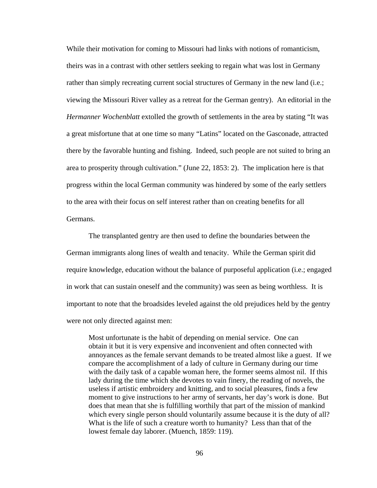While their motivation for coming to Missouri had links with notions of romanticism, theirs was in a contrast with other settlers seeking to regain what was lost in Germany rather than simply recreating current social structures of Germany in the new land (i.e.; viewing the Missouri River valley as a retreat for the German gentry). An editorial in the *Hermanner Wochenblatt* extolled the growth of settlements in the area by stating "It was a great misfortune that at one time so many "Latins" located on the Gasconade, attracted there by the favorable hunting and fishing. Indeed, such people are not suited to bring an area to prosperity through cultivation." (June 22, 1853: 2). The implication here is that progress within the local German community was hindered by some of the early settlers to the area with their focus on self interest rather than on creating benefits for all Germans.

 The transplanted gentry are then used to define the boundaries between the German immigrants along lines of wealth and tenacity. While the German spirit did require knowledge, education without the balance of purposeful application (i.e.; engaged in work that can sustain oneself and the community) was seen as being worthless. It is important to note that the broadsides leveled against the old prejudices held by the gentry were not only directed against men:

 Most unfortunate is the habit of depending on menial service. One can obtain it but it is very expensive and inconvenient and often connected with annoyances as the female servant demands to be treated almost like a guest. If we compare the accomplishment of a lady of culture in Germany during our time with the daily task of a capable woman here, the former seems almost nil. If this lady during the time which she devotes to vain finery, the reading of novels, the useless if artistic embroidery and knitting, and to social pleasures, finds a few moment to give instructions to her army of servants, her day's work is done. But does that mean that she is fulfilling worthily that part of the mission of mankind which every single person should voluntarily assume because it is the duty of all? What is the life of such a creature worth to humanity? Less than that of the lowest female day laborer. (Muench, 1859: 119).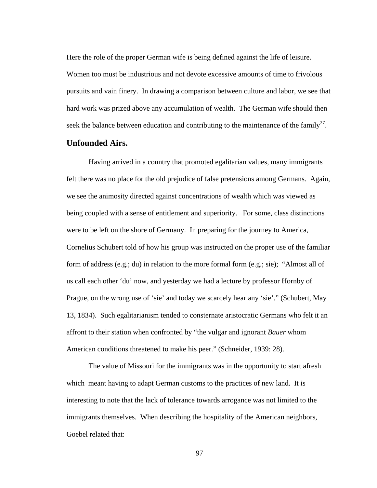Here the role of the proper German wife is being defined against the life of leisure. Women too must be industrious and not devote excessive amounts of time to frivolous pursuits and vain finery. In drawing a comparison between culture and labor, we see that hard work was prized above any accumulation of wealth. The German wife should then seek the balance between education and contributing to the maintenance of the family<sup>27</sup>.

# **Unfounded Airs.**

Having arrived in a country that promoted egalitarian values, many immigrants felt there was no place for the old prejudice of false pretensions among Germans. Again, we see the animosity directed against concentrations of wealth which was viewed as being coupled with a sense of entitlement and superiority. For some, class distinctions were to be left on the shore of Germany. In preparing for the journey to America, Cornelius Schubert told of how his group was instructed on the proper use of the familiar form of address (e.g.; du) in relation to the more formal form (e.g.; sie); "Almost all of us call each other 'du' now, and yesterday we had a lecture by professor Hornby of Prague, on the wrong use of 'sie' and today we scarcely hear any 'sie'." (Schubert, May 13, 1834). Such egalitarianism tended to consternate aristocratic Germans who felt it an affront to their station when confronted by "the vulgar and ignorant *Bauer* whom American conditions threatened to make his peer." (Schneider, 1939: 28).

The value of Missouri for the immigrants was in the opportunity to start afresh which meant having to adapt German customs to the practices of new land. It is interesting to note that the lack of tolerance towards arrogance was not limited to the immigrants themselves. When describing the hospitality of the American neighbors, Goebel related that:

97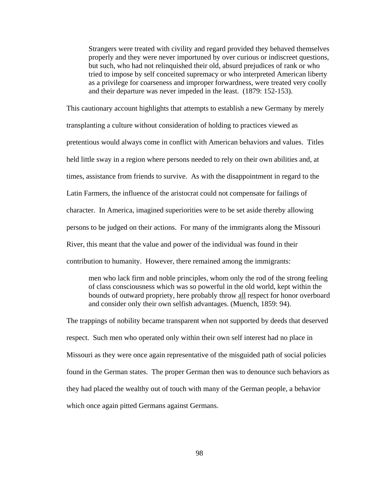Strangers were treated with civility and regard provided they behaved themselves properly and they were never importuned by over curious or indiscreet questions, but such, who had not relinquished their old, absurd prejudices of rank or who tried to impose by self conceited supremacy or who interpreted American liberty as a privilege for coarseness and improper forwardness, were treated very coolly and their departure was never impeded in the least. (1879: 152-153).

This cautionary account highlights that attempts to establish a new Germany by merely transplanting a culture without consideration of holding to practices viewed as pretentious would always come in conflict with American behaviors and values. Titles held little sway in a region where persons needed to rely on their own abilities and, at times, assistance from friends to survive. As with the disappointment in regard to the Latin Farmers, the influence of the aristocrat could not compensate for failings of character. In America, imagined superiorities were to be set aside thereby allowing persons to be judged on their actions. For many of the immigrants along the Missouri River, this meant that the value and power of the individual was found in their contribution to humanity. However, there remained among the immigrants:

men who lack firm and noble principles, whom only the rod of the strong feeling of class consciousness which was so powerful in the old world, kept within the bounds of outward propriety, here probably throw all respect for honor overboard and consider only their own selfish advantages. (Muench, 1859: 94).

The trappings of nobility became transparent when not supported by deeds that deserved respect. Such men who operated only within their own self interest had no place in Missouri as they were once again representative of the misguided path of social policies found in the German states. The proper German then was to denounce such behaviors as they had placed the wealthy out of touch with many of the German people, a behavior which once again pitted Germans against Germans.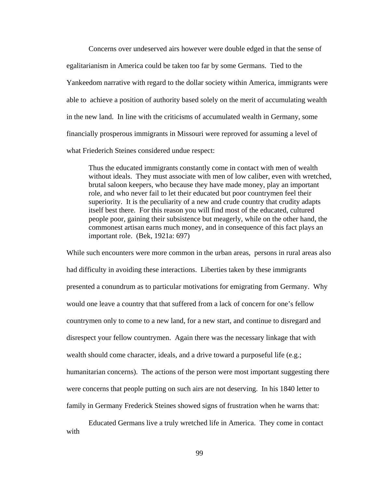Concerns over undeserved airs however were double edged in that the sense of egalitarianism in America could be taken too far by some Germans. Tied to the Yankeedom narrative with regard to the dollar society within America, immigrants were able to achieve a position of authority based solely on the merit of accumulating wealth in the new land. In line with the criticisms of accumulated wealth in Germany, some financially prosperous immigrants in Missouri were reproved for assuming a level of what Friederich Steines considered undue respect:

Thus the educated immigrants constantly come in contact with men of wealth without ideals. They must associate with men of low caliber, even with wretched, brutal saloon keepers, who because they have made money, play an important role, and who never fail to let their educated but poor countrymen feel their superiority. It is the peculiarity of a new and crude country that crudity adapts itself best there. For this reason you will find most of the educated, cultured people poor, gaining their subsistence but meagerly, while on the other hand, the commonest artisan earns much money, and in consequence of this fact plays an important role. (Bek, 1921a: 697)

While such encounters were more common in the urban areas, persons in rural areas also had difficulty in avoiding these interactions. Liberties taken by these immigrants presented a conundrum as to particular motivations for emigrating from Germany. Why would one leave a country that that suffered from a lack of concern for one's fellow countrymen only to come to a new land, for a new start, and continue to disregard and disrespect your fellow countrymen. Again there was the necessary linkage that with wealth should come character, ideals, and a drive toward a purposeful life (e.g.; humanitarian concerns). The actions of the person were most important suggesting there were concerns that people putting on such airs are not deserving. In his 1840 letter to family in Germany Frederick Steines showed signs of frustration when he warns that:

 Educated Germans live a truly wretched life in America. They come in contact with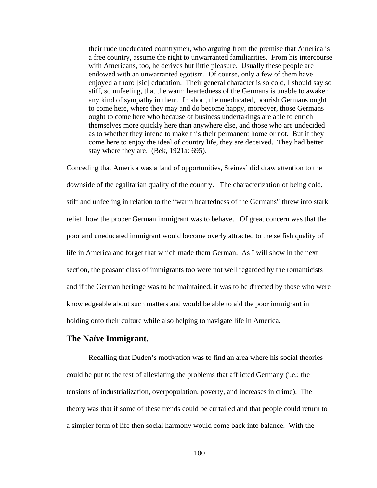their rude uneducated countrymen, who arguing from the premise that America is a free country, assume the right to unwarranted familiarities. From his intercourse with Americans, too, he derives but little pleasure. Usually these people are endowed with an unwarranted egotism. Of course, only a few of them have enjoyed a thoro [sic] education. Their general character is so cold, I should say so stiff, so unfeeling, that the warm heartedness of the Germans is unable to awaken any kind of sympathy in them. In short, the uneducated, boorish Germans ought to come here, where they may and do become happy, moreover, those Germans ought to come here who because of business undertakings are able to enrich themselves more quickly here than anywhere else, and those who are undecided as to whether they intend to make this their permanent home or not. But if they come here to enjoy the ideal of country life, they are deceived. They had better stay where they are. (Bek, 1921a: 695).

Conceding that America was a land of opportunities, Steines' did draw attention to the downside of the egalitarian quality of the country. The characterization of being cold, stiff and unfeeling in relation to the "warm heartedness of the Germans" threw into stark relief how the proper German immigrant was to behave. Of great concern was that the poor and uneducated immigrant would become overly attracted to the selfish quality of life in America and forget that which made them German. As I will show in the next section, the peasant class of immigrants too were not well regarded by the romanticists and if the German heritage was to be maintained, it was to be directed by those who were knowledgeable about such matters and would be able to aid the poor immigrant in holding onto their culture while also helping to navigate life in America.

## **The Naïve Immigrant.**

 Recalling that Duden's motivation was to find an area where his social theories could be put to the test of alleviating the problems that afflicted Germany (i.e.; the tensions of industrialization, overpopulation, poverty, and increases in crime). The theory was that if some of these trends could be curtailed and that people could return to a simpler form of life then social harmony would come back into balance. With the

100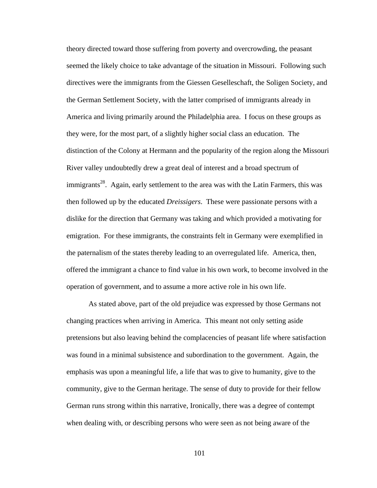theory directed toward those suffering from poverty and overcrowding, the peasant seemed the likely choice to take advantage of the situation in Missouri. Following such directives were the immigrants from the Giessen Geselleschaft, the Soligen Society, and the German Settlement Society, with the latter comprised of immigrants already in America and living primarily around the Philadelphia area. I focus on these groups as they were, for the most part, of a slightly higher social class an education. The distinction of the Colony at Hermann and the popularity of the region along the Missouri River valley undoubtedly drew a great deal of interest and a broad spectrum of immigrants<sup>28</sup>. Again, early settlement to the area was with the Latin Farmers, this was then followed up by the educated *Dreissigers*. These were passionate persons with a dislike for the direction that Germany was taking and which provided a motivating for emigration. For these immigrants, the constraints felt in Germany were exemplified in the paternalism of the states thereby leading to an overregulated life. America, then, offered the immigrant a chance to find value in his own work, to become involved in the operation of government, and to assume a more active role in his own life.

 As stated above, part of the old prejudice was expressed by those Germans not changing practices when arriving in America. This meant not only setting aside pretensions but also leaving behind the complacencies of peasant life where satisfaction was found in a minimal subsistence and subordination to the government. Again, the emphasis was upon a meaningful life, a life that was to give to humanity, give to the community, give to the German heritage. The sense of duty to provide for their fellow German runs strong within this narrative, Ironically, there was a degree of contempt when dealing with, or describing persons who were seen as not being aware of the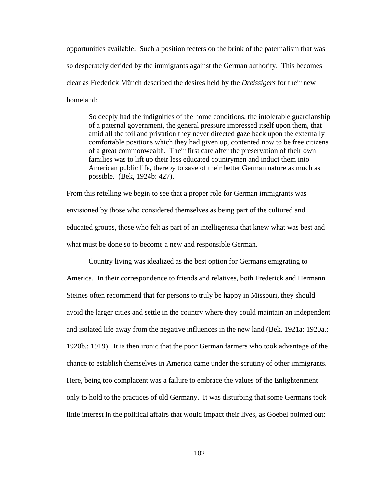opportunities available. Such a position teeters on the brink of the paternalism that was so desperately derided by the immigrants against the German authority. This becomes clear as Frederick Münch described the desires held by the *Dreissigers* for their new homeland:

So deeply had the indignities of the home conditions, the intolerable guardianship of a paternal government, the general pressure impressed itself upon them, that amid all the toil and privation they never directed gaze back upon the externally comfortable positions which they had given up, contented now to be free citizens of a great commonwealth. Their first care after the preservation of their own families was to lift up their less educated countrymen and induct them into American public life, thereby to save of their better German nature as much as possible. (Bek, 1924b: 427).

From this retelling we begin to see that a proper role for German immigrants was envisioned by those who considered themselves as being part of the cultured and educated groups, those who felt as part of an intelligentsia that knew what was best and what must be done so to become a new and responsible German.

 Country living was idealized as the best option for Germans emigrating to America. In their correspondence to friends and relatives, both Frederick and Hermann Steines often recommend that for persons to truly be happy in Missouri, they should avoid the larger cities and settle in the country where they could maintain an independent and isolated life away from the negative influences in the new land (Bek, 1921a; 1920a.; 1920b.; 1919). It is then ironic that the poor German farmers who took advantage of the chance to establish themselves in America came under the scrutiny of other immigrants. Here, being too complacent was a failure to embrace the values of the Enlightenment only to hold to the practices of old Germany. It was disturbing that some Germans took little interest in the political affairs that would impact their lives, as Goebel pointed out: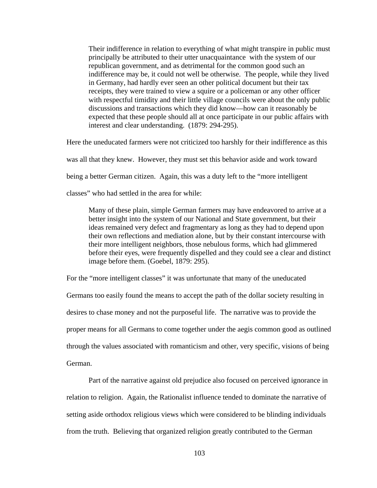Their indifference in relation to everything of what might transpire in public must principally be attributed to their utter unacquaintance with the system of our republican government, and as detrimental for the common good such an indifference may be, it could not well be otherwise. The people, while they lived in Germany, had hardly ever seen an other political document but their tax receipts, they were trained to view a squire or a policeman or any other officer with respectful timidity and their little village councils were about the only public discussions and transactions which they did know—how can it reasonably be expected that these people should all at once participate in our public affairs with interest and clear understanding. (1879: 294-295).

Here the uneducated farmers were not criticized too harshly for their indifference as this

was all that they knew. However, they must set this behavior aside and work toward

being a better German citizen. Again, this was a duty left to the "more intelligent

classes" who had settled in the area for while:

Many of these plain, simple German farmers may have endeavored to arrive at a better insight into the system of our National and State government, but their ideas remained very defect and fragmentary as long as they had to depend upon their own reflections and mediation alone, but by their constant intercourse with their more intelligent neighbors, those nebulous forms, which had glimmered before their eyes, were frequently dispelled and they could see a clear and distinct image before them. (Goebel, 1879: 295).

For the "more intelligent classes" it was unfortunate that many of the uneducated

Germans too easily found the means to accept the path of the dollar society resulting in desires to chase money and not the purposeful life. The narrative was to provide the proper means for all Germans to come together under the aegis common good as outlined through the values associated with romanticism and other, very specific, visions of being German.

 Part of the narrative against old prejudice also focused on perceived ignorance in relation to religion. Again, the Rationalist influence tended to dominate the narrative of setting aside orthodox religious views which were considered to be blinding individuals from the truth. Believing that organized religion greatly contributed to the German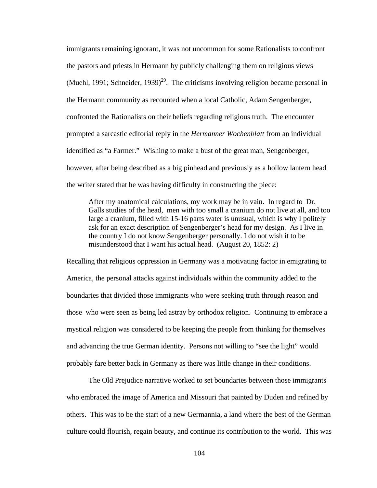immigrants remaining ignorant, it was not uncommon for some Rationalists to confront the pastors and priests in Hermann by publicly challenging them on religious views (Muehl, 1991; Schneider, 1939)<sup>29</sup>. The criticisms involving religion became personal in the Hermann community as recounted when a local Catholic, Adam Sengenberger, confronted the Rationalists on their beliefs regarding religious truth. The encounter prompted a sarcastic editorial reply in the *Hermanner Wochenblatt* from an individual identified as "a Farmer." Wishing to make a bust of the great man, Sengenberger, however, after being described as a big pinhead and previously as a hollow lantern head the writer stated that he was having difficulty in constructing the piece:

After my anatomical calculations, my work may be in vain. In regard to Dr. Galls studies of the head, men with too small a cranium do not live at all, and too large a cranium, filled with 15-16 parts water is unusual, which is why I politely ask for an exact description of Sengenberger's head for my design. As I live in the country I do not know Sengenberger personally. I do not wish it to be misunderstood that I want his actual head. (August 20, 1852: 2)

Recalling that religious oppression in Germany was a motivating factor in emigrating to America, the personal attacks against individuals within the community added to the boundaries that divided those immigrants who were seeking truth through reason and those who were seen as being led astray by orthodox religion. Continuing to embrace a mystical religion was considered to be keeping the people from thinking for themselves and advancing the true German identity. Persons not willing to "see the light" would probably fare better back in Germany as there was little change in their conditions.

 The Old Prejudice narrative worked to set boundaries between those immigrants who embraced the image of America and Missouri that painted by Duden and refined by others. This was to be the start of a new Germannia, a land where the best of the German culture could flourish, regain beauty, and continue its contribution to the world. This was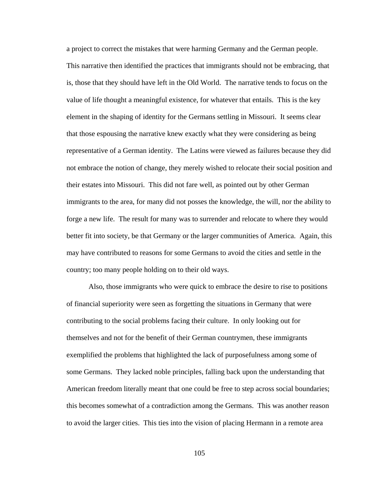a project to correct the mistakes that were harming Germany and the German people. This narrative then identified the practices that immigrants should not be embracing, that is, those that they should have left in the Old World. The narrative tends to focus on the value of life thought a meaningful existence, for whatever that entails. This is the key element in the shaping of identity for the Germans settling in Missouri. It seems clear that those espousing the narrative knew exactly what they were considering as being representative of a German identity. The Latins were viewed as failures because they did not embrace the notion of change, they merely wished to relocate their social position and their estates into Missouri. This did not fare well, as pointed out by other German immigrants to the area, for many did not posses the knowledge, the will, nor the ability to forge a new life. The result for many was to surrender and relocate to where they would better fit into society, be that Germany or the larger communities of America. Again, this may have contributed to reasons for some Germans to avoid the cities and settle in the country; too many people holding on to their old ways.

 Also, those immigrants who were quick to embrace the desire to rise to positions of financial superiority were seen as forgetting the situations in Germany that were contributing to the social problems facing their culture. In only looking out for themselves and not for the benefit of their German countrymen, these immigrants exemplified the problems that highlighted the lack of purposefulness among some of some Germans. They lacked noble principles, falling back upon the understanding that American freedom literally meant that one could be free to step across social boundaries; this becomes somewhat of a contradiction among the Germans. This was another reason to avoid the larger cities. This ties into the vision of placing Hermann in a remote area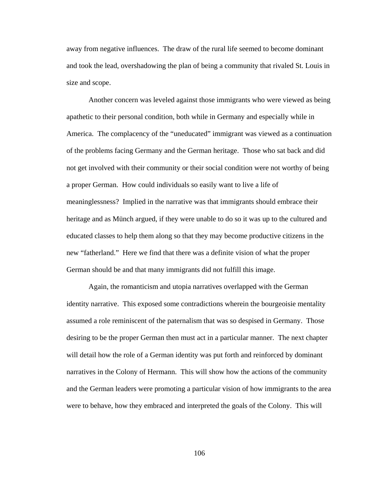away from negative influences. The draw of the rural life seemed to become dominant and took the lead, overshadowing the plan of being a community that rivaled St. Louis in size and scope.

 Another concern was leveled against those immigrants who were viewed as being apathetic to their personal condition, both while in Germany and especially while in America. The complacency of the "uneducated" immigrant was viewed as a continuation of the problems facing Germany and the German heritage. Those who sat back and did not get involved with their community or their social condition were not worthy of being a proper German. How could individuals so easily want to live a life of meaninglessness? Implied in the narrative was that immigrants should embrace their heritage and as Münch argued, if they were unable to do so it was up to the cultured and educated classes to help them along so that they may become productive citizens in the new "fatherland." Here we find that there was a definite vision of what the proper German should be and that many immigrants did not fulfill this image.

 Again, the romanticism and utopia narratives overlapped with the German identity narrative. This exposed some contradictions wherein the bourgeoisie mentality assumed a role reminiscent of the paternalism that was so despised in Germany. Those desiring to be the proper German then must act in a particular manner. The next chapter will detail how the role of a German identity was put forth and reinforced by dominant narratives in the Colony of Hermann. This will show how the actions of the community and the German leaders were promoting a particular vision of how immigrants to the area were to behave, how they embraced and interpreted the goals of the Colony. This will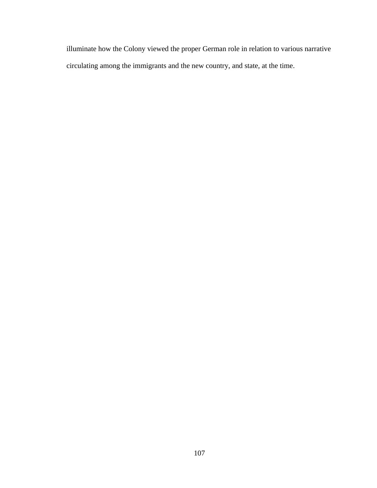illuminate how the Colony viewed the proper German role in relation to various narrative circulating among the immigrants and the new country, and state, at the time.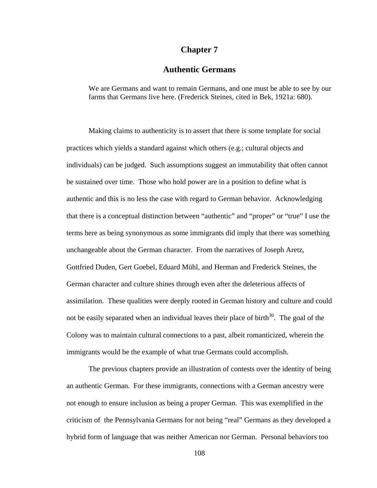### **Chapter 7**

# **Authentic Germans**

We are Germans and want to remain Germans, and one must be able to see by our farms that Germans live here. (Frederick Steines, cited in Bek, 1921a: 680).

Making claims to authenticity is to assert that there is some template for social practices which yields a standard against which others (e.g.; cultural objects and individuals) can be judged. Such assumptions suggest an immutability that often cannot be sustained over time. Those who hold power are in a position to define what is authentic and this is no less the case with regard to German behavior. Acknowledging that there is a conceptual distinction between "authentic" and "proper" or "true" I use the terms here as being synonymous as some immigrants did imply that there was something unchangeable about the German character. From the narratives of Joseph Aretz, Gottfried Duden, Gert Goebel, Eduard Mühl, and Herman and Frederick Steines, the German character and culture shines through even after the deleterious affects of assimilation. These qualities were deeply rooted in German history and culture and could not be easily separated when an individual leaves their place of birth<sup>30</sup>. The goal of the Colony was to maintain cultural connections to a past, albeit romanticized, wherein the immigrants would be the example of what true Germans could accomplish.

The previous chapters provide an illustration of contests over the identity of being an authentic German. For these immigrants, connections with a German ancestry were not enough to ensure inclusion as being a proper German. This was exemplified in the criticism of the Pennsylvania Germans for not being "real" Germans as they developed a hybrid form of language that was neither American nor German. Personal behaviors too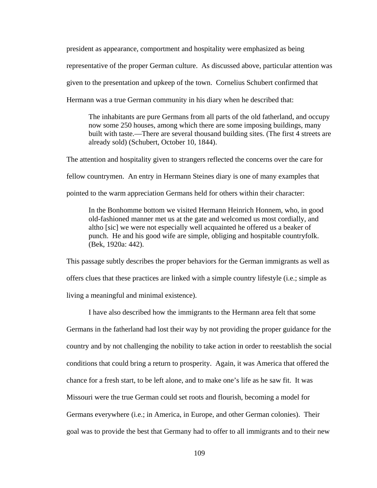president as appearance, comportment and hospitality were emphasized as being representative of the proper German culture. As discussed above, particular attention was given to the presentation and upkeep of the town. Cornelius Schubert confirmed that Hermann was a true German community in his diary when he described that:

The inhabitants are pure Germans from all parts of the old fatherland, and occupy now some 250 houses, among which there are some imposing buildings, many built with taste.—There are several thousand building sites. (The first 4 streets are already sold) (Schubert, October 10, 1844).

The attention and hospitality given to strangers reflected the concerns over the care for fellow countrymen. An entry in Hermann Steines diary is one of many examples that pointed to the warm appreciation Germans held for others within their character:

In the Bonhomme bottom we visited Hermann Heinrich Honnem, who, in good old-fashioned manner met us at the gate and welcomed us most cordially, and altho [sic] we were not especially well acquainted he offered us a beaker of punch. He and his good wife are simple, obliging and hospitable countryfolk. (Bek, 1920a: 442).

This passage subtly describes the proper behaviors for the German immigrants as well as offers clues that these practices are linked with a simple country lifestyle (i.e.; simple as living a meaningful and minimal existence).

I have also described how the immigrants to the Hermann area felt that some Germans in the fatherland had lost their way by not providing the proper guidance for the country and by not challenging the nobility to take action in order to reestablish the social conditions that could bring a return to prosperity. Again, it was America that offered the chance for a fresh start, to be left alone, and to make one's life as he saw fit. It was Missouri were the true German could set roots and flourish, becoming a model for Germans everywhere (i.e.; in America, in Europe, and other German colonies). Their goal was to provide the best that Germany had to offer to all immigrants and to their new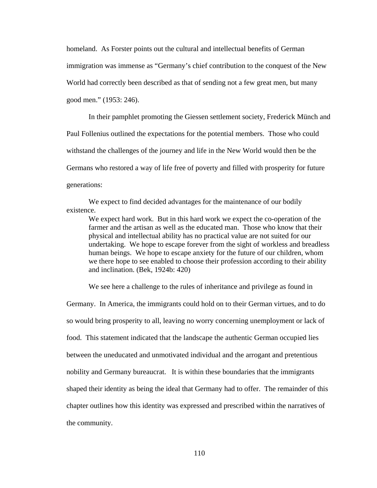homeland. As Forster points out the cultural and intellectual benefits of German immigration was immense as "Germany's chief contribution to the conquest of the New World had correctly been described as that of sending not a few great men, but many good men." (1953: 246).

In their pamphlet promoting the Giessen settlement society, Frederick Münch and Paul Follenius outlined the expectations for the potential members. Those who could withstand the challenges of the journey and life in the New World would then be the Germans who restored a way of life free of poverty and filled with prosperity for future generations:

 We expect to find decided advantages for the maintenance of our bodily existence.

We expect hard work. But in this hard work we expect the co-operation of the farmer and the artisan as well as the educated man. Those who know that their physical and intellectual ability has no practical value are not suited for our undertaking. We hope to escape forever from the sight of workless and breadless human beings. We hope to escape anxiety for the future of our children, whom we there hope to see enabled to choose their profession according to their ability and inclination. (Bek, 1924b: 420)

We see here a challenge to the rules of inheritance and privilege as found in

Germany. In America, the immigrants could hold on to their German virtues, and to do so would bring prosperity to all, leaving no worry concerning unemployment or lack of food. This statement indicated that the landscape the authentic German occupied lies between the uneducated and unmotivated individual and the arrogant and pretentious nobility and Germany bureaucrat. It is within these boundaries that the immigrants shaped their identity as being the ideal that Germany had to offer. The remainder of this chapter outlines how this identity was expressed and prescribed within the narratives of the community.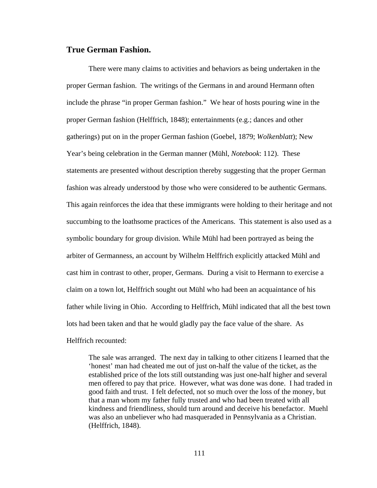# **True German Fashion.**

There were many claims to activities and behaviors as being undertaken in the proper German fashion. The writings of the Germans in and around Hermann often include the phrase "in proper German fashion." We hear of hosts pouring wine in the proper German fashion (Helffrich, 1848); entertainments (e.g.; dances and other gatherings) put on in the proper German fashion (Goebel, 1879; *Wolkenblatt*); New Year's being celebration in the German manner (Mühl, *Notebook*: 112). These statements are presented without description thereby suggesting that the proper German fashion was already understood by those who were considered to be authentic Germans. This again reinforces the idea that these immigrants were holding to their heritage and not succumbing to the loathsome practices of the Americans. This statement is also used as a symbolic boundary for group division. While Mühl had been portrayed as being the arbiter of Germanness, an account by Wilhelm Helffrich explicitly attacked Mühl and cast him in contrast to other, proper, Germans. During a visit to Hermann to exercise a claim on a town lot, Helffrich sought out Mühl who had been an acquaintance of his father while living in Ohio. According to Helffrich, Mühl indicated that all the best town lots had been taken and that he would gladly pay the face value of the share. As Helffrich recounted:

The sale was arranged. The next day in talking to other citizens I learned that the 'honest' man had cheated me out of just on-half the value of the ticket, as the established price of the lots still outstanding was just one-half higher and several men offered to pay that price. However, what was done was done. I had traded in good faith and trust. I felt defected, not so much over the loss of the money, but that a man whom my father fully trusted and who had been treated with all kindness and friendliness, should turn around and deceive his benefactor. Muehl was also an unbeliever who had masqueraded in Pennsylvania as a Christian. (Helffrich, 1848).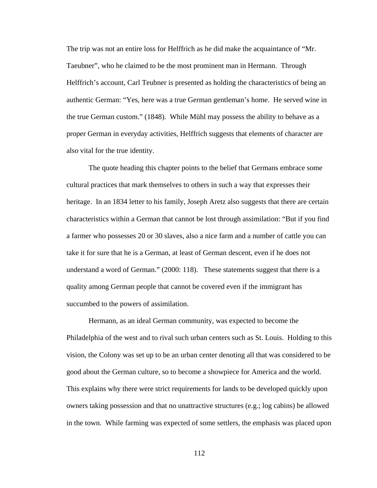The trip was not an entire loss for Helffrich as he did make the acquaintance of "Mr. Taeubner", who he claimed to be the most prominent man in Hermann. Through Helffrich's account, Carl Teubner is presented as holding the characteristics of being an authentic German: "Yes, here was a true German gentleman's home. He served wine in the true German custom." (1848). While Mühl may possess the ability to behave as a proper German in everyday activities, Helffrich suggests that elements of character are also vital for the true identity.

 The quote heading this chapter points to the belief that Germans embrace some cultural practices that mark themselves to others in such a way that expresses their heritage. In an 1834 letter to his family, Joseph Aretz also suggests that there are certain characteristics within a German that cannot be lost through assimilation: "But if you find a farmer who possesses 20 or 30 slaves, also a nice farm and a number of cattle you can take it for sure that he is a German, at least of German descent, even if he does not understand a word of German." (2000: 118). These statements suggest that there is a quality among German people that cannot be covered even if the immigrant has succumbed to the powers of assimilation.

Hermann, as an ideal German community, was expected to become the Philadelphia of the west and to rival such urban centers such as St. Louis. Holding to this vision, the Colony was set up to be an urban center denoting all that was considered to be good about the German culture, so to become a showpiece for America and the world. This explains why there were strict requirements for lands to be developed quickly upon owners taking possession and that no unattractive structures (e.g.; log cabins) be allowed in the town. While farming was expected of some settlers, the emphasis was placed upon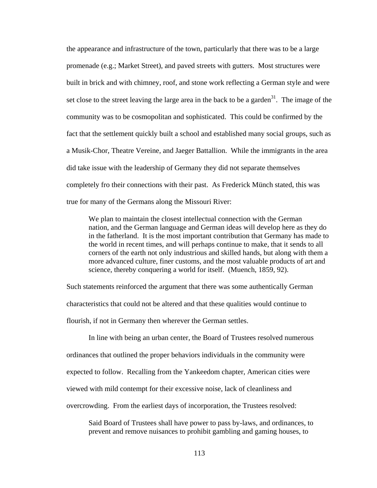the appearance and infrastructure of the town, particularly that there was to be a large promenade (e.g.; Market Street), and paved streets with gutters. Most structures were built in brick and with chimney, roof, and stone work reflecting a German style and were set close to the street leaving the large area in the back to be a garden<sup>31</sup>. The image of the community was to be cosmopolitan and sophisticated. This could be confirmed by the fact that the settlement quickly built a school and established many social groups, such as a Musik-Chor, Theatre Vereine, and Jaeger Battallion. While the immigrants in the area did take issue with the leadership of Germany they did not separate themselves completely fro their connections with their past. As Frederick Münch stated, this was true for many of the Germans along the Missouri River:

 We plan to maintain the closest intellectual connection with the German nation, and the German language and German ideas will develop here as they do in the fatherland. It is the most important contribution that Germany has made to the world in recent times, and will perhaps continue to make, that it sends to all corners of the earth not only industrious and skilled hands, but along with them a more advanced culture, finer customs, and the most valuable products of art and science, thereby conquering a world for itself. (Muench, 1859, 92).

Such statements reinforced the argument that there was some authentically German characteristics that could not be altered and that these qualities would continue to flourish, if not in Germany then wherever the German settles.

 In line with being an urban center, the Board of Trustees resolved numerous ordinances that outlined the proper behaviors individuals in the community were expected to follow. Recalling from the Yankeedom chapter, American cities were viewed with mild contempt for their excessive noise, lack of cleanliness and overcrowding. From the earliest days of incorporation, the Trustees resolved:

Said Board of Trustees shall have power to pass by-laws, and ordinances, to prevent and remove nuisances to prohibit gambling and gaming houses, to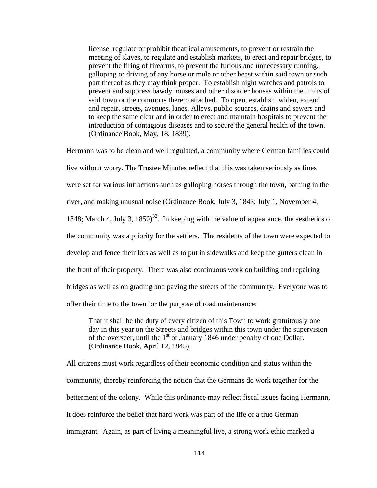license, regulate or prohibit theatrical amusements, to prevent or restrain the meeting of slaves, to regulate and establish markets, to erect and repair bridges, to prevent the firing of firearms, to prevent the furious and unnecessary running, galloping or driving of any horse or mule or other beast within said town or such part thereof as they may think proper. To establish night watches and patrols to prevent and suppress bawdy houses and other disorder houses within the limits of said town or the commons thereto attached. To open, establish, widen, extend and repair, streets, avenues, lanes, Alleys, public squares, drains and sewers and to keep the same clear and in order to erect and maintain hospitals to prevent the introduction of contagious diseases and to secure the general health of the town. (Ordinance Book, May, 18, 1839).

Hermann was to be clean and well regulated, a community where German families could live without worry. The Trustee Minutes reflect that this was taken seriously as fines were set for various infractions such as galloping horses through the town, bathing in the river, and making unusual noise (Ordinance Book, July 3, 1843; July 1, November 4, 1848; March 4, July 3,  $1850^{32}$ . In keeping with the value of appearance, the aesthetics of the community was a priority for the settlers. The residents of the town were expected to develop and fence their lots as well as to put in sidewalks and keep the gutters clean in the front of their property. There was also continuous work on building and repairing bridges as well as on grading and paving the streets of the community. Everyone was to offer their time to the town for the purpose of road maintenance:

That it shall be the duty of every citizen of this Town to work gratuitously one day in this year on the Streets and bridges within this town under the supervision of the overseer, until the 1<sup>st</sup> of January 1846 under penalty of one Dollar. (Ordinance Book, April 12, 1845).

All citizens must work regardless of their economic condition and status within the community, thereby reinforcing the notion that the Germans do work together for the betterment of the colony. While this ordinance may reflect fiscal issues facing Hermann, it does reinforce the belief that hard work was part of the life of a true German immigrant. Again, as part of living a meaningful live, a strong work ethic marked a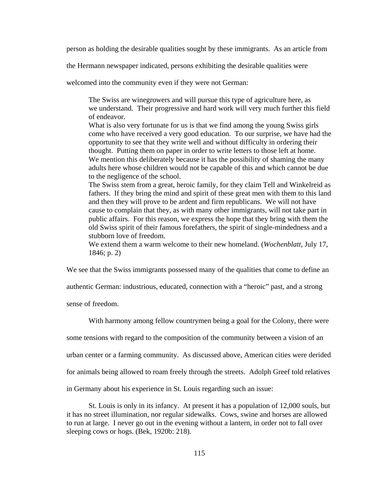person as holding the desirable qualities sought by these immigrants. As an article from

the Hermann newspaper indicated, persons exhibiting the desirable qualities were

welcomed into the community even if they were not German:

 The Swiss are winegrowers and will pursue this type of agriculture here, as we understand. Their progressive and hard work will very much further this field of endeavor.

What is also very fortunate for us is that we find among the young Swiss girls come who have received a very good education. To our surprise, we have had the opportunity to see that they write well and without difficulty in ordering their thought. Putting them on paper in order to write letters to those left at home. We mention this deliberately because it has the possibility of shaming the many adults here whose children would not be capable of this and which cannot be due to the negligence of the school.

The Swiss stem from a great, heroic family, for they claim Tell and Winkelreid as fathers. If they bring the mind and spirit of these great men with them to this land and then they will prove to be ardent and firm republicans. We will not have cause to complain that they, as with many other immigrants, will not take part in public affairs. For this reason, we express the hope that they bring with them the old Swiss spirit of their famous forefathers, the spirit of single-mindedness and a stubborn love of freedom.

We extend them a warm welcome to their new homeland. (*Wochenblatt*, July 17, 1846; p. 2)

We see that the Swiss immigrants possessed many of the qualities that come to define an

authentic German: industrious, educated, connection with a "heroic" past, and a strong

sense of freedom.

With harmony among fellow countrymen being a goal for the Colony, there were

some tensions with regard to the composition of the community between a vision of an

urban center or a farming community. As discussed above, American cities were derided

for animals being allowed to roam freely through the streets. Adolph Greef told relatives

in Germany about his experience in St. Louis regarding such an issue:

St. Louis is only in its infancy. At present it has a population of 12,000 souls, but it has no street illumination, nor regular sidewalks. Cows, swine and horses are allowed to run at large. I never go out in the evening without a lantern, in order not to fall over sleeping cows or hogs. (Bek, 1920b: 218).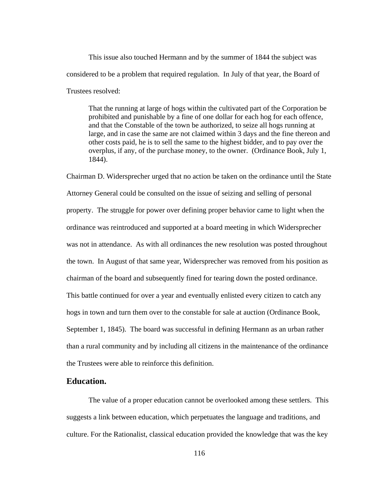This issue also touched Hermann and by the summer of 1844 the subject was considered to be a problem that required regulation. In July of that year, the Board of Trustees resolved:

That the running at large of hogs within the cultivated part of the Corporation be prohibited and punishable by a fine of one dollar for each hog for each offence, and that the Constable of the town be authorized, to seize all hogs running at large, and in case the same are not claimed within 3 days and the fine thereon and other costs paid, he is to sell the same to the highest bidder, and to pay over the overplus, if any, of the purchase money, to the owner. (Ordinance Book, July 1, 1844).

Chairman D. Widersprecher urged that no action be taken on the ordinance until the State Attorney General could be consulted on the issue of seizing and selling of personal property. The struggle for power over defining proper behavior came to light when the ordinance was reintroduced and supported at a board meeting in which Widersprecher was not in attendance. As with all ordinances the new resolution was posted throughout the town. In August of that same year, Widersprecher was removed from his position as chairman of the board and subsequently fined for tearing down the posted ordinance. This battle continued for over a year and eventually enlisted every citizen to catch any hogs in town and turn them over to the constable for sale at auction (Ordinance Book, September 1, 1845). The board was successful in defining Hermann as an urban rather than a rural community and by including all citizens in the maintenance of the ordinance the Trustees were able to reinforce this definition.

# **Education.**

The value of a proper education cannot be overlooked among these settlers. This suggests a link between education, which perpetuates the language and traditions, and culture. For the Rationalist, classical education provided the knowledge that was the key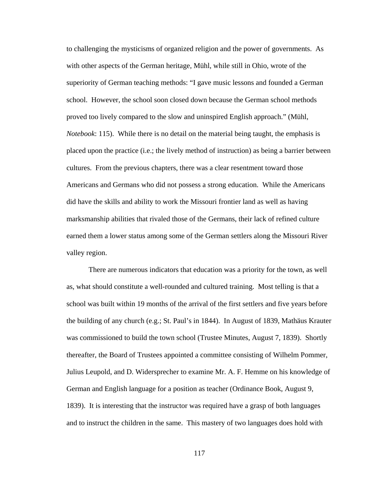to challenging the mysticisms of organized religion and the power of governments. As with other aspects of the German heritage, Mühl, while still in Ohio, wrote of the superiority of German teaching methods: "I gave music lessons and founded a German school. However, the school soon closed down because the German school methods proved too lively compared to the slow and uninspired English approach." (Mühl, *Notebook*: 115). While there is no detail on the material being taught, the emphasis is placed upon the practice (i.e.; the lively method of instruction) as being a barrier between cultures. From the previous chapters, there was a clear resentment toward those Americans and Germans who did not possess a strong education. While the Americans did have the skills and ability to work the Missouri frontier land as well as having marksmanship abilities that rivaled those of the Germans, their lack of refined culture earned them a lower status among some of the German settlers along the Missouri River valley region.

There are numerous indicators that education was a priority for the town, as well as, what should constitute a well-rounded and cultured training. Most telling is that a school was built within 19 months of the arrival of the first settlers and five years before the building of any church (e.g.; St. Paul's in 1844). In August of 1839, Mathäus Krauter was commissioned to build the town school (Trustee Minutes, August 7, 1839). Shortly thereafter, the Board of Trustees appointed a committee consisting of Wilhelm Pommer, Julius Leupold, and D. Widersprecher to examine Mr. A. F. Hemme on his knowledge of German and English language for a position as teacher (Ordinance Book, August 9, 1839). It is interesting that the instructor was required have a grasp of both languages and to instruct the children in the same. This mastery of two languages does hold with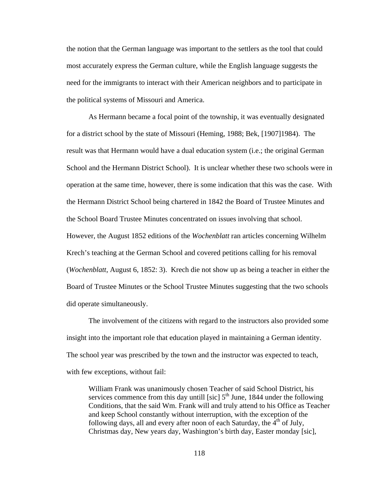the notion that the German language was important to the settlers as the tool that could most accurately express the German culture, while the English language suggests the need for the immigrants to interact with their American neighbors and to participate in the political systems of Missouri and America.

As Hermann became a focal point of the township, it was eventually designated for a district school by the state of Missouri (Heming, 1988; Bek, [1907]1984). The result was that Hermann would have a dual education system (i.e.; the original German School and the Hermann District School). It is unclear whether these two schools were in operation at the same time, however, there is some indication that this was the case. With the Hermann District School being chartered in 1842 the Board of Trustee Minutes and the School Board Trustee Minutes concentrated on issues involving that school. However, the August 1852 editions of the *Wochenblatt* ran articles concerning Wilhelm Krech's teaching at the German School and covered petitions calling for his removal (*Wochenblatt*, August 6, 1852: 3). Krech die not show up as being a teacher in either the Board of Trustee Minutes or the School Trustee Minutes suggesting that the two schools did operate simultaneously.

The involvement of the citizens with regard to the instructors also provided some insight into the important role that education played in maintaining a German identity. The school year was prescribed by the town and the instructor was expected to teach, with few exceptions, without fail:

William Frank was unanimously chosen Teacher of said School District, his services commence from this day untill [sic]  $5<sup>th</sup>$  June, 1844 under the following Conditions, that the said Wm. Frank will and truly attend to his Office as Teacher and keep School constantly without interruption, with the exception of the following days, all and every after noon of each Saturday, the  $4<sup>th</sup>$  of July, Christmas day, New years day, Washington's birth day, Easter monday [sic],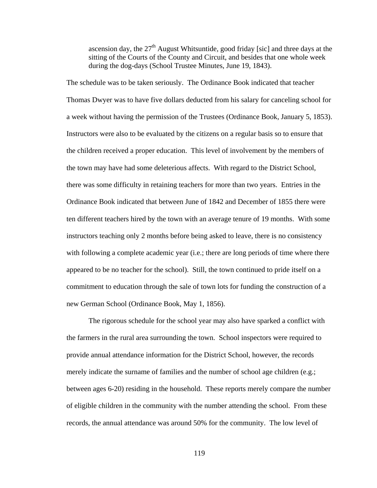ascension day, the  $27<sup>th</sup>$  August Whitsuntide, good friday [sic] and three days at the sitting of the Courts of the County and Circuit, and besides that one whole week during the dog-days (School Trustee Minutes, June 19, 1843).

The schedule was to be taken seriously. The Ordinance Book indicated that teacher Thomas Dwyer was to have five dollars deducted from his salary for canceling school for a week without having the permission of the Trustees (Ordinance Book, January 5, 1853). Instructors were also to be evaluated by the citizens on a regular basis so to ensure that the children received a proper education. This level of involvement by the members of the town may have had some deleterious affects. With regard to the District School, there was some difficulty in retaining teachers for more than two years. Entries in the Ordinance Book indicated that between June of 1842 and December of 1855 there were ten different teachers hired by the town with an average tenure of 19 months. With some instructors teaching only 2 months before being asked to leave, there is no consistency with following a complete academic year (i.e.; there are long periods of time where there appeared to be no teacher for the school). Still, the town continued to pride itself on a commitment to education through the sale of town lots for funding the construction of a new German School (Ordinance Book, May 1, 1856).

The rigorous schedule for the school year may also have sparked a conflict with the farmers in the rural area surrounding the town. School inspectors were required to provide annual attendance information for the District School, however, the records merely indicate the surname of families and the number of school age children (e.g.; between ages 6-20) residing in the household. These reports merely compare the number of eligible children in the community with the number attending the school. From these records, the annual attendance was around 50% for the community. The low level of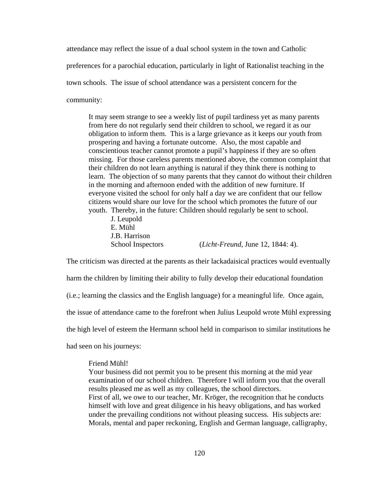attendance may reflect the issue of a dual school system in the town and Catholic

preferences for a parochial education, particularly in light of Rationalist teaching in the

town schools. The issue of school attendance was a persistent concern for the

community:

It may seem strange to see a weekly list of pupil tardiness yet as many parents from here do not regularly send their children to school, we regard it as our obligation to inform them. This is a large grievance as it keeps our youth from prospering and having a fortunate outcome. Also, the most capable and conscientious teacher cannot promote a pupil's happiness if they are so often missing. For those careless parents mentioned above, the common complaint that their children do not learn anything is natural if they think there is nothing to learn. The objection of so many parents that they cannot do without their children in the morning and afternoon ended with the addition of new furniture. If everyone visited the school for only half a day we are confident that our fellow citizens would share our love for the school which promotes the future of our youth. Thereby, in the future: Children should regularly be sent to school.

 J. Leupold E. Mühl J.B. Harrison School Inspectors (*Licht-Freund*, June 12, 1844: 4).

The criticism was directed at the parents as their lackadaisical practices would eventually harm the children by limiting their ability to fully develop their educational foundation (i.e.; learning the classics and the English language) for a meaningful life. Once again, the issue of attendance came to the forefront when Julius Leupold wrote Mühl expressing the high level of esteem the Hermann school held in comparison to similar institutions he had seen on his journeys:

#### Friend Mühl!

Your business did not permit you to be present this morning at the mid year examination of our school children. Therefore I will inform you that the overall results pleased me as well as my colleagues, the school directors. First of all, we owe to our teacher, Mr. Kröger, the recognition that he conducts himself with love and great diligence in his heavy obligations, and has worked under the prevailing conditions not without pleasing success. His subjects are: Morals, mental and paper reckoning, English and German language, calligraphy,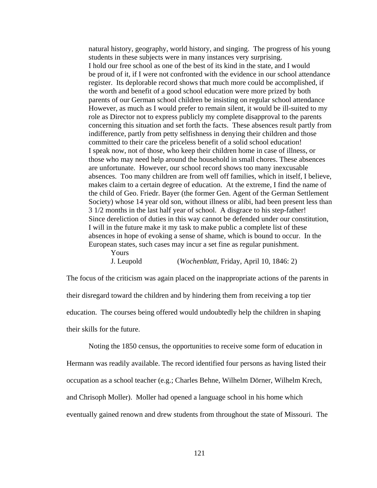natural history, geography, world history, and singing. The progress of his young students in these subjects were in many instances very surprising. I hold our free school as one of the best of its kind in the state, and I would be proud of it, if I were not confronted with the evidence in our school attendance register. Its deplorable record shows that much more could be accomplished, if the worth and benefit of a good school education were more prized by both parents of our German school children be insisting on regular school attendance However, as much as I would prefer to remain silent, it would be ill-suited to my role as Director not to express publicly my complete disapproval to the parents concerning this situation and set forth the facts. These absences result partly from indifference, partly from petty selfishness in denying their children and those committed to their care the priceless benefit of a solid school education! I speak now, not of those, who keep their children home in case of illness, or those who may need help around the household in small chores. These absences are unfortunate. However, our school record shows too many inexcusable absences. Too many children are from well off families, which in itself, I believe, makes claim to a certain degree of education. At the extreme, I find the name of the child of Geo. Friedr. Bayer (the former Gen. Agent of the German Settlement Society) whose 14 year old son, without illness or alibi, had been present less than 3 1/2 months in the last half year of school. A disgrace to his step-father! Since dereliction of duties in this way cannot be defended under our constitution, I will in the future make it my task to make public a complete list of these absences in hope of evoking a sense of shame, which is bound to occur. In the European states, such cases may incur a set fine as regular punishment. Yours

J. Leupold (*Wochenblatt*, Friday, April 10, 1846: 2)

The focus of the criticism was again placed on the inappropriate actions of the parents in their disregard toward the children and by hindering them from receiving a top tier education. The courses being offered would undoubtedly help the children in shaping their skills for the future.

Noting the 1850 census, the opportunities to receive some form of education in Hermann was readily available. The record identified four persons as having listed their occupation as a school teacher (e.g.; Charles Behne, Wilhelm Dörner, Wilhelm Krech, and Chrisoph Moller). Moller had opened a language school in his home which eventually gained renown and drew students from throughout the state of Missouri. The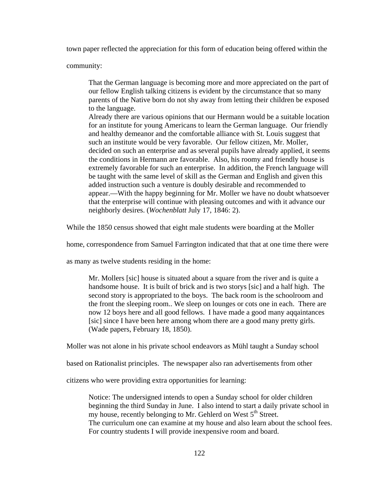town paper reflected the appreciation for this form of education being offered within the

community:

That the German language is becoming more and more appreciated on the part of our fellow English talking citizens is evident by the circumstance that so many parents of the Native born do not shy away from letting their children be exposed to the language.

Already there are various opinions that our Hermann would be a suitable location for an institute for young Americans to learn the German language. Our friendly and healthy demeanor and the comfortable alliance with St. Louis suggest that such an institute would be very favorable. Our fellow citizen, Mr. Moller, decided on such an enterprise and as several pupils have already applied, it seems the conditions in Hermann are favorable. Also, his roomy and friendly house is extremely favorable for such an enterprise. In addition, the French language will be taught with the same level of skill as the German and English and given this added instruction such a venture is doubly desirable and recommended to appear.—With the happy beginning for Mr. Moller we have no doubt whatsoever that the enterprise will continue with pleasing outcomes and with it advance our neighborly desires. (*Wochenblatt* July 17, 1846: 2).

While the 1850 census showed that eight male students were boarding at the Moller

home, correspondence from Samuel Farrington indicated that that at one time there were

as many as twelve students residing in the home:

Mr. Mollers [sic] house is situated about a square from the river and is quite a handsome house. It is built of brick and is two storys [sic] and a half high. The second story is appropriated to the boys. The back room is the schoolroom and the front the sleeping room.. We sleep on lounges or cots one in each. There are now 12 boys here and all good fellows. I have made a good many aqqaintances [sic] since I have been here among whom there are a good many pretty girls. (Wade papers, February 18, 1850).

Moller was not alone in his private school endeavors as Mühl taught a Sunday school

based on Rationalist principles. The newspaper also ran advertisements from other

citizens who were providing extra opportunities for learning:

Notice: The undersigned intends to open a Sunday school for older children beginning the third Sunday in June. I also intend to start a daily private school in my house, recently belonging to Mr. Gehlerd on West 5<sup>th</sup> Street. The curriculum one can examine at my house and also learn about the school fees. For country students I will provide inexpensive room and board.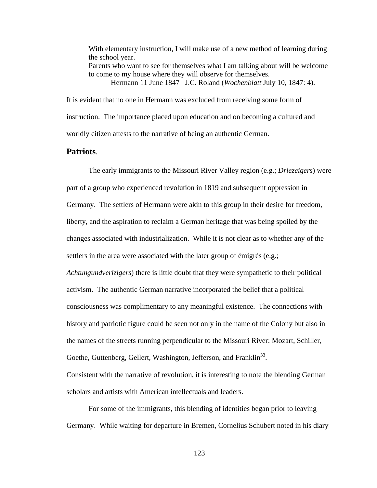With elementary instruction, I will make use of a new method of learning during the school year. Parents who want to see for themselves what I am talking about will be welcome to come to my house where they will observe for themselves. Hermann 11 June 1847 J.C. Roland (*Wochenblatt* July 10, 1847: 4).

It is evident that no one in Hermann was excluded from receiving some form of instruction. The importance placed upon education and on becoming a cultured and worldly citizen attests to the narrative of being an authentic German.

## **Patriots**.

The early immigrants to the Missouri River Valley region (e.g.; *Driezeigers*) were part of a group who experienced revolution in 1819 and subsequent oppression in Germany. The settlers of Hermann were akin to this group in their desire for freedom, liberty, and the aspiration to reclaim a German heritage that was being spoiled by the changes associated with industrialization. While it is not clear as to whether any of the settlers in the area were associated with the later group of émigrés (e.g.;

*Achtungundverizigers*) there is little doubt that they were sympathetic to their political activism. The authentic German narrative incorporated the belief that a political consciousness was complimentary to any meaningful existence. The connections with history and patriotic figure could be seen not only in the name of the Colony but also in the names of the streets running perpendicular to the Missouri River: Mozart, Schiller, Goethe, Guttenberg, Gellert, Washington, Jefferson, and Franklin<sup>33</sup>.

Consistent with the narrative of revolution, it is interesting to note the blending German scholars and artists with American intellectuals and leaders.

For some of the immigrants, this blending of identities began prior to leaving Germany. While waiting for departure in Bremen, Cornelius Schubert noted in his diary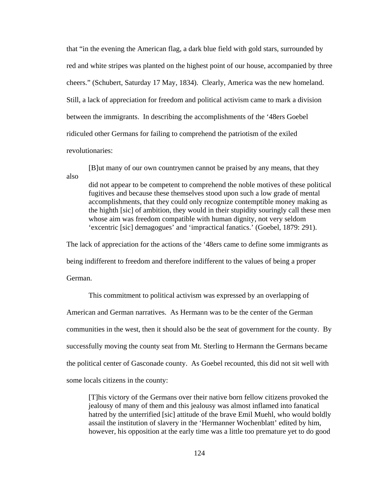that "in the evening the American flag, a dark blue field with gold stars, surrounded by red and white stripes was planted on the highest point of our house, accompanied by three cheers." (Schubert, Saturday 17 May, 1834). Clearly, America was the new homeland. Still, a lack of appreciation for freedom and political activism came to mark a division between the immigrants. In describing the accomplishments of the '48ers Goebel ridiculed other Germans for failing to comprehend the patriotism of the exiled revolutionaries:

[B]ut many of our own countrymen cannot be praised by any means, that they also

did not appear to be competent to comprehend the noble motives of these political fugitives and because these themselves stood upon such a low grade of mental accomplishments, that they could only recognize contemptible money making as the highth [sic] of ambition, they would in their stupidity souringly call these men whose aim was freedom compatible with human dignity, not very seldom 'excentric [sic] demagogues' and 'impractical fanatics.' (Goebel, 1879: 291).

The lack of appreciation for the actions of the '48ers came to define some immigrants as

being indifferent to freedom and therefore indifferent to the values of being a proper

German.

This commitment to political activism was expressed by an overlapping of American and German narratives. As Hermann was to be the center of the German communities in the west, then it should also be the seat of government for the county. By successfully moving the county seat from Mt. Sterling to Hermann the Germans became the political center of Gasconade county. As Goebel recounted, this did not sit well with some locals citizens in the county:

 [T]his victory of the Germans over their native born fellow citizens provoked the jealousy of many of them and this jealousy was almost inflamed into fanatical hatred by the unterrified [sic] attitude of the brave Emil Muehl, who would boldly assail the institution of slavery in the 'Hermanner Wochenblatt' edited by him, however, his opposition at the early time was a little too premature yet to do good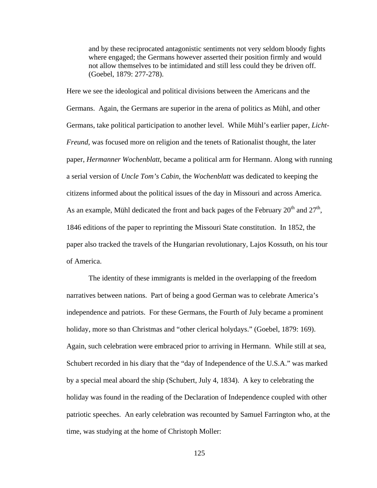and by these reciprocated antagonistic sentiments not very seldom bloody fights where engaged; the Germans however asserted their position firmly and would not allow themselves to be intimidated and still less could they be driven off. (Goebel, 1879: 277-278).

Here we see the ideological and political divisions between the Americans and the Germans. Again, the Germans are superior in the arena of politics as Mühl, and other Germans, take political participation to another level. While Mühl's earlier paper, *Licht-Freund*, was focused more on religion and the tenets of Rationalist thought, the later paper, *Hermanner Wochenblatt*, became a political arm for Hermann. Along with running a serial version of *Uncle Tom's Cabin*, the *Wochenblatt* was dedicated to keeping the citizens informed about the political issues of the day in Missouri and across America. As an example, Mühl dedicated the front and back pages of the February  $20^{th}$  and  $27^{th}$ , 1846 editions of the paper to reprinting the Missouri State constitution. In 1852, the paper also tracked the travels of the Hungarian revolutionary, Lajos Kossuth, on his tour of America.

The identity of these immigrants is melded in the overlapping of the freedom narratives between nations. Part of being a good German was to celebrate America's independence and patriots. For these Germans, the Fourth of July became a prominent holiday, more so than Christmas and "other clerical holydays." (Goebel, 1879: 169). Again, such celebration were embraced prior to arriving in Hermann. While still at sea, Schubert recorded in his diary that the "day of Independence of the U.S.A." was marked by a special meal aboard the ship (Schubert, July 4, 1834). A key to celebrating the holiday was found in the reading of the Declaration of Independence coupled with other patriotic speeches. An early celebration was recounted by Samuel Farrington who, at the time, was studying at the home of Christoph Moller: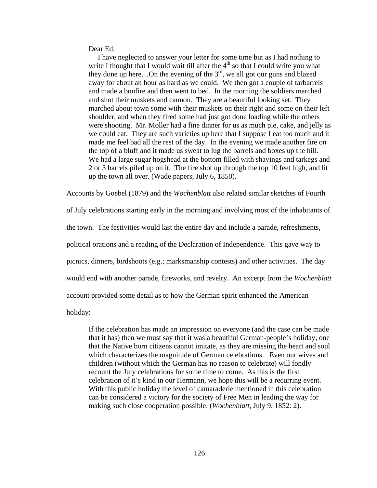Dear Ed.

I have neglected to answer your letter for some time but as I had nothing to write I thought that I would wait till after the  $4<sup>th</sup>$  so that I could write you what they done up here...On the evening of the  $3<sup>rd</sup>$ , we all got our guns and blazed away for about an hour as hard as we could. We then got a couple of tarbarrels and made a bonfire and then went to bed. In the morning the soldiers marched and shot their muskets and cannon. They are a beautiful looking set. They marched about town some with their muskets on their right and some on their left shoulder, and when they fired some had just got done loading while the others were shooting. Mr. Moller had a fine dinner for us as much pie, cake, and jelly as we could eat. They are such varieties up here that I suppose I eat too much and it made me feel bad all the rest of the day. In the evening we made another fire on the top of a bluff and it made us sweat to lug the barrels and boxes up the hill. We had a large sugar hogshead at the bottom filled with shavings and tarkegs and 2 or 3 barrels piled up on it. The fire shot up through the top 10 feet high, and lit up the town all over. (Wade papers, July 6, 1850).

Accounts by Goebel (1879) and the *Wochenblatt* also related similar sketches of Fourth

of July celebrations starting early in the morning and involving most of the inhabitants of the town. The festivities would last the entire day and include a parade, refreshments, political orations and a reading of the Declaration of Independence. This gave way to picnics, dinners, birdshoots (e.g.; marksmanship contests) and other activities. The day would end with another parade, fireworks, and revelry. An excerpt from the *Wochenblatt* account provided some detail as to how the German spirit enhanced the American

holiday:

If the celebration has made an impression on everyone (and the case can be made that it has) then we must say that it was a beautiful German-people's holiday, one that the Native born citizens cannot imitate, as they are missing the heart and soul which characterizes the magnitude of German celebrations. Even our wives and children (without which the German has no reason to celebrate) will fondly recount the July celebrations for some time to come. As this is the first celebration of it's kind in our Hermann, we hope this will be a recurring event. With this public holiday the level of camaraderie mentioned in this celebration can be considered a victory for the society of Free Men in leading the way for making such close cooperation possible. (*Wochenblatt*, July 9, 1852: 2).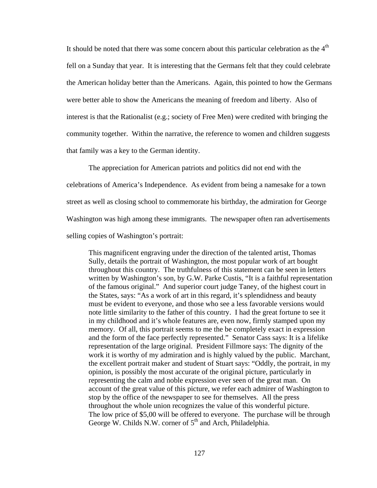It should be noted that there was some concern about this particular celebration as the  $4<sup>th</sup>$ fell on a Sunday that year. It is interesting that the Germans felt that they could celebrate the American holiday better than the Americans. Again, this pointed to how the Germans were better able to show the Americans the meaning of freedom and liberty. Also of interest is that the Rationalist (e.g.; society of Free Men) were credited with bringing the community together. Within the narrative, the reference to women and children suggests that family was a key to the German identity.

The appreciation for American patriots and politics did not end with the celebrations of America's Independence. As evident from being a namesake for a town street as well as closing school to commemorate his birthday, the admiration for George Washington was high among these immigrants. The newspaper often ran advertisements selling copies of Washington's portrait:

This magnificent engraving under the direction of the talented artist, Thomas Sully, details the portrait of Washington, the most popular work of art bought throughout this country. The truthfulness of this statement can be seen in letters written by Washington's son, by G.W. Parke Custis, "It is a faithful representation of the famous original." And superior court judge Taney, of the highest court in the States, says: "As a work of art in this regard, it's splendidness and beauty must be evident to everyone, and those who see a less favorable versions would note little similarity to the father of this country. I had the great fortune to see it in my childhood and it's whole features are, even now, firmly stamped upon my memory. Of all, this portrait seems to me the be completely exact in expression and the form of the face perfectly represented." Senator Cass says: It is a lifelike representation of the large original. President Fillmore says: The dignity of the work it is worthy of my admiration and is highly valued by the public. Marchant, the excellent portrait maker and student of Stuart says: "Oddly, the portrait, in my opinion, is possibly the most accurate of the original picture, particularly in representing the calm and noble expression ever seen of the great man. On account of the great value of this picture, we refer each admirer of Washington to stop by the office of the newspaper to see for themselves. All the press throughout the whole union recognizes the value of this wonderful picture. The low price of \$5,00 will be offered to everyone. The purchase will be through George W. Childs N.W. corner of  $5<sup>th</sup>$  and Arch, Philadelphia.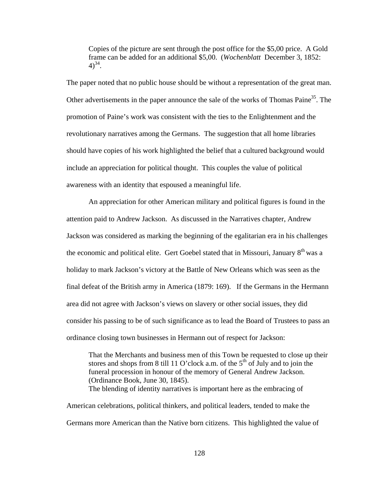Copies of the picture are sent through the post office for the \$5,00 price. A Gold frame can be added for an additional \$5,00. (*Wochenblatt* December 3, 1852:  $4)^{34}$ .

The paper noted that no public house should be without a representation of the great man. Other advertisements in the paper announce the sale of the works of Thomas Paine<sup>35</sup>. The promotion of Paine's work was consistent with the ties to the Enlightenment and the revolutionary narratives among the Germans. The suggestion that all home libraries should have copies of his work highlighted the belief that a cultured background would include an appreciation for political thought. This couples the value of political awareness with an identity that espoused a meaningful life.

An appreciation for other American military and political figures is found in the attention paid to Andrew Jackson. As discussed in the Narratives chapter, Andrew Jackson was considered as marking the beginning of the egalitarian era in his challenges the economic and political elite. Gert Goebel stated that in Missouri, January  $8<sup>th</sup>$  was a holiday to mark Jackson's victory at the Battle of New Orleans which was seen as the final defeat of the British army in America (1879: 169). If the Germans in the Hermann area did not agree with Jackson's views on slavery or other social issues, they did consider his passing to be of such significance as to lead the Board of Trustees to pass an ordinance closing town businesses in Hermann out of respect for Jackson:

That the Merchants and business men of this Town be requested to close up their stores and shops from 8 till 11 O'clock a.m. of the  $5<sup>th</sup>$  of July and to join the funeral procession in honour of the memory of General Andrew Jackson. (Ordinance Book, June 30, 1845). The blending of identity narratives is important here as the embracing of American celebrations, political thinkers, and political leaders, tended to make the Germans more American than the Native born citizens. This highlighted the value of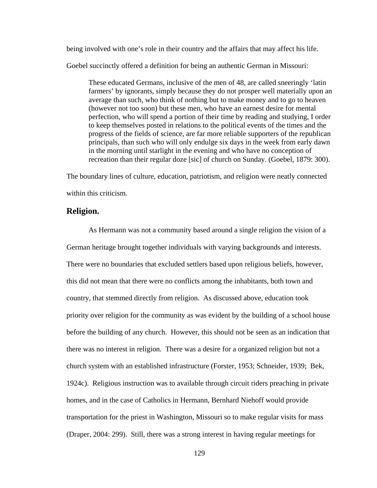being involved with one's role in their country and the affairs that may affect his life.

Goebel succinctly offered a definition for being an authentic German in Missouri:

These educated Germans, inclusive of the men of 48, are called sneeringly 'latin farmers' by ignorants, simply because they do not prosper well materially upon an average than such, who think of nothing but to make money and to go to heaven (however not too soon) but these men, who have an earnest desire for mental perfection, who will spend a portion of their time by reading and studying, I order to keep themselves posted in relations to the political events of the times and the progress of the fields of science, are far more reliable supporters of the republican principals, than such who will only endulge six days in the week from early dawn in the morning until starlight in the evening and who have no conception of recreation than their regular doze [sic] of church on Sunday. (Goebel, 1879: 300).

The boundary lines of culture, education, patriotism, and religion were neatly connected within this criticism.

## **Religion.**

 As Hermann was not a community based around a single religion the vision of a German heritage brought together individuals with varying backgrounds and interests. There were no boundaries that excluded settlers based upon religious beliefs, however, this did not mean that there were no conflicts among the inhabitants, both town and country, that stemmed directly from religion. As discussed above, education took priority over religion for the community as was evident by the building of a school house before the building of any church. However, this should not be seen as an indication that there was no interest in religion. There was a desire for a organized religion but not a church system with an established infrastructure (Forster, 1953; Schneider, 1939; Bek, 1924c). Religious instruction was to available through circuit riders preaching in private homes, and in the case of Catholics in Hermann, Bernhard Niehoff would provide transportation for the priest in Washington, Missouri so to make regular visits for mass (Draper, 2004: 299). Still, there was a strong interest in having regular meetings for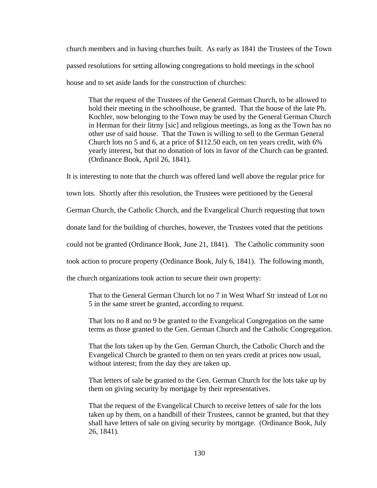church members and in having churches built. As early as 1841 the Trustees of the Town passed resolutions for setting allowing congregations to hold meetings in the school house and to set aside lands for the construction of churches:

That the request of the Trustees of the General German Church, to be allowed to hold their meeting in the schoolhouse, be granted. That the house of the late Ph. Kochler, now belonging to the Town may be used by the General German Church in Herman for their litrny [sic] and religious meetings, as long as the Town has no other use of said house. That the Town is willing to sell to the German General Church lots no 5 and 6, at a price of \$112.50 each, on ten years credit, with 6% yearly interest, but that no donation of lots in favor of the Church can be granted. (Ordinance Book, April 26, 1841).

It is interesting to note that the church was offered land well above the regular price for

town lots. Shortly after this resolution, the Trustees were petitioned by the General

German Church, the Catholic Church, and the Evangelical Church requesting that town

donate land for the building of churches, however, the Trustees voted that the petitions

could not be granted (Ordinance Book, June 21, 1841). The Catholic community soon

took action to procure property (Ordinance Book, July 6, 1841). The following month,

the church organizations took action to secure their own property:

That to the General German Church lot no 7 in West Wharf Str instead of Lot no 5 in the same street be granted, according to request.

That lots no 8 and no 9 be granted to the Evangelical Congregation on the same terms as those granted to the Gen. German Church and the Catholic Congregation.

That the lots taken up by the Gen. German Church, the Catholic Church and the Evangelical Church be granted to them on ten years credit at prices now usual, without interest; from the day they are taken up.

That letters of sale be granted to the Gen. German Church for the lots take up by them on giving security by mortgage by their representatives.

That the request of the Evangelical Church to receive letters of sale for the lots taken up by them, on a handbill of their Trustees, cannot be granted, but that they shall have letters of sale on giving security by mortgage. (Ordinance Book, July 26, 1841).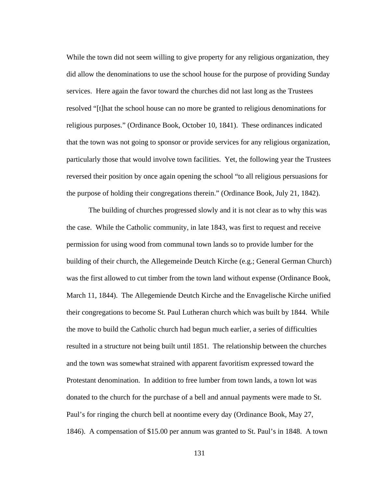While the town did not seem willing to give property for any religious organization, they did allow the denominations to use the school house for the purpose of providing Sunday services. Here again the favor toward the churches did not last long as the Trustees resolved "[t]hat the school house can no more be granted to religious denominations for religious purposes." (Ordinance Book, October 10, 1841). These ordinances indicated that the town was not going to sponsor or provide services for any religious organization, particularly those that would involve town facilities. Yet, the following year the Trustees reversed their position by once again opening the school "to all religious persuasions for the purpose of holding their congregations therein." (Ordinance Book, July 21, 1842).

 The building of churches progressed slowly and it is not clear as to why this was the case. While the Catholic community, in late 1843, was first to request and receive permission for using wood from communal town lands so to provide lumber for the building of their church, the Allegemeinde Deutch Kirche (e.g.; General German Church) was the first allowed to cut timber from the town land without expense (Ordinance Book, March 11, 1844). The Allegemiende Deutch Kirche and the Envagelische Kirche unified their congregations to become St. Paul Lutheran church which was built by 1844. While the move to build the Catholic church had begun much earlier, a series of difficulties resulted in a structure not being built until 1851. The relationship between the churches and the town was somewhat strained with apparent favoritism expressed toward the Protestant denomination. In addition to free lumber from town lands, a town lot was donated to the church for the purchase of a bell and annual payments were made to St. Paul's for ringing the church bell at noontime every day (Ordinance Book, May 27, 1846). A compensation of \$15.00 per annum was granted to St. Paul's in 1848. A town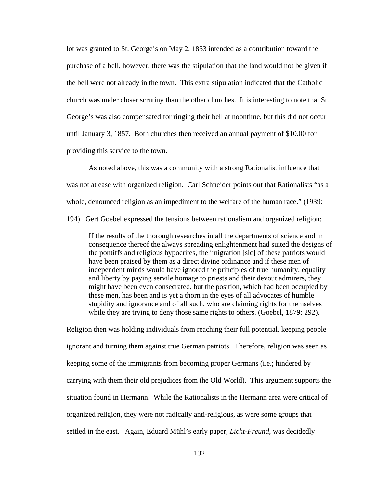lot was granted to St. George's on May 2, 1853 intended as a contribution toward the purchase of a bell, however, there was the stipulation that the land would not be given if the bell were not already in the town. This extra stipulation indicated that the Catholic church was under closer scrutiny than the other churches. It is interesting to note that St. George's was also compensated for ringing their bell at noontime, but this did not occur until January 3, 1857. Both churches then received an annual payment of \$10.00 for providing this service to the town.

As noted above, this was a community with a strong Rationalist influence that was not at ease with organized religion. Carl Schneider points out that Rationalists "as a whole, denounced religion as an impediment to the welfare of the human race." (1939: 194). Gert Goebel expressed the tensions between rationalism and organized religion:

If the results of the thorough researches in all the departments of science and in consequence thereof the always spreading enlightenment had suited the designs of the pontiffs and religious hypocrites, the imigration [sic] of these patriots would have been praised by them as a direct divine ordinance and if these men of independent minds would have ignored the principles of true humanity, equality and liberty by paying servile homage to priests and their devout admirers, they might have been even consecrated, but the position, which had been occupied by these men, has been and is yet a thorn in the eyes of all advocates of humble stupidity and ignorance and of all such, who are claiming rights for themselves while they are trying to deny those same rights to others. (Goebel, 1879: 292).

Religion then was holding individuals from reaching their full potential, keeping people ignorant and turning them against true German patriots. Therefore, religion was seen as keeping some of the immigrants from becoming proper Germans (i.e.; hindered by carrying with them their old prejudices from the Old World). This argument supports the situation found in Hermann. While the Rationalists in the Hermann area were critical of organized religion, they were not radically anti-religious, as were some groups that settled in the east. Again, Eduard Mühl's early paper, *Licht-Freund*, was decidedly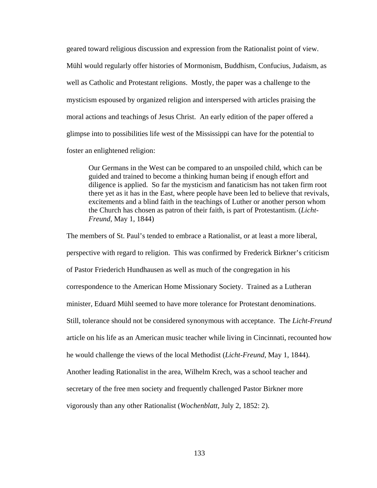geared toward religious discussion and expression from the Rationalist point of view. Mühl would regularly offer histories of Mormonism, Buddhism, Confucius, Judaism, as well as Catholic and Protestant religions. Mostly, the paper was a challenge to the mysticism espoused by organized religion and interspersed with articles praising the moral actions and teachings of Jesus Christ. An early edition of the paper offered a glimpse into to possibilities life west of the Mississippi can have for the potential to foster an enlightened religion:

 Our Germans in the West can be compared to an unspoiled child, which can be guided and trained to become a thinking human being if enough effort and diligence is applied. So far the mysticism and fanaticism has not taken firm root there yet as it has in the East, where people have been led to believe that revivals, excitements and a blind faith in the teachings of Luther or another person whom the Church has chosen as patron of their faith, is part of Protestantism. (*Licht-Freund*, May 1, 1844)

The members of St. Paul's tended to embrace a Rationalist, or at least a more liberal, perspective with regard to religion. This was confirmed by Frederick Birkner's criticism of Pastor Friederich Hundhausen as well as much of the congregation in his correspondence to the American Home Missionary Society. Trained as a Lutheran minister, Eduard Mühl seemed to have more tolerance for Protestant denominations. Still, tolerance should not be considered synonymous with acceptance. The *Licht-Freund* article on his life as an American music teacher while living in Cincinnati, recounted how he would challenge the views of the local Methodist (*Licht-Freund*, May 1, 1844). Another leading Rationalist in the area, Wilhelm Krech, was a school teacher and secretary of the free men society and frequently challenged Pastor Birkner more vigorously than any other Rationalist (*Wochenblatt*, July 2, 1852: 2).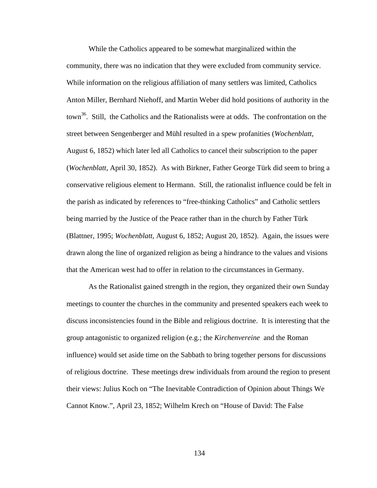While the Catholics appeared to be somewhat marginalized within the community, there was no indication that they were excluded from community service. While information on the religious affiliation of many settlers was limited, Catholics Anton Miller, Bernhard Niehoff, and Martin Weber did hold positions of authority in the town<sup>36</sup>. Still, the Catholics and the Rationalists were at odds. The confrontation on the street between Sengenberger and Mühl resulted in a spew profanities (*Wochenblatt*, August 6, 1852) which later led all Catholics to cancel their subscription to the paper (*Wochenblatt*, April 30, 1852). As with Birkner, Father George Türk did seem to bring a conservative religious element to Hermann. Still, the rationalist influence could be felt in the parish as indicated by references to "free-thinking Catholics" and Catholic settlers being married by the Justice of the Peace rather than in the church by Father Türk (Blattner, 1995; *Wochenblatt*, August 6, 1852; August 20, 1852). Again, the issues were drawn along the line of organized religion as being a hindrance to the values and visions that the American west had to offer in relation to the circumstances in Germany.

 As the Rationalist gained strength in the region, they organized their own Sunday meetings to counter the churches in the community and presented speakers each week to discuss inconsistencies found in the Bible and religious doctrine. It is interesting that the group antagonistic to organized religion (e.g.; the *Kirchenvereine* and the Roman influence) would set aside time on the Sabbath to bring together persons for discussions of religious doctrine. These meetings drew individuals from around the region to present their views: Julius Koch on "The Inevitable Contradiction of Opinion about Things We Cannot Know.", April 23, 1852; Wilhelm Krech on "House of David: The False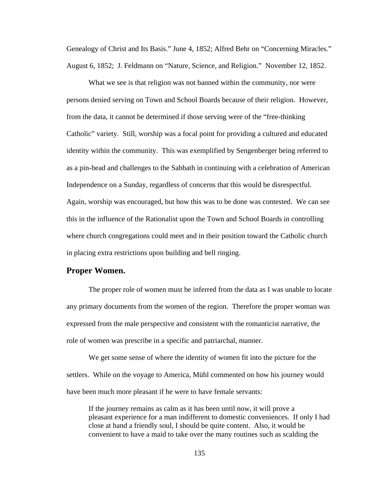Genealogy of Christ and Its Basis." June 4, 1852; Alfred Behr on "Concerning Miracles." August 6, 1852; J. Feldmann on "Nature, Science, and Religion." November 12, 1852.

What we see is that religion was not banned within the community, nor were persons denied serving on Town and School Boards because of their religion. However, from the data, it cannot be determined if those serving were of the "free-thinking Catholic" variety. Still, worship was a focal point for providing a cultured and educated identity within the community. This was exemplified by Sengenberger being referred to as a pin-head and challenges to the Sabbath in continuing with a celebration of American Independence on a Sunday, regardless of concerns that this would be disrespectful. Again, worship was encouraged, but how this was to be done was contested. We can see this in the influence of the Rationalist upon the Town and School Boards in controlling where church congregations could meet and in their position toward the Catholic church in placing extra restrictions upon building and bell ringing.

### **Proper Women.**

 The proper role of women must be inferred from the data as I was unable to locate any primary documents from the women of the region. Therefore the proper woman was expressed from the male perspective and consistent with the romanticist narrative, the role of women was prescribe in a specific and patriarchal, manner.

We get some sense of where the identity of women fit into the picture for the settlers. While on the voyage to America, Mühl commented on how his journey would have been much more pleasant if he were to have female servants:

 If the journey remains as calm as it has been until now, it will prove a pleasant experience for a man indifferent to domestic conveniences. If only I had close at hand a friendly soul, I should be quite content. Also, it would be convenient to have a maid to take over the many routines such as scalding the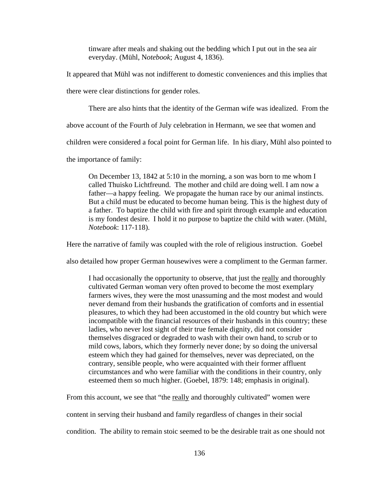tinware after meals and shaking out the bedding which I put out in the sea air everyday. (Mühl, N*otebook*; August 4, 1836).

It appeared that Mühl was not indifferent to domestic conveniences and this implies that

there were clear distinctions for gender roles.

There are also hints that the identity of the German wife was idealized. From the

above account of the Fourth of July celebration in Hermann, we see that women and

children were considered a focal point for German life. In his diary, Mühl also pointed to

the importance of family:

On December 13, 1842 at 5:10 in the morning, a son was born to me whom I called Thuisko Lichtfreund. The mother and child are doing well. I am now a father—a happy feeling. We propagate the human race by our animal instincts. But a child must be educated to become human being. This is the highest duty of a father. To baptize the child with fire and spirit through example and education is my fondest desire. I hold it no purpose to baptize the child with water. (Mühl, *Notebook*: 117-118).

Here the narrative of family was coupled with the role of religious instruction. Goebel

also detailed how proper German housewives were a compliment to the German farmer.

I had occasionally the opportunity to observe, that just the really and thoroughly cultivated German woman very often proved to become the most exemplary farmers wives, they were the most unassuming and the most modest and would never demand from their husbands the gratification of comforts and in essential pleasures, to which they had been accustomed in the old country but which were incompatible with the financial resources of their husbands in this country; these ladies, who never lost sight of their true female dignity, did not consider themselves disgraced or degraded to wash with their own hand, to scrub or to mild cows, labors, which they formerly never done; by so doing the universal esteem which they had gained for themselves, never was depreciated, on the contrary, sensible people, who were acquainted with their former affluent circumstances and who were familiar with the conditions in their country, only esteemed them so much higher. (Goebel, 1879: 148; emphasis in original).

From this account, we see that "the really and thoroughly cultivated" women were

content in serving their husband and family regardless of changes in their social

condition. The ability to remain stoic seemed to be the desirable trait as one should not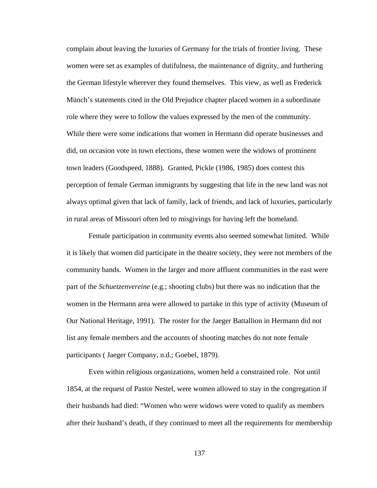complain about leaving the luxuries of Germany for the trials of frontier living. These women were set as examples of dutifulness, the maintenance of dignity, and furthering the German lifestyle wherever they found themselves. This view, as well as Frederick Münch's statements cited in the Old Prejudice chapter placed women in a subordinate role where they were to follow the values expressed by the men of the community. While there were some indications that women in Hermann did operate businesses and did, on occasion vote in town elections, these women were the widows of prominent town leaders (Goodspeed, 1888). Granted, Pickle (1986, 1985) does contest this perception of female German immigrants by suggesting that life in the new land was not always optimal given that lack of family, lack of friends, and lack of luxuries, particularly in rural areas of Missouri often led to misgivings for having left the homeland.

 Female participation in community events also seemed somewhat limited. While it is likely that women did participate in the theatre society, they were not members of the community bands. Women in the larger and more affluent communities in the east were part of the *Schuetzenvereine* (e.g.; shooting clubs) but there was no indication that the women in the Hermann area were allowed to partake in this type of activity (Museum of Our National Heritage, 1991). The roster for the Jaeger Battallion in Hermann did not list any female members and the accounts of shooting matches do not note female participants ( Jaeger Company, n.d.; Goebel, 1879).

Even within religious organizations, women held a constrained role. Not until 1854, at the request of Pastor Nestel, were women allowed to stay in the congregation if their husbands had died: "Women who were widows were voted to qualify as members after their husband's death, if they continued to meet all the requirements for membership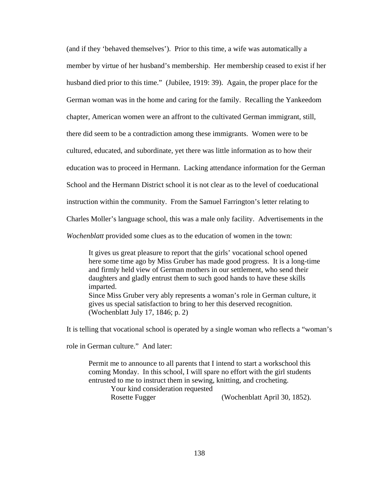(and if they 'behaved themselves'). Prior to this time, a wife was automatically a member by virtue of her husband's membership. Her membership ceased to exist if her husband died prior to this time." (Jubilee, 1919: 39). Again, the proper place for the German woman was in the home and caring for the family. Recalling the Yankeedom chapter, American women were an affront to the cultivated German immigrant, still, there did seem to be a contradiction among these immigrants. Women were to be cultured, educated, and subordinate, yet there was little information as to how their education was to proceed in Hermann. Lacking attendance information for the German School and the Hermann District school it is not clear as to the level of coeducational instruction within the community. From the Samuel Farrington's letter relating to Charles Moller's language school, this was a male only facility. Advertisements in the *Wochenblatt* provided some clues as to the education of women in the town:

 It gives us great pleasure to report that the girls' vocational school opened here some time ago by Miss Gruber has made good progress. It is a long-time and firmly held view of German mothers in our settlement, who send their daughters and gladly entrust them to such good hands to have these skills imparted. Since Miss Gruber very ably represents a woman's role in German culture, it

gives us special satisfaction to bring to her this deserved recognition. (Wochenblatt July 17, 1846; p. 2)

It is telling that vocational school is operated by a single woman who reflects a "woman's

role in German culture." And later:

Permit me to announce to all parents that I intend to start a workschool this coming Monday. In this school, I will spare no effort with the girl students entrusted to me to instruct them in sewing, knitting, and crocheting.

 Your kind consideration requested Rosette Fugger (Wochenblatt April 30, 1852).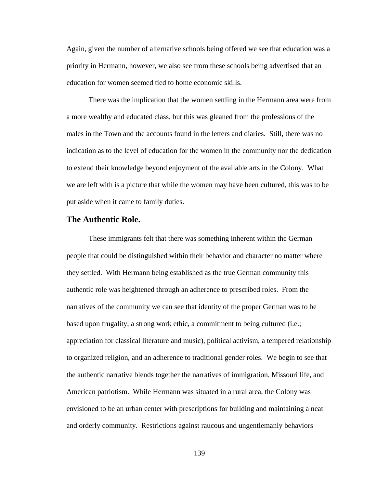Again, given the number of alternative schools being offered we see that education was a priority in Hermann, however, we also see from these schools being advertised that an education for women seemed tied to home economic skills.

 There was the implication that the women settling in the Hermann area were from a more wealthy and educated class, but this was gleaned from the professions of the males in the Town and the accounts found in the letters and diaries. Still, there was no indication as to the level of education for the women in the community nor the dedication to extend their knowledge beyond enjoyment of the available arts in the Colony. What we are left with is a picture that while the women may have been cultured, this was to be put aside when it came to family duties.

## **The Authentic Role.**

 These immigrants felt that there was something inherent within the German people that could be distinguished within their behavior and character no matter where they settled. With Hermann being established as the true German community this authentic role was heightened through an adherence to prescribed roles. From the narratives of the community we can see that identity of the proper German was to be based upon frugality, a strong work ethic, a commitment to being cultured (i.e.; appreciation for classical literature and music), political activism, a tempered relationship to organized religion, and an adherence to traditional gender roles. We begin to see that the authentic narrative blends together the narratives of immigration, Missouri life, and American patriotism. While Hermann was situated in a rural area, the Colony was envisioned to be an urban center with prescriptions for building and maintaining a neat and orderly community. Restrictions against raucous and ungentlemanly behaviors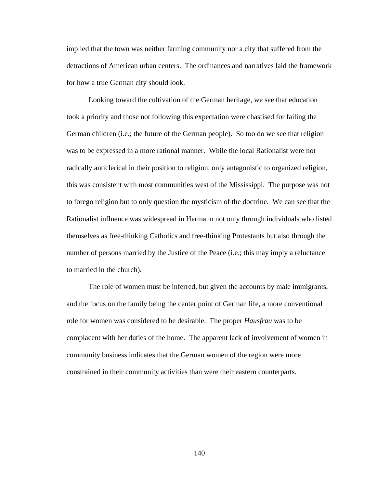implied that the town was neither farming community nor a city that suffered from the detractions of American urban centers. The ordinances and narratives laid the framework for how a true German city should look.

 Looking toward the cultivation of the German heritage, we see that education took a priority and those not following this expectation were chastised for failing the German children (i.e.; the future of the German people). So too do we see that religion was to be expressed in a more rational manner. While the local Rationalist were not radically anticlerical in their position to religion, only antagonistic to organized religion, this was consistent with most communities west of the Mississippi. The purpose was not to forego religion but to only question the mysticism of the doctrine. We can see that the Rationalist influence was widespread in Hermann not only through individuals who listed themselves as free-thinking Catholics and free-thinking Protestants but also through the number of persons married by the Justice of the Peace (i.e.; this may imply a reluctance to married in the church).

 The role of women must be inferred, but given the accounts by male immigrants, and the focus on the family being the center point of German life, a more conventional role for women was considered to be desirable. The proper *Hausfrau* was to be complacent with her duties of the home. The apparent lack of involvement of women in community business indicates that the German women of the region were more constrained in their community activities than were their eastern counterparts.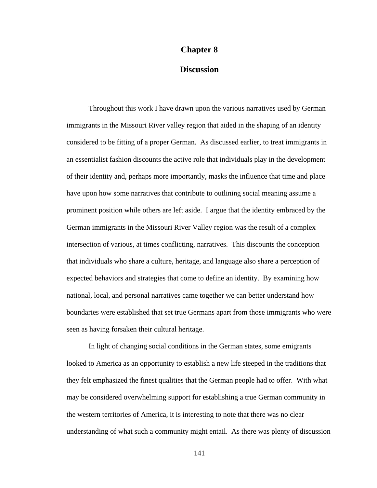#### **Chapter 8**

## **Discussion**

Throughout this work I have drawn upon the various narratives used by German immigrants in the Missouri River valley region that aided in the shaping of an identity considered to be fitting of a proper German. As discussed earlier, to treat immigrants in an essentialist fashion discounts the active role that individuals play in the development of their identity and, perhaps more importantly, masks the influence that time and place have upon how some narratives that contribute to outlining social meaning assume a prominent position while others are left aside. I argue that the identity embraced by the German immigrants in the Missouri River Valley region was the result of a complex intersection of various, at times conflicting, narratives. This discounts the conception that individuals who share a culture, heritage, and language also share a perception of expected behaviors and strategies that come to define an identity. By examining how national, local, and personal narratives came together we can better understand how boundaries were established that set true Germans apart from those immigrants who were seen as having forsaken their cultural heritage.

In light of changing social conditions in the German states, some emigrants looked to America as an opportunity to establish a new life steeped in the traditions that they felt emphasized the finest qualities that the German people had to offer. With what may be considered overwhelming support for establishing a true German community in the western territories of America, it is interesting to note that there was no clear understanding of what such a community might entail. As there was plenty of discussion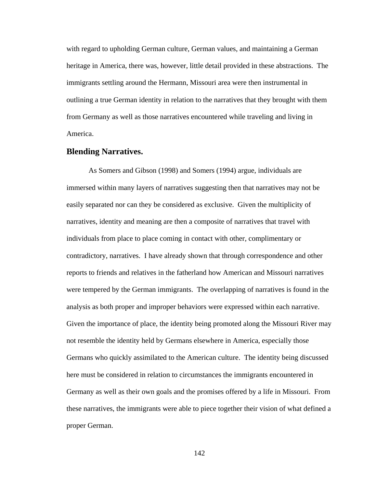with regard to upholding German culture, German values, and maintaining a German heritage in America, there was, however, little detail provided in these abstractions. The immigrants settling around the Hermann, Missouri area were then instrumental in outlining a true German identity in relation to the narratives that they brought with them from Germany as well as those narratives encountered while traveling and living in America.

### **Blending Narratives.**

As Somers and Gibson (1998) and Somers (1994) argue, individuals are immersed within many layers of narratives suggesting then that narratives may not be easily separated nor can they be considered as exclusive. Given the multiplicity of narratives, identity and meaning are then a composite of narratives that travel with individuals from place to place coming in contact with other, complimentary or contradictory, narratives. I have already shown that through correspondence and other reports to friends and relatives in the fatherland how American and Missouri narratives were tempered by the German immigrants. The overlapping of narratives is found in the analysis as both proper and improper behaviors were expressed within each narrative. Given the importance of place, the identity being promoted along the Missouri River may not resemble the identity held by Germans elsewhere in America, especially those Germans who quickly assimilated to the American culture. The identity being discussed here must be considered in relation to circumstances the immigrants encountered in Germany as well as their own goals and the promises offered by a life in Missouri. From these narratives, the immigrants were able to piece together their vision of what defined a proper German.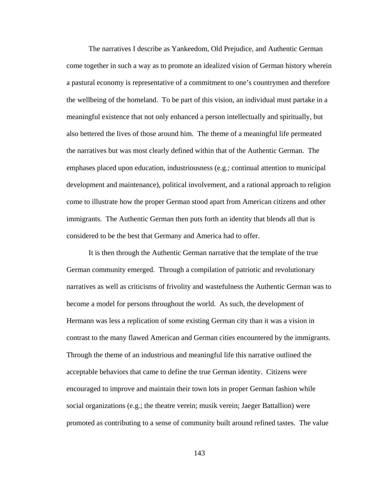The narratives I describe as Yankeedom, Old Prejudice, and Authentic German come together in such a way as to promote an idealized vision of German history wherein a pastural economy is representative of a commitment to one's countrymen and therefore the wellbeing of the homeland. To be part of this vision, an individual must partake in a meaningful existence that not only enhanced a person intellectually and spiritually, but also bettered the lives of those around him. The theme of a meaningful life permeated the narratives but was most clearly defined within that of the Authentic German. The emphases placed upon education, industriousness (e.g.; continual attention to municipal development and maintenance), political involvement, and a rational approach to religion come to illustrate how the proper German stood apart from American citizens and other immigrants. The Authentic German then puts forth an identity that blends all that is considered to be the best that Germany and America had to offer.

It is then through the Authentic German narrative that the template of the true German community emerged. Through a compilation of patriotic and revolutionary narratives as well as criticisms of frivolity and wastefulness the Authentic German was to become a model for persons throughout the world. As such, the development of Hermann was less a replication of some existing German city than it was a vision in contrast to the many flawed American and German cities encountered by the immigrants. Through the theme of an industrious and meaningful life this narrative outlined the acceptable behaviors that came to define the true German identity. Citizens were encouraged to improve and maintain their town lots in proper German fashion while social organizations (e.g.; the theatre verein; musik verein; Jaeger Battallion) were promoted as contributing to a sense of community built around refined tastes. The value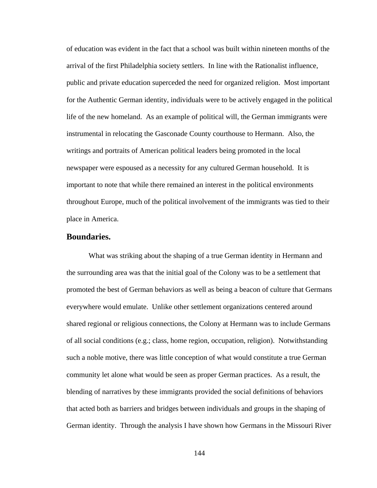of education was evident in the fact that a school was built within nineteen months of the arrival of the first Philadelphia society settlers. In line with the Rationalist influence, public and private education superceded the need for organized religion. Most important for the Authentic German identity, individuals were to be actively engaged in the political life of the new homeland. As an example of political will, the German immigrants were instrumental in relocating the Gasconade County courthouse to Hermann. Also, the writings and portraits of American political leaders being promoted in the local newspaper were espoused as a necessity for any cultured German household. It is important to note that while there remained an interest in the political environments throughout Europe, much of the political involvement of the immigrants was tied to their place in America.

## **Boundaries.**

 What was striking about the shaping of a true German identity in Hermann and the surrounding area was that the initial goal of the Colony was to be a settlement that promoted the best of German behaviors as well as being a beacon of culture that Germans everywhere would emulate. Unlike other settlement organizations centered around shared regional or religious connections, the Colony at Hermann was to include Germans of all social conditions (e.g.; class, home region, occupation, religion). Notwithstanding such a noble motive, there was little conception of what would constitute a true German community let alone what would be seen as proper German practices. As a result, the blending of narratives by these immigrants provided the social definitions of behaviors that acted both as barriers and bridges between individuals and groups in the shaping of German identity. Through the analysis I have shown how Germans in the Missouri River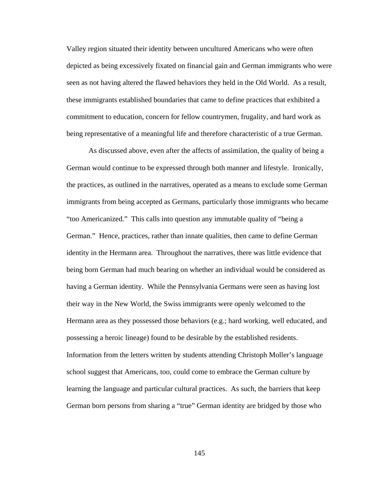Valley region situated their identity between uncultured Americans who were often depicted as being excessively fixated on financial gain and German immigrants who were seen as not having altered the flawed behaviors they held in the Old World. As a result, these immigrants established boundaries that came to define practices that exhibited a commitment to education, concern for fellow countrymen, frugality, and hard work as being representative of a meaningful life and therefore characteristic of a true German.

As discussed above, even after the affects of assimilation, the quality of being a German would continue to be expressed through both manner and lifestyle. Ironically, the practices, as outlined in the narratives, operated as a means to exclude some German immigrants from being accepted as Germans, particularly those immigrants who became "too Americanized." This calls into question any immutable quality of "being a German." Hence, practices, rather than innate qualities, then came to define German identity in the Hermann area. Throughout the narratives, there was little evidence that being born German had much bearing on whether an individual would be considered as having a German identity. While the Pennsylvania Germans were seen as having lost their way in the New World, the Swiss immigrants were openly welcomed to the Hermann area as they possessed those behaviors (e.g.; hard working, well educated, and possessing a heroic lineage) found to be desirable by the established residents. Information from the letters written by students attending Christoph Moller's language school suggest that Americans, too, could come to embrace the German culture by learning the language and particular cultural practices. As such, the barriers that keep German born persons from sharing a "true" German identity are bridged by those who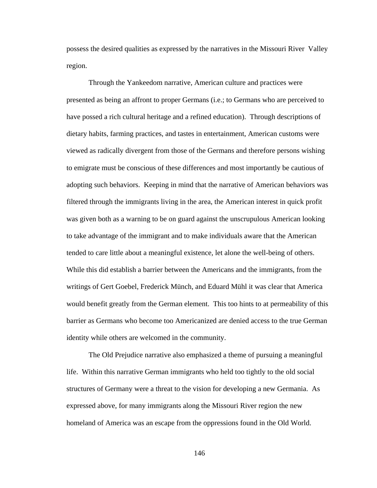possess the desired qualities as expressed by the narratives in the Missouri River Valley region.

Through the Yankeedom narrative, American culture and practices were presented as being an affront to proper Germans (i.e.; to Germans who are perceived to have possed a rich cultural heritage and a refined education). Through descriptions of dietary habits, farming practices, and tastes in entertainment, American customs were viewed as radically divergent from those of the Germans and therefore persons wishing to emigrate must be conscious of these differences and most importantly be cautious of adopting such behaviors. Keeping in mind that the narrative of American behaviors was filtered through the immigrants living in the area, the American interest in quick profit was given both as a warning to be on guard against the unscrupulous American looking to take advantage of the immigrant and to make individuals aware that the American tended to care little about a meaningful existence, let alone the well-being of others. While this did establish a barrier between the Americans and the immigrants, from the writings of Gert Goebel, Frederick Münch, and Eduard Mühl it was clear that America would benefit greatly from the German element. This too hints to at permeability of this barrier as Germans who become too Americanized are denied access to the true German identity while others are welcomed in the community.

The Old Prejudice narrative also emphasized a theme of pursuing a meaningful life. Within this narrative German immigrants who held too tightly to the old social structures of Germany were a threat to the vision for developing a new Germania. As expressed above, for many immigrants along the Missouri River region the new homeland of America was an escape from the oppressions found in the Old World.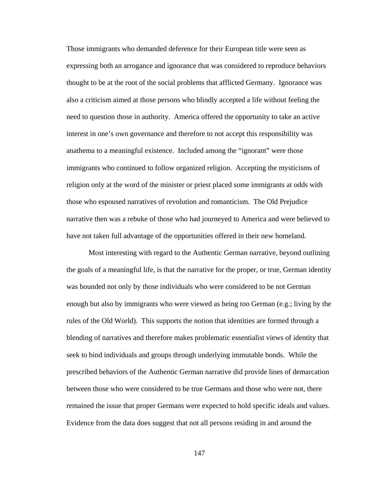Those immigrants who demanded deference for their European title were seen as expressing both an arrogance and ignorance that was considered to reproduce behaviors thought to be at the root of the social problems that afflicted Germany. Ignorance was also a criticism aimed at those persons who blindly accepted a life without feeling the need to question those in authority. America offered the opportunity to take an active interest in one's own governance and therefore to not accept this responsibility was anathema to a meaningful existence. Included among the "ignorant" were those immigrants who continued to follow organized religion. Accepting the mysticisms of religion only at the word of the minister or priest placed some immigrants at odds with those who espoused narratives of revolution and romanticism. The Old Prejudice narrative then was a rebuke of those who had journeyed to America and were believed to have not taken full advantage of the opportunities offered in their new homeland.

Most interesting with regard to the Authentic German narrative, beyond outlining the goals of a meaningful life, is that the narrative for the proper, or true, German identity was bounded not only by those individuals who were considered to be not German enough but also by immigrants who were viewed as being too German (e.g.; living by the rules of the Old World). This supports the notion that identities are formed through a blending of narratives and therefore makes problematic essentialist views of identity that seek to bind individuals and groups through underlying immutable bonds. While the prescribed behaviors of the Authentic German narrative did provide lines of demarcation between those who were considered to be true Germans and those who were not, there remained the issue that proper Germans were expected to hold specific ideals and values. Evidence from the data does suggest that not all persons residing in and around the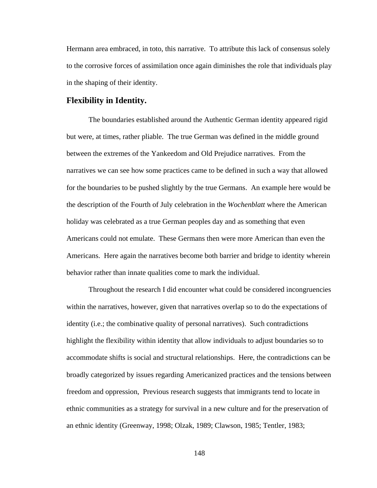Hermann area embraced, in toto, this narrative. To attribute this lack of consensus solely to the corrosive forces of assimilation once again diminishes the role that individuals play in the shaping of their identity.

#### **Flexibility in Identity.**

The boundaries established around the Authentic German identity appeared rigid but were, at times, rather pliable. The true German was defined in the middle ground between the extremes of the Yankeedom and Old Prejudice narratives. From the narratives we can see how some practices came to be defined in such a way that allowed for the boundaries to be pushed slightly by the true Germans. An example here would be the description of the Fourth of July celebration in the *Wochenblatt* where the American holiday was celebrated as a true German peoples day and as something that even Americans could not emulate. These Germans then were more American than even the Americans. Here again the narratives become both barrier and bridge to identity wherein behavior rather than innate qualities come to mark the individual.

 Throughout the research I did encounter what could be considered incongruencies within the narratives, however, given that narratives overlap so to do the expectations of identity (i.e.; the combinative quality of personal narratives). Such contradictions highlight the flexibility within identity that allow individuals to adjust boundaries so to accommodate shifts is social and structural relationships. Here, the contradictions can be broadly categorized by issues regarding Americanized practices and the tensions between freedom and oppression, Previous research suggests that immigrants tend to locate in ethnic communities as a strategy for survival in a new culture and for the preservation of an ethnic identity (Greenway, 1998; Olzak, 1989; Clawson, 1985; Tentler, 1983;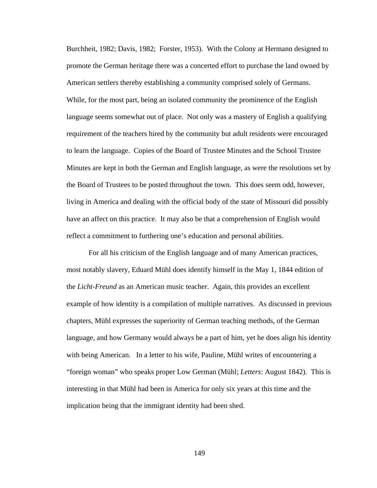Burchheit, 1982; Davis, 1982; Forster, 1953). With the Colony at Hermann designed to promote the German heritage there was a concerted effort to purchase the land owned by American settlers thereby establishing a community comprised solely of Germans. While, for the most part, being an isolated community the prominence of the English language seems somewhat out of place. Not only was a mastery of English a qualifying requirement of the teachers hired by the community but adult residents were encouraged to learn the language. Copies of the Board of Trustee Minutes and the School Trustee Minutes are kept in both the German and English language, as were the resolutions set by the Board of Trustees to be posted throughout the town. This does seem odd, however, living in America and dealing with the official body of the state of Missouri did possibly have an affect on this practice. It may also be that a comprehension of English would reflect a commitment to furthering one's education and personal abilities.

For all his criticism of the English language and of many American practices, most notably slavery, Eduard Mühl does identify himself in the May 1, 1844 edition of the *Licht-Freund* as an American music teacher. Again, this provides an excellent example of how identity is a compilation of multiple narratives. As discussed in previous chapters, Mühl expresses the superiority of German teaching methods, of the German language, and how Germany would always be a part of him, yet he does align his identity with being American. In a letter to his wife, Pauline, Mühl writes of encountering a "foreign woman" who speaks proper Low German (Mühl; *Letters*: August 1842). This is interesting in that Mühl had been in America for only six years at this time and the implication being that the immigrant identity had been shed.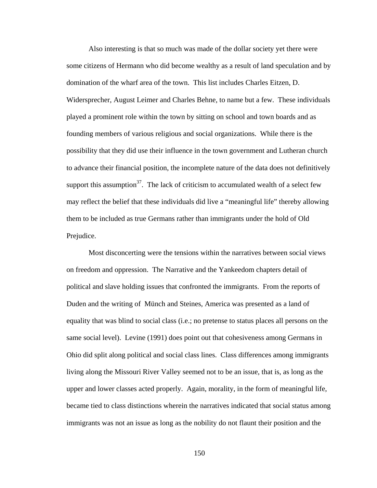Also interesting is that so much was made of the dollar society yet there were some citizens of Hermann who did become wealthy as a result of land speculation and by domination of the wharf area of the town. This list includes Charles Eitzen, D. Widersprecher, August Leimer and Charles Behne, to name but a few. These individuals played a prominent role within the town by sitting on school and town boards and as founding members of various religious and social organizations. While there is the possibility that they did use their influence in the town government and Lutheran church to advance their financial position, the incomplete nature of the data does not definitively support this assumption<sup>37</sup>. The lack of criticism to accumulated wealth of a select few may reflect the belief that these individuals did live a "meaningful life" thereby allowing them to be included as true Germans rather than immigrants under the hold of Old Prejudice.

 Most disconcerting were the tensions within the narratives between social views on freedom and oppression. The Narrative and the Yankeedom chapters detail of political and slave holding issues that confronted the immigrants. From the reports of Duden and the writing of Münch and Steines, America was presented as a land of equality that was blind to social class (i.e.; no pretense to status places all persons on the same social level). Levine (1991) does point out that cohesiveness among Germans in Ohio did split along political and social class lines. Class differences among immigrants living along the Missouri River Valley seemed not to be an issue, that is, as long as the upper and lower classes acted properly. Again, morality, in the form of meaningful life, became tied to class distinctions wherein the narratives indicated that social status among immigrants was not an issue as long as the nobility do not flaunt their position and the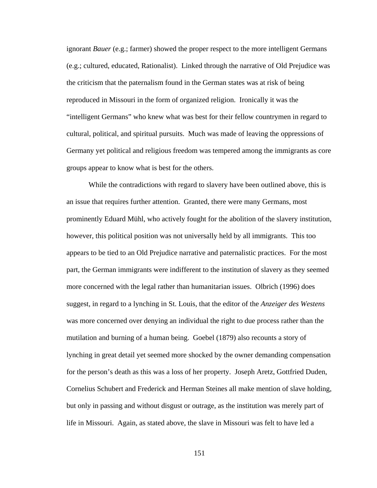ignorant *Bauer* (e.g.; farmer) showed the proper respect to the more intelligent Germans (e.g.; cultured, educated, Rationalist). Linked through the narrative of Old Prejudice was the criticism that the paternalism found in the German states was at risk of being reproduced in Missouri in the form of organized religion. Ironically it was the "intelligent Germans" who knew what was best for their fellow countrymen in regard to cultural, political, and spiritual pursuits. Much was made of leaving the oppressions of Germany yet political and religious freedom was tempered among the immigrants as core groups appear to know what is best for the others.

 While the contradictions with regard to slavery have been outlined above, this is an issue that requires further attention. Granted, there were many Germans, most prominently Eduard Mühl, who actively fought for the abolition of the slavery institution, however, this political position was not universally held by all immigrants. This too appears to be tied to an Old Prejudice narrative and paternalistic practices. For the most part, the German immigrants were indifferent to the institution of slavery as they seemed more concerned with the legal rather than humanitarian issues. Olbrich (1996) does suggest, in regard to a lynching in St. Louis, that the editor of the *Anzeiger des Westens* was more concerned over denying an individual the right to due process rather than the mutilation and burning of a human being. Goebel (1879) also recounts a story of lynching in great detail yet seemed more shocked by the owner demanding compensation for the person's death as this was a loss of her property. Joseph Aretz, Gottfried Duden, Cornelius Schubert and Frederick and Herman Steines all make mention of slave holding, but only in passing and without disgust or outrage, as the institution was merely part of life in Missouri. Again, as stated above, the slave in Missouri was felt to have led a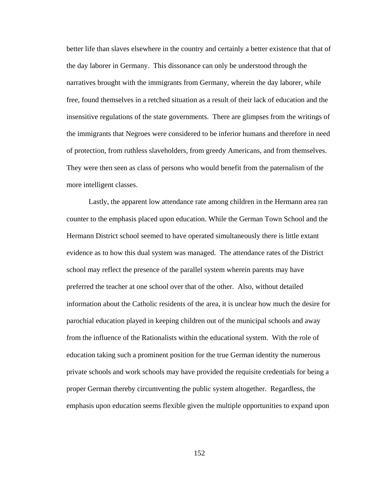better life than slaves elsewhere in the country and certainly a better existence that that of the day laborer in Germany. This dissonance can only be understood through the narratives brought with the immigrants from Germany, wherein the day laborer, while free, found themselves in a retched situation as a result of their lack of education and the insensitive regulations of the state governments. There are glimpses from the writings of the immigrants that Negroes were considered to be inferior humans and therefore in need of protection, from ruthless slaveholders, from greedy Americans, and from themselves. They were then seen as class of persons who would benefit from the paternalism of the more intelligent classes.

Lastly, the apparent low attendance rate among children in the Hermann area ran counter to the emphasis placed upon education. While the German Town School and the Hermann District school seemed to have operated simultaneously there is little extant evidence as to how this dual system was managed. The attendance rates of the District school may reflect the presence of the parallel system wherein parents may have preferred the teacher at one school over that of the other. Also, without detailed information about the Catholic residents of the area, it is unclear how much the desire for parochial education played in keeping children out of the municipal schools and away from the influence of the Rationalists within the educational system. With the role of education taking such a prominent position for the true German identity the numerous private schools and work schools may have provided the requisite credentials for being a proper German thereby circumventing the public system altogether. Regardless, the emphasis upon education seems flexible given the multiple opportunities to expand upon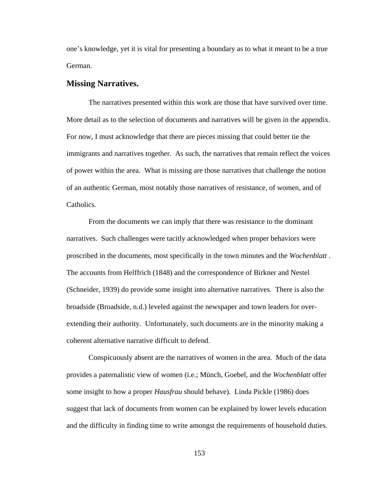one's knowledge, yet it is vital for presenting a boundary as to what it meant to be a true German.

#### **Missing Narratives.**

The narratives presented within this work are those that have survived over time. More detail as to the selection of documents and narratives will be given in the appendix. For now, I must acknowledge that there are pieces missing that could better tie the immigrants and narratives together. As such, the narratives that remain reflect the voices of power within the area. What is missing are those narratives that challenge the notion of an authentic German, most notably those narratives of resistance, of women, and of Catholics.

From the documents we can imply that there was resistance to the dominant narratives. Such challenges were tacitly acknowledged when proper behaviors were proscribed in the documents, most specifically in the town minutes and the *Wochenblatt* . The accounts from Helffrich (1848) and the correspondence of Birkner and Nestel (Schneider, 1939) do provide some insight into alternative narratives. There is also the broadside (Broadside, n.d.) leveled against the newspaper and town leaders for overextending their authority. Unfortunately, such documents are in the minority making a coherent alternative narrative difficult to defend.

Conspicuously absent are the narratives of women in the area. Much of the data provides a paternalistic view of women (i.e.; Münch, Goebel, and the *Wochenblatt* offer some insight to how a proper *Hausfrau* should behave). Linda Pickle (1986) does suggest that lack of documents from women can be explained by lower levels education and the difficulty in finding time to write amongst the requirements of household duties.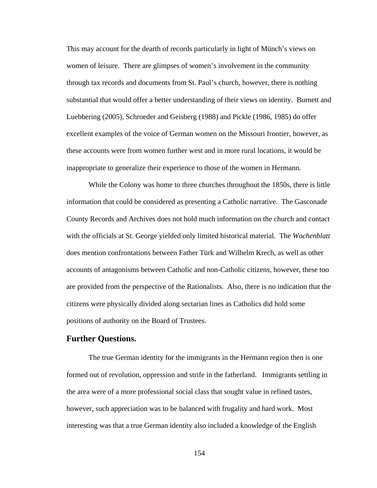This may account for the dearth of records particularly in light of Münch's views on women of leisure. There are glimpses of women's involvement in the community through tax records and documents from St. Paul's church, however, there is nothing substantial that would offer a better understanding of their views on identity. Burnett and Luebbering (2005), Schroeder and Geisberg (1988) and Pickle (1986, 1985) do offer excellent examples of the voice of German women on the Missouri frontier, however, as these accounts were from women further west and in more rural locations, it would be inappropriate to generalize their experience to those of the women in Hermann.

 While the Colony was home to three churches throughout the 1850s, there is little information that could be considered as presenting a Catholic narrative. The Gasconade County Records and Archives does not hold much information on the church and contact with the officials at St. George yielded only limited historical material. The *Wochenblatt* does mention confrontations between Father Türk and Wilhelm Krech, as well as other accounts of antagonisms between Catholic and non-Catholic citizens, however, these too are provided from the perspective of the Rationalists. Also, there is no indication that the citizens were physically divided along sectarian lines as Catholics did hold some positions of authority on the Board of Trustees.

#### **Further Questions.**

The true German identity for the immigrants in the Hermann region then is one formed out of revolution, oppression and strife in the fatherland. Immigrants settling in the area were of a more professional social class that sought value in refined tastes, however, such appreciation was to be balanced with frugality and hard work. Most interesting was that a true German identity also included a knowledge of the English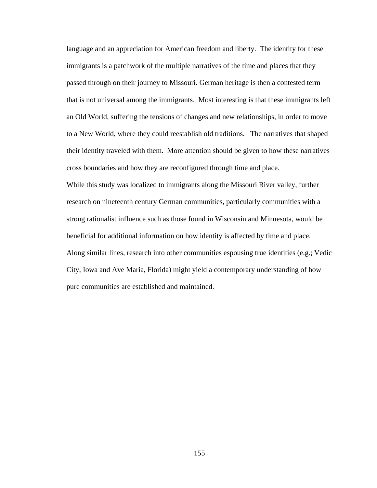language and an appreciation for American freedom and liberty. The identity for these immigrants is a patchwork of the multiple narratives of the time and places that they passed through on their journey to Missouri. German heritage is then a contested term that is not universal among the immigrants. Most interesting is that these immigrants left an Old World, suffering the tensions of changes and new relationships, in order to move to a New World, where they could reestablish old traditions. The narratives that shaped their identity traveled with them. More attention should be given to how these narratives cross boundaries and how they are reconfigured through time and place.

While this study was localized to immigrants along the Missouri River valley, further research on nineteenth century German communities, particularly communities with a strong rationalist influence such as those found in Wisconsin and Minnesota, would be beneficial for additional information on how identity is affected by time and place. Along similar lines, research into other communities espousing true identities (e.g.; Vedic City, Iowa and Ave Maria, Florida) might yield a contemporary understanding of how pure communities are established and maintained.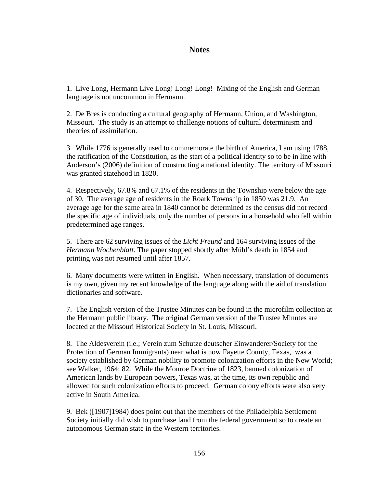# **Notes**

1. Live Long, Hermann Live Long! Long! Long! Mixing of the English and German language is not uncommon in Hermann.

2. De Bres is conducting a cultural geography of Hermann, Union, and Washington, Missouri. The study is an attempt to challenge notions of cultural determinism and theories of assimilation.

3. While 1776 is generally used to commemorate the birth of America, I am using 1788, the ratification of the Constitution, as the start of a political identity so to be in line with Anderson's (2006) definition of constructing a national identity. The territory of Missouri was granted statehood in 1820.

4. Respectively, 67.8% and 67.1% of the residents in the Township were below the age of 30. The average age of residents in the Roark Township in 1850 was 21.9. An average age for the same area in 1840 cannot be determined as the census did not record the specific age of individuals, only the number of persons in a household who fell within predetermined age ranges.

5. There are 62 surviving issues of the *Licht Freund* and 164 surviving issues of the *Hermann Wochenblatt*. The paper stopped shortly after Mühl's death in 1854 and printing was not resumed until after 1857.

6. Many documents were written in English. When necessary, translation of documents is my own, given my recent knowledge of the language along with the aid of translation dictionaries and software.

7. The English version of the Trustee Minutes can be found in the microfilm collection at the Hermann public library. The original German version of the Trustee Minutes are located at the Missouri Historical Society in St. Louis, Missouri.

8. The Aldesverein (i.e.; Verein zum Schutze deutscher Einwanderer/Society for the Protection of German Immigrants) near what is now Fayette County, Texas, was a society established by German nobility to promote colonization efforts in the New World; see Walker, 1964: 82. While the Monroe Doctrine of 1823, banned colonization of American lands by European powers, Texas was, at the time, its own republic and allowed for such colonization efforts to proceed. German colony efforts were also very active in South America.

9. Bek ([1907]1984) does point out that the members of the Philadelphia Settlement Society initially did wish to purchase land from the federal government so to create an autonomous German state in the Western territories.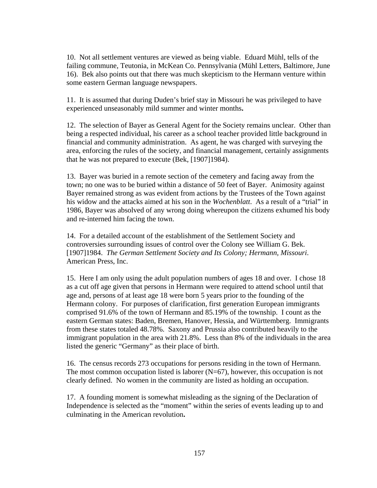10. Not all settlement ventures are viewed as being viable. Eduard Mühl, tells of the failing commune, Teutonia, in McKean Co. Pennsylvania (Mühl Letters, Baltimore, June 16). Bek also points out that there was much skepticism to the Hermann venture within some eastern German language newspapers.

11. It is assumed that during Duden's brief stay in Missouri he was privileged to have experienced unseasonably mild summer and winter months**.**

12. The selection of Bayer as General Agent for the Society remains unclear. Other than being a respected individual, his career as a school teacher provided little background in financial and community administration. As agent, he was charged with surveying the area, enforcing the rules of the society, and financial management, certainly assignments that he was not prepared to execute (Bek, [1907]1984).

13. Bayer was buried in a remote section of the cemetery and facing away from the town; no one was to be buried within a distance of 50 feet of Bayer. Animosity against Bayer remained strong as was evident from actions by the Trustees of the Town against his widow and the attacks aimed at his son in the *Wochenblatt*. As a result of a "trial" in 1986, Bayer was absolved of any wrong doing whereupon the citizens exhumed his body and re-interned him facing the town.

14. For a detailed account of the establishment of the Settlement Society and controversies surrounding issues of control over the Colony see William G. Bek. [1907]1984. *The German Settlement Society and Its Colony; Hermann, Missouri*. American Press, Inc.

15. Here I am only using the adult population numbers of ages 18 and over. I chose 18 as a cut off age given that persons in Hermann were required to attend school until that age and, persons of at least age 18 were born 5 years prior to the founding of the Hermann colony. For purposes of clarification, first generation European immigrants comprised 91.6% of the town of Hermann and 85.19% of the township. I count as the eastern German states: Baden, Bremen, Hanover, Hessia, and Württemberg. Immigrants from these states totaled 48.78%. Saxony and Prussia also contributed heavily to the immigrant population in the area with 21.8%. Less than 8% of the individuals in the area listed the generic "Germany" as their place of birth.

16. The census records 273 occupations for persons residing in the town of Hermann. The most common occupation listed is laborer  $(N=67)$ , however, this occupation is not clearly defined. No women in the community are listed as holding an occupation.

17. A founding moment is somewhat misleading as the signing of the Declaration of Independence is selected as the "moment" within the series of events leading up to and culminating in the American revolution**.**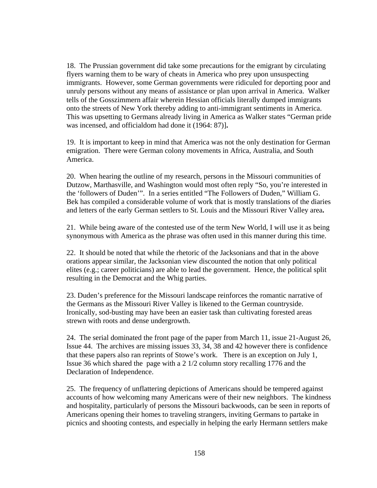18. The Prussian government did take some precautions for the emigrant by circulating flyers warning them to be wary of cheats in America who prey upon unsuspecting immigrants. However, some German governments were ridiculed for deporting poor and unruly persons without any means of assistance or plan upon arrival in America. Walker tells of the Gosszimmern affair wherein Hessian officials literally dumped immigrants onto the streets of New York thereby adding to anti-immigrant sentiments in America. This was upsetting to Germans already living in America as Walker states "German pride was incensed, and officialdom had done it (1964: 87)]**.**

19. It is important to keep in mind that America was not the only destination for German emigration. There were German colony movements in Africa, Australia, and South America.

20. When hearing the outline of my research, persons in the Missouri communities of Dutzow, Marthasville, and Washington would most often reply "So, you're interested in the 'followers of Duden'". In a series entitled "The Followers of Duden," William G. Bek has compiled a considerable volume of work that is mostly translations of the diaries and letters of the early German settlers to St. Louis and the Missouri River Valley area**.** 

21. While being aware of the contested use of the term New World, I will use it as being synonymous with America as the phrase was often used in this manner during this time.

22. It should be noted that while the rhetoric of the Jacksonians and that in the above orations appear similar, the Jacksonian view discounted the notion that only political elites (e.g.; career politicians) are able to lead the government. Hence, the political split resulting in the Democrat and the Whig parties.

23. Duden's preference for the Missouri landscape reinforces the romantic narrative of the Germans as the Missouri River Valley is likened to the German countryside. Ironically, sod-busting may have been an easier task than cultivating forested areas strewn with roots and dense undergrowth.

24. The serial dominated the front page of the paper from March 11, issue 21-August 26, Issue 44. The archives are missing issues 33, 34, 38 and 42 however there is confidence that these papers also ran reprints of Stowe's work. There is an exception on July 1, Issue 36 which shared the page with a 2 1/2 column story recalling 1776 and the Declaration of Independence.

25. The frequency of unflattering depictions of Americans should be tempered against accounts of how welcoming many Americans were of their new neighbors. The kindness and hospitality, particularly of persons the Missouri backwoods, can be seen in reports of Americans opening their homes to traveling strangers, inviting Germans to partake in picnics and shooting contests, and especially in helping the early Hermann settlers make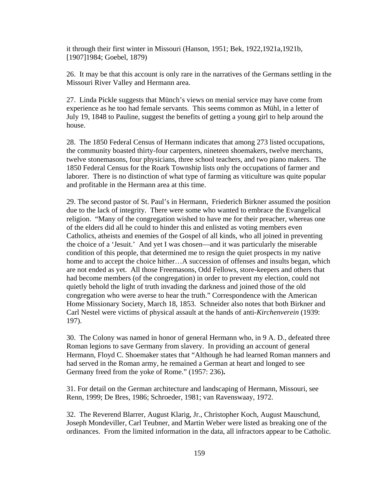it through their first winter in Missouri (Hanson, 1951; Bek, 1922,1921a,1921b, [1907]1984; Goebel, 1879)

26. It may be that this account is only rare in the narratives of the Germans settling in the Missouri River Valley and Hermann area.

27. Linda Pickle suggests that Münch's views on menial service may have come from experience as he too had female servants. This seems common as Mühl, in a letter of July 19, 1848 to Pauline, suggest the benefits of getting a young girl to help around the house.

28. The 1850 Federal Census of Hermann indicates that among 273 listed occupations, the community boasted thirty-four carpenters, nineteen shoemakers, twelve merchants, twelve stonemasons, four physicians, three school teachers, and two piano makers. The 1850 Federal Census for the Roark Township lists only the occupations of farmer and laborer. There is no distinction of what type of farming as viticulture was quite popular and profitable in the Hermann area at this time.

29. The second pastor of St. Paul's in Hermann, Friederich Birkner assumed the position due to the lack of integrity. There were some who wanted to embrace the Evangelical religion. "Many of the congregation wished to have me for their preacher, whereas one of the elders did all he could to hinder this and enlisted as voting members even Catholics, atheists and enemies of the Gospel of all kinds, who all joined in preventing the choice of a 'Jesuit.' And yet I was chosen—and it was particularly the miserable condition of this people, that determined me to resign the quiet prospects in my native home and to accept the choice hither…A succession of offenses and insults began, which are not ended as yet. All those Freemasons, Odd Fellows, store-keepers and others that had become members (of the congregation) in order to prevent my election, could not quietly behold the light of truth invading the darkness and joined those of the old congregation who were averse to hear the truth." Correspondence with the American Home Missionary Society, March 18, 1853. Schneider also notes that both Birkner and Carl Nestel were victims of physical assault at the hands of anti-*Kirchenverein* (1939: 197).

30. The Colony was named in honor of general Hermann who, in 9 A. D., defeated three Roman legions to save Germany from slavery. In providing an account of general Hermann, Floyd C. Shoemaker states that "Although he had learned Roman manners and had served in the Roman army, he remained a German at heart and longed to see Germany freed from the yoke of Rome." (1957: 236)**.** 

31. For detail on the German architecture and landscaping of Hermann, Missouri, see Renn, 1999; De Bres, 1986; Schroeder, 1981; van Ravenswaay, 1972.

32. The Reverend Blarrer, August Klarig, Jr., Christopher Koch, August Mauschund, Joseph Mondeviller, Carl Teubner, and Martin Weber were listed as breaking one of the ordinances. From the limited information in the data, all infractors appear to be Catholic.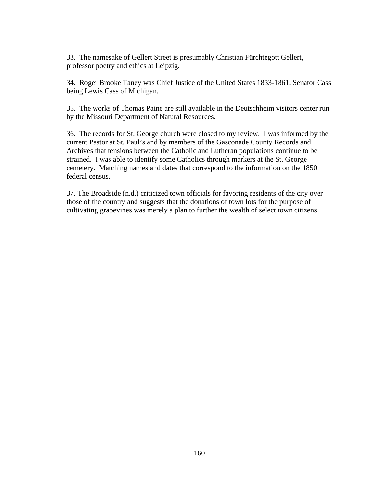33. The namesake of Gellert Street is presumably Christian Fürchtegott Gellert, professor poetry and ethics at Leipzig**.** 

34. Roger Brooke Taney was Chief Justice of the United States 1833-1861. Senator Cass being Lewis Cass of Michigan.

35. The works of Thomas Paine are still available in the Deutschheim visitors center run by the Missouri Department of Natural Resources.

36. The records for St. George church were closed to my review. I was informed by the current Pastor at St. Paul's and by members of the Gasconade County Records and Archives that tensions between the Catholic and Lutheran populations continue to be strained. I was able to identify some Catholics through markers at the St. George cemetery. Matching names and dates that correspond to the information on the 1850 federal census.

37. The Broadside (n.d.) criticized town officials for favoring residents of the city over those of the country and suggests that the donations of town lots for the purpose of cultivating grapevines was merely a plan to further the wealth of select town citizens.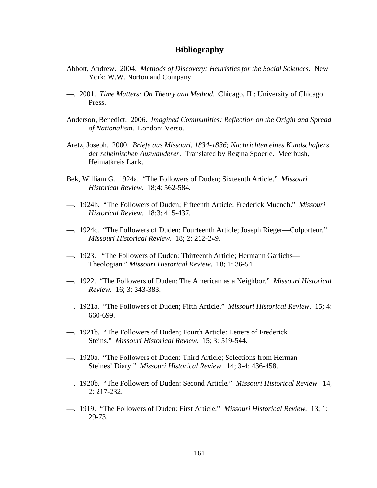### **Bibliography**

- Abbott, Andrew. 2004. *Methods of Discovery: Heuristics for the Social Sciences*. New York: W.W. Norton and Company.
- —. 2001. *Time Matters: On Theory and Method*. Chicago, IL: University of Chicago Press.
- Anderson, Benedict. 2006. *Imagined Communities: Reflection on the Origin and Spread of Nationalism*. London: Verso.
- Aretz, Joseph. 2000. *Briefe aus Missouri, 1834-1836; Nachrichten eines Kundschafters der reheinischen Auswanderer*. Translated by Regina Spoerle. Meerbush, Heimatkreis Lank.
- Bek, William G. 1924a. "The Followers of Duden; Sixteenth Article." *Missouri Historical Review*. 18;4: 562-584.
- —. 1924b. "The Followers of Duden; Fifteenth Article: Frederick Muench." *Missouri Historical Review*. 18;3: 415-437.
- —. 1924c. "The Followers of Duden: Fourteenth Article; Joseph Rieger—Colporteur." *Missouri Historical Review*. 18; 2: 212-249.
- —. 1923. "The Followers of Duden: Thirteenth Article; Hermann Garlichs— Theologian." *Missouri Historical Review*. 18; 1: 36-54
- —. 1922. "The Followers of Duden: The American as a Neighbor." *Missouri Historical Review*. 16; 3: 343-383.
- —. 1921a. "The Followers of Duden; Fifth Article." *Missouri Historical Review*. 15; 4: 660-699.
- —. 1921b. "The Followers of Duden; Fourth Article: Letters of Frederick Steins." *Missouri Historical Review*. 15; 3: 519-544.
- —. 1920a. "The Followers of Duden: Third Article; Selections from Herman Steines' Diary." *Missouri Historical Review*. 14; 3-4: 436-458.
- —. 1920b. "The Followers of Duden: Second Article." *Missouri Historical Review*. 14; 2: 217-232.
- —. 1919. "The Followers of Duden: First Article." *Missouri Historical Review*. 13; 1: 29-73.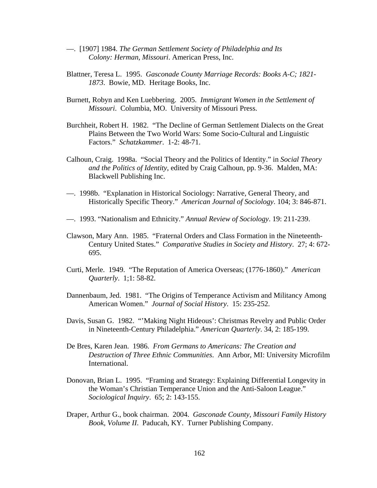- —. [1907] 1984. *The German Settlement Society of Philadelphia and Its Colony: Herman, Missouri*. American Press, Inc.
- Blattner, Teresa L. 1995. *Gasconade County Marriage Records: Books A-C; 1821- 1873*. Bowie, MD. Heritage Books, Inc.
- Burnett, Robyn and Ken Luebbering. 2005. *Immigrant Women in the Settlement of Missouri*. Columbia, MO. University of Missouri Press.
- Burchheit, Robert H. 1982. "The Decline of German Settlement Dialects on the Great Plains Between the Two World Wars: Some Socio-Cultural and Linguistic Factors." *Schatzkammer*. 1-2: 48-71.
- Calhoun, Craig. 1998a. "Social Theory and the Politics of Identity." in *Social Theory and the Politics of Identity*, edited by Craig Calhoun, pp. 9-36. Malden, MA: Blackwell Publishing Inc.
- —. 1998b. "Explanation in Historical Sociology: Narrative, General Theory, and Historically Specific Theory." *American Journal of Sociology*. 104; 3: 846-871.
- —. 1993. "Nationalism and Ethnicity." *Annual Review of Sociology*. 19: 211-239.
- Clawson, Mary Ann. 1985. "Fraternal Orders and Class Formation in the Nineteenth-Century United States." *Comparative Studies in Society and History*. 27; 4: 672- 695.
- Curti, Merle. 1949. "The Reputation of America Overseas; (1776-1860)." *American Quarterly*. 1;1: 58-82.
- Dannenbaum, Jed. 1981. "The Origins of Temperance Activism and Militancy Among American Women." *Journal of Social History*. 15: 235-252.
- Davis, Susan G. 1982. "'Making Night Hideous': Christmas Revelry and Public Order in Nineteenth-Century Philadelphia." *American Quarterly*. 34, 2: 185-199.
- De Bres, Karen Jean. 1986. *From Germans to Americans: The Creation and Destruction of Three Ethnic Communities*. Ann Arbor, MI: University Microfilm International.
- Donovan, Brian L. 1995. "Framing and Strategy: Explaining Differential Longevity in the Woman's Christian Temperance Union and the Anti-Saloon League." *Sociological Inquiry*. 65; 2: 143-155.
- Draper, Arthur G., book chairman. 2004. *Gasconade County, Missouri Family History Book, Volume II*. Paducah, KY. Turner Publishing Company.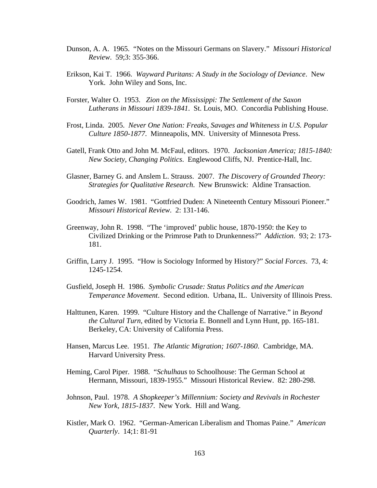- Dunson, A. A. 1965. "Notes on the Missouri Germans on Slavery." *Missouri Historical Review*. 59;3: 355-366.
- Erikson, Kai T. 1966. *Wayward Puritans: A Study in the Sociology of Deviance*. New York. John Wiley and Sons, Inc.
- Forster, Walter O. 1953. *Zion on the Mississippi: The Settlement of the Saxon Lutherans in Missouri 1839-1841*. St. Louis, MO. Concordia Publishing House.
- Frost, Linda. 2005. *Never One Nation: Freaks, Savages and Whiteness in U.S. Popular Culture 1850-1877*. Minneapolis, MN. University of Minnesota Press.
- Gatell, Frank Otto and John M. McFaul, editors. 1970. *Jacksonian America; 1815-1840: New Society, Changing Politics*. Englewood Cliffs, NJ. Prentice-Hall, Inc.
- Glasner, Barney G. and Anslem L. Strauss. 2007. *The Discovery of Grounded Theory: Strategies for Qualitative Research*. New Brunswick: Aldine Transaction.
- Goodrich, James W. 1981. "Gottfried Duden: A Nineteenth Century Missouri Pioneer." *Missouri Historical Review*. 2: 131-146.
- Greenway, John R. 1998. "The 'improved' public house, 1870-1950: the Key to Civilized Drinking or the Primrose Path to Drunkenness?" *Addiction*. 93; 2: 173- 181.
- Griffin, Larry J. 1995. "How is Sociology Informed by History?" *Social Forces*. 73, 4: 1245-1254.
- Gusfield, Joseph H. 1986. *Symbolic Crusade: Status Politics and the American Temperance Movement*. Second edition. Urbana, IL. University of Illinois Press.
- Halttunen, Karen. 1999. "Culture History and the Challenge of Narrative." in *Beyond the Cultural Turn*, edited by Victoria E. Bonnell and Lynn Hunt, pp. 165-181. Berkeley, CA: University of California Press.
- Hansen, Marcus Lee. 1951. *The Atlantic Migration; 1607-1860*. Cambridge, MA. Harvard University Press.
- Heming, Carol Piper. 1988. "*Schulhaus* to Schoolhouse: The German School at Hermann, Missouri, 1839-1955." Missouri Historical Review. 82: 280-298.
- Johnson, Paul. 1978. *A Shopkeeper's Millennium: Society and Revivals in Rochester New York, 1815-1837*. New York. Hill and Wang.
- Kistler, Mark O. 1962. "German-American Liberalism and Thomas Paine." *American Quarterly*. 14;1: 81-91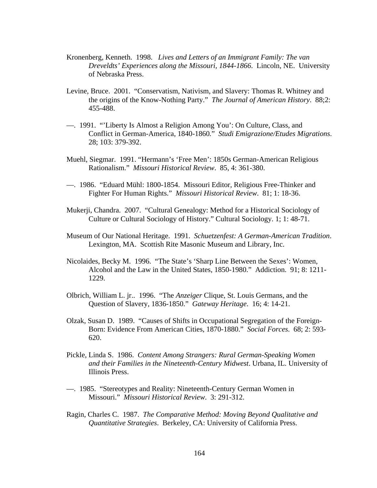- Kronenberg, Kenneth. 1998. *Lives and Letters of an Immigrant Family: The van Dreveldts' Experiences along the Missouri, 1844-1866*. Lincoln, NE. University of Nebraska Press.
- Levine, Bruce. 2001. "Conservatism, Nativism, and Slavery: Thomas R. Whitney and the origins of the Know-Nothing Party." *The Journal of American History*. 88;2: 455-488.
- —. 1991. "'Liberty Is Almost a Religion Among You': On Culture, Class, and Conflict in German-America, 1840-1860*.*" *Studi Emigrazione/Etudes Migrations*. 28; 103: 379-392.
- Muehl, Siegmar. 1991. "Hermann's 'Free Men': 1850s German-American Religious Rationalism." *Missouri Historical Review*. 85, 4: 361-380.
- —. 1986. "Eduard Mühl: 1800-1854. Missouri Editor, Religious Free-Thinker and Fighter For Human Rights." *Missouri Historical Review*. 81; 1: 18-36.
- Mukerji, Chandra. 2007. "Cultural Genealogy: Method for a Historical Sociology of Culture or Cultural Sociology of History." Cultural Sociology. 1; 1: 48-71.
- Museum of Our National Heritage. 1991. *Schuetzenfest: A German-American Tradition*. Lexington, MA. Scottish Rite Masonic Museum and Library, Inc.
- Nicolaides, Becky M. 1996. "The State's 'Sharp Line Between the Sexes': Women, Alcohol and the Law in the United States, 1850-1980." Addiction. 91; 8: 1211- 1229.
- Olbrich, William L. jr.. 1996. "The *Anzeiger* Clique, St. Louis Germans, and the Question of Slavery, 1836-1850." *Gateway Heritage*. 16; 4: 14-21.
- Olzak, Susan D. 1989. "Causes of Shifts in Occupational Segregation of the Foreign-Born: Evidence From American Cities, 1870-1880." *Social Forces*. 68; 2: 593- 620.
- Pickle, Linda S. 1986. *Content Among Strangers: Rural German-Speaking Women and their Families in the Nineteenth-Century Midwest*. Urbana, IL. University of Illinois Press.
- —. 1985. "Stereotypes and Reality: Nineteenth-Century German Women in Missouri." *Missouri Historical Review*. 3: 291-312.
- Ragin, Charles C. 1987. *The Comparative Method: Moving Beyond Qualitative and Quantitative Strategies*. Berkeley, CA: University of California Press.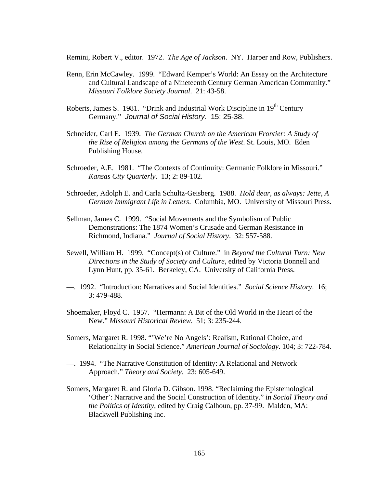Remini, Robert V., editor. 1972. *The Age of Jackson*. NY. Harper and Row, Publishers.

- Renn, Erin McCawley. 1999. "Edward Kemper's World: An Essay on the Architecture and Cultural Landscape of a Nineteenth Century German American Community." *Missouri Folklore Society Journal*. 21: 43-58.
- Roberts, James S. 1981. "Drink and Industrial Work Discipline in  $19<sup>th</sup>$  Century Germany." *Journal of Social History*. 15: 25-38.
- Schneider, Carl E. 1939. *The German Church on the American Frontier: A Study of the Rise of Religion among the Germans of the West*. St. Louis, MO. Eden Publishing House.
- Schroeder, A.E. 1981. "The Contexts of Continuity: Germanic Folklore in Missouri." *Kansas City Quarterly*. 13; 2: 89-102.
- Schroeder, Adolph E. and Carla Schultz-Geisberg. 1988. *Hold dear, as always: Jette, A German Immigrant Life in Letters*. Columbia, MO. University of Missouri Press.
- Sellman, James C. 1999. "Social Movements and the Symbolism of Public Demonstrations: The 1874 Women's Crusade and German Resistance in Richmond, Indiana." *Journal of Social History*. 32: 557-588.
- Sewell, William H. 1999. "Concept(s) of Culture." in *Beyond the Cultural Turn: New Directions in the Study of Society and Culture*, edited by Victoria Bonnell and Lynn Hunt, pp. 35-61. Berkeley, CA. University of California Press.
- —. 1992. "Introduction: Narratives and Social Identities." *Social Science History*. 16; 3: 479-488.
- Shoemaker, Floyd C. 1957. "Hermann: A Bit of the Old World in the Heart of the New." *Missouri Historical Review*. 51; 3: 235-244.
- Somers, Margaret R. 1998. "'We're No Angels': Realism, Rational Choice, and Relationality in Social Science." *American Journal of Sociology*. 104; 3: 722-784.
- —. 1994. "The Narrative Constitution of Identity: A Relational and Network Approach." *Theory and Society*. 23: 605-649.
- Somers, Margaret R. and Gloria D. Gibson. 1998. "Reclaiming the Epistemological 'Other': Narrative and the Social Construction of Identity." in *Social Theory and the Politics of Identity*, edited by Craig Calhoun, pp. 37-99. Malden, MA: Blackwell Publishing Inc.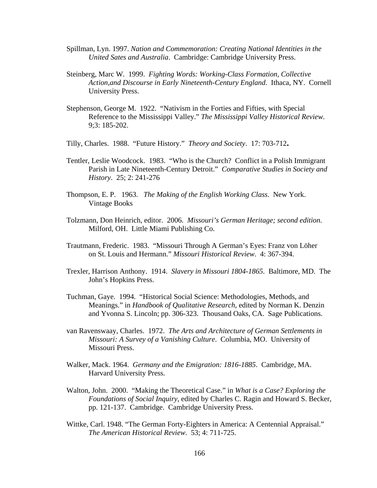- Spillman, Lyn. 1997. *Nation and Commemoration: Creating National Identities in the United Sates and Australia*. Cambridge: Cambridge University Press.
- Steinberg, Marc W. 1999. *Fighting Words: Working-Class Formation, Collective Action,and Discourse in Early Nineteenth-Century England*. Ithaca, NY. Cornell University Press.
- Stephenson, George M. 1922. "Nativism in the Forties and Fifties, with Special Reference to the Mississippi Valley." *The Mississippi Valley Historical Review*. 9;3: 185-202.
- Tilly, Charles. 1988. "Future History." *Theory and Society*. 17: 703-712**.**
- Tentler, Leslie Woodcock. 1983. "Who is the Church? Conflict in a Polish Immigrant Parish in Late Nineteenth-Century Detroit." *Comparative Studies in Society and History*. 25; 2: 241-276
- Thompson, E. P. 1963. *The Making of the English Working Class*. New York. Vintage Books
- Tolzmann, Don Heinrich, editor. 2006. *Missouri's German Heritage; second edition*. Milford, OH. Little Miami Publishing Co.
- Trautmann, Frederic. 1983. "Missouri Through A German's Eyes: Franz von Löher on St. Louis and Hermann." *Missouri Historical Review*. 4: 367-394.
- Trexler, Harrison Anthony. 1914. *Slavery in Missouri 1804-1865*. Baltimore, MD. The John's Hopkins Press.
- Tuchman, Gaye. 1994. "Historical Social Science: Methodologies, Methods, and Meanings." in *Handbook of Qualitative Research*, edited by Norman K. Denzin and Yvonna S. Lincoln; pp. 306-323. Thousand Oaks, CA. Sage Publications.
- van Ravenswaay, Charles. 1972. *The Arts and Architecture of German Settlements in Missouri: A Survey of a Vanishing Culture*. Columbia, MO. University of Missouri Press.
- Walker, Mack. 1964. *Germany and the Emigration: 1816-1885*. Cambridge, MA. Harvard University Press.
- Walton, John. 2000. "Making the Theoretical Case." in *What is a Case? Exploring the Foundations of Social Inquiry*, edited by Charles C. Ragin and Howard S. Becker, pp. 121-137. Cambridge. Cambridge University Press.
- Wittke, Carl. 1948. "The German Forty-Eighters in America: A Centennial Appraisal." *The American Historical Review*. 53; 4: 711-725.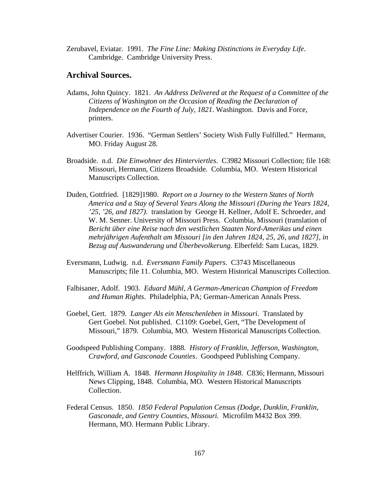Zerubavel, Eviatar. 1991. *The Fine Line: Making Distinctions in Everyday Life*. Cambridge. Cambridge University Press.

## **Archival Sources.**

- Adams, John Quincy. 1821. *An Address Delivered at the Request of a Committee of the Citizens of Washington on the Occasion of Reading the Declaration of Independence on the Fourth of July, 1821*. Washington. Davis and Force, printers.
- Advertiser Courier. 1936. "German Settlers' Society Wish Fully Fulfilled." Hermann, MO. Friday August 28.
- Broadside. n.d. *Die Einwohner des Hinterviertles*. C3982 Missouri Collection; file 168: Missouri, Hermann, Citizens Broadside. Columbia, MO. Western Historical Manuscripts Collection.
- Duden, Gottfried. [1829]1980. *Report on a Journey to the Western States of North America and a Stay of Several Years Along the Missouri (During the Years 1824, '25, '26, and 1827)*. translation by George H. Kellner, Adolf E. Schroeder, and W. M. Senner. University of Missouri Press. Columbia, Missouri (translation of *Bericht über eine Reise nach den westlichen Staaten Nord-Amerikas und einen mehrjährigen Aufenthalt am Missouri [in den Jahren 1824, 25, 26, und 1827], in Bezug auf Auswanderung und Überbevolkerung*. Elberfeld: Sam Lucas, 1829.
- Eversmann, Ludwig. n.d. *Eversmann Family Papers*. C3743 Miscellaneous Manuscripts; file 11. Columbia, MO. Western Historical Manuscripts Collection.
- Falbisaner, Adolf. 1903. *Eduard Mühl, A German-American Champion of Freedom and Human Rights*. Philadelphia, PA; German-American Annals Press.
- Goebel, Gert. 1879. *Langer Als ein Menschenleben in Missouri*. Translated by Gert Goebel. Not published. C1109: Goebel, Gert, "The Development of Missouri," 1879. Columbia, MO. Western Historical Manuscripts Collection.
- Goodspeed Publishing Company. 1888. *History of Franklin, Jefferson, Washington, Crawford, and Gasconade Counties*. Goodspeed Publishing Company.
- Helffrich, William A. 1848. *Hermann Hospitality in 1848*. C836; Hermann, Missouri News Clipping, 1848. Columbia, MO. Western Historical Manuscripts Collection.
- Federal Census. 1850. *1850 Federal Population Census (Dodge, Dunklin, Franklin, Gasconade, and Gentry Counties, Missouri.* Microfilm M432 Box 399. Hermann, MO. Hermann Public Library.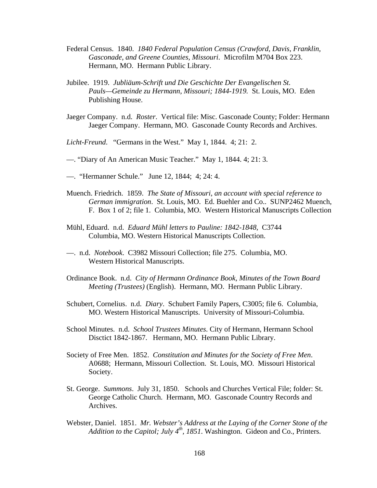- Federal Census. 1840. *1840 Federal Population Census (Crawford, Davis, Franklin, Gasconade, and Greene Counties, Missouri*. Microfilm M704 Box 223. Hermann, MO. Hermann Public Library.
- Jubilee. 1919. *Jubliäum-Schrift und Die Geschichte Der Evangelischen St. Pauls—Gemeinde zu Hermann, Missouri; 1844-1919.* St. Louis, MO. Eden Publishing House.
- Jaeger Company. n.d. *Roster*. Vertical file: Misc. Gasconade County; Folder: Hermann Jaeger Company. Hermann, MO. Gasconade County Records and Archives.
- *Licht-Freund*. "Germans in the West." May 1, 1844. 4; 21: 2.
- —. "Diary of An American Music Teacher." May 1, 1844. 4; 21: 3.
- —. "Hermanner Schule." June 12, 1844; 4; 24: 4.
- Muench. Friedrich. 1859. *The State of Missouri, an account with special reference to German immigration*. St. Louis, MO. Ed. Buehler and Co.. SUNP2462 Muench, F. Box 1 of 2; file 1. Columbia, MO. Western Historical Manuscripts Collection
- Mühl, Eduard. n.d. *Eduard Mühl letters to Pauline: 1842-1848,* C3744 Columbia, MO. Western Historical Manuscripts Collection.
- —. n.d. *Notebook*. C3982 Missouri Collection; file 275. Columbia, MO. Western Historical Manuscripts.
- Ordinance Book. n.d. *City of Hermann Ordinance Book, Minutes of the Town Board Meeting (Trustees)* (English). Hermann, MO. Hermann Public Library.
- Schubert, Cornelius. n.d. *Diary*. Schubert Family Papers, C3005; file 6. Columbia, MO. Western Historical Manuscripts. University of Missouri-Columbia.
- School Minutes. n.d. *School Trustees Minutes*. City of Hermann, Hermann School Disctict 1842-1867. Hermann, MO. Hermann Public Library.
- Society of Free Men. 1852. *Constitution and Minutes for the Society of Free Men*. A0688; Hermann, Missouri Collection. St. Louis, MO. Missouri Historical Society.
- St. George. *Summons*. July 31, 1850. Schools and Churches Vertical File; folder: St. George Catholic Church. Hermann, MO. Gasconade Country Records and Archives.
- Webster, Daniel. 1851. *Mr. Webster's Address at the Laying of the Corner Stone of the*  Addition to the Capitol; July 4<sup>th</sup>, 1851. Washington. Gideon and Co., Printers.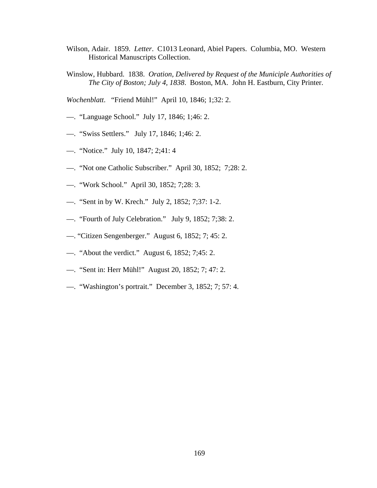- Wilson, Adair. 1859. *Letter*. C1013 Leonard, Abiel Papers. Columbia, MO. Western Historical Manuscripts Collection.
- Winslow, Hubbard. 1838. *Oration, Delivered by Request of the Municiple Authorities of The City of Boston; July 4, 1838*. Boston, MA. John H. Eastburn, City Printer.

*Wochenblatt*. "Friend Mühl!" April 10, 1846; 1;32: 2.

- —. "Language School." July 17, 1846; 1;46: 2.
- —. "Swiss Settlers." July 17, 1846; 1;46: 2.
- —. "Notice." July 10, 1847; 2;41: 4
- —. "Not one Catholic Subscriber." April 30, 1852; 7;28: 2.
- —. "Work School." April 30, 1852; 7;28: 3.
- —. "Sent in by W. Krech." July 2, 1852; 7;37: 1-2.
- —. "Fourth of July Celebration." July 9, 1852; 7;38: 2.
- —. "Citizen Sengenberger." August 6, 1852; 7; 45: 2.
- —. "About the verdict." August 6, 1852; 7;45: 2.
- —. "Sent in: Herr Mühl!" August 20, 1852; 7; 47: 2.
- —. "Washington's portrait." December 3, 1852; 7; 57: 4.